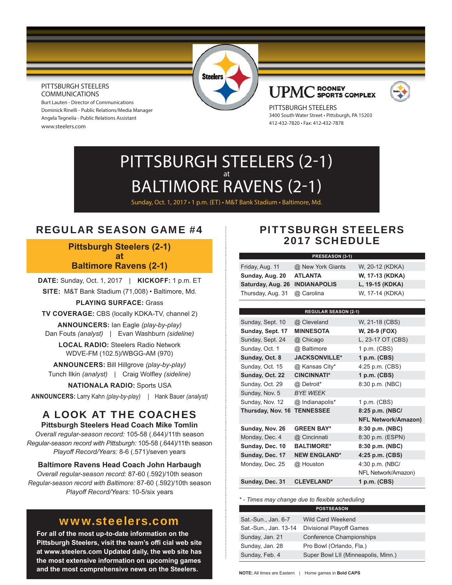#### PITTSBURGH STEELERS COMMUNICATIONS

Burt Lauten - Director of Communications Dominick Rinelli - Public Relations/Media Manager Angela Tegnelia - Public Relations Assistant www.steelers.com

**Steelers** 

#### **ROONEY** UPM SPORTS COMPLEX



PITTSBURGH STEELERS 3400 South Water Street • Pittsburgh, PA 15203 412-432-7820 • Fax: 412-432-7878

# PITTSBURGH STEELERS (2-1) at BALTIMORE RAVENS (2-1)

Sunday, Oct. 1, 2017 • 1 p.m. (ET) • M&T Bank Stadium • Baltimore, Md.

# REGULAR SEASON GAME #4

**Pittsburgh Steelers (2-1) at Baltimore Ravens (2-1)**

**DATE:** Sunday, Oct. 1, 2017 | **KICKOFF:** 1 p.m. ET **SITE:** M&T Bank Stadium (71,008) • Baltimore, Md.

**PLAYING SURFACE:** Grass

**TV COVERAGE:** CBS (locally KDKA-TV, channel 2)

**ANNOUNCERS:** Ian Eagle *(play-by-play)* Dan Fouts *(analyst)* | Evan Washburn *(sideline)*

**LOCAL RADIO:** Steelers Radio Network WDVE-FM (102.5)/WBGG-AM (970)

**ANNOUNCERS:** Bill Hillgrove *(play-by-play)* Tunch Ilkin *(analyst)* | Craig Wolfley *(sideline)* 

**NATIONALA RADIO:** Sports USA

**ANNOUNCERS:** Larry Kahn *(play-by-play)* | Hank Bauer *(analyst)*

# A LOOK AT THE COACHES

**Pittsburgh Steelers Head Coach Mike Tomlin** *Overall regular-season record:* 105-58 (.644)/11th season *Regular-season record with Pittsburgh:* 105-58 (.644)/11th season *Playoff Record/Years:* 8-6 (.571)/seven years

**Baltimore Ravens Head Coach John Harbaugh**

*Overall regular-season record:* 87-60 (.592)/10th season *Regular-season record with Baltimore:* 87-60 (.592)/10th season *Playoff Record/Years:* 10-5/six years

# www.steelers.com

**For all of the most up-to-date information on the Pittsburgh Steelers, visit the team's offi cial web site at www.steelers.com Updated daily, the web site has the most extensive information on upcoming games and the most comprehensive news on the Steelers.**

# PITTSBURGH STEELERS 2017 SCHEDULE

#### **PRESEASON (3-1)**

| Friday, Aug. 11                | @ New York Giants | W, 20-12 (KDKA) |
|--------------------------------|-------------------|-----------------|
| Sunday, Aug. 20                | <b>ATLANTA</b>    | W, 17-13 (KDKA) |
| Saturday, Aug. 26 INDIANAPOLIS |                   | L. 19-15 (KDKA) |
| Thursday, Aug. 31 @ Carolina   |                   | W, 17-14 (KDKA) |

| <b>REGULAR SEASON (2-1)</b> |                            |  |  |  |  |
|-----------------------------|----------------------------|--|--|--|--|
| @ Cleveland                 | W, 21-18 (CBS)             |  |  |  |  |
| <b>MINNESOTA</b>            | W, 26-9 (FOX)              |  |  |  |  |
| @ Chicago                   | L, 23-17 OT (CBS)          |  |  |  |  |
| @ Baltimore                 | 1 p.m. (CBS)               |  |  |  |  |
| <b>JACKSONVILLE*</b>        | 1 p.m. (CBS)               |  |  |  |  |
| @ Kansas City*              | 4:25 p.m. (CBS)            |  |  |  |  |
| <b>CINCINNATI*</b>          | 1 p.m. (CBS)               |  |  |  |  |
| @ Detroit*                  | 8:30 p.m. (NBC)            |  |  |  |  |
| <b>BYE WEEK</b>             |                            |  |  |  |  |
| @ Indianapolis*             | 1 p.m. (CBS)               |  |  |  |  |
| <b>TENNESSEE</b>            | 8:25 p.m. (NBC/            |  |  |  |  |
|                             | <b>NFL Network/Amazon)</b> |  |  |  |  |
| <b>GREEN BAY*</b>           | 8:30 p.m. (NBC)            |  |  |  |  |
| @ Cincinnati                | 8:30 p.m. (ESPN)           |  |  |  |  |
| <b>BALTIMORE*</b>           | 8:30 p.m. (NBC)            |  |  |  |  |
| <b>NEW ENGLAND*</b>         | 4:25 p.m. (CBS)            |  |  |  |  |
| @ Houston                   | 4:30 p.m. (NBC/            |  |  |  |  |
|                             | NFL Network/Amazon)        |  |  |  |  |
| <b>CLEVELAND*</b>           | 1 p.m. (CBS)               |  |  |  |  |
|                             |                            |  |  |  |  |

*\* - Times may change due to fl exible scheduling*

|                       | <b>POSTSEASON</b>                   |
|-----------------------|-------------------------------------|
| Sat -Sun., Jan. 6-7   | <b>Wild Card Weekend</b>            |
| Sat.-Sun., Jan. 13-14 | <b>Divisional Playoff Games</b>     |
| Sunday, Jan. 21       | <b>Conference Championships</b>     |
| Sunday, Jan. 28       | Pro Bowl (Orlando, Fla.)            |
| Sunday, Feb. 4        | Super Bowl LII (Minneapolis, Minn.) |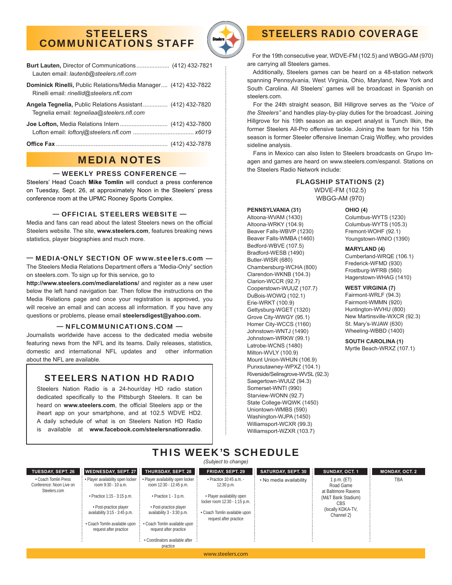## STEELERS COMMUNICATIONS STAFF



| <b>Burt Lauten, Director of Communications (412) 432-7821</b><br>Lauten email: lautenb@steelers.nfl.com            |  |
|--------------------------------------------------------------------------------------------------------------------|--|
| <b>Dominick Rinelli, Public Relations/Media Manager (412) 432-7822</b><br>Rinelli email: rinellid@steelers.nfl.com |  |
| Angela Tegnelia, Public Relations Assistant (412) 432-7820<br>Tegnelia email: <i>tegneliaa@steelers.nfl.com</i>    |  |
|                                                                                                                    |  |
|                                                                                                                    |  |

# MEDIA NOTES

#### — WEEKLY PRESS CONFERENCE —

Steelers' Head Coach **Mike Tomlin** will conduct a press conference on Tuesday, Sept. 26, at approximately Noon in the Steelers' press conference room at the UPMC Rooney Sports Complex.

#### — OFFICIAL STEELERS WEBSITE —

Media and fans can read about the latest Steelers news on the official Steelers website. The site, **www.steelers.com**, features breaking news statistics, player biographies and much more.

#### — MEDIA-ONLY SECTION OF www.steelers.com —

The Steelers Media Relations Department offers a "Media-Only" section on steelers.com. To sign up for this service, go to

**http://www.steelers.com/mediarelations/** and register as a new user below the left hand navigation bar. Then follow the instructions on the Media Relations page and once your registration is approved, you will receive an email and can access all information. If you have any questions or problems, please email **steelersdigest@yahoo.com.**

#### — NFLCOMMUNICATIONS.COM —

Journalists worldwide have access to the dedicated media website featuring news from the NFL and its teams. Daily releases, statistics, domestic and international NFL updates and other information about the NFL are available.

### STEELERS NATION HD RADIO

Steelers Nation Radio is a 24-hour/day HD radio station dedicated specifically to the Pittsburgh Steelers. It can be heard on **www.steelers.com**, the official Steelers app or the iheart app on your smartphone, and at 102.5 WDVE HD2. A daily schedule of what is on Steelers Nation HD Radio is available at **www.facebook.com/steelersnationradio**.

 For the 19th consecutive year, WDVE-FM (102.5) and WBGG-AM (970) are carrying all Steelers games.

STEELERS RADIO COVERAGE

 Additionally, Steelers games can be heard on a 48-station network spanning Pennsylvania, West Virginia, Ohio, Maryland, New York and South Carolina. All Steelers' games will be broadcast in Spanish on steelers.com.

 For the 24th straight season, Bill Hillgrove serves as the *"Voice of the Steelers"* and handles play-by-play duties for the broadcast. Joining Hillgrove for his 19th season as an expert analyst is Tunch Ilkin, the former Steelers All-Pro offensive tackle. Joining the team for his 15th season is former Steeler offensive lineman Craig Wolfley, who provides sideline analysis.

 Fans in Mexico can also listen to Steelers broadcasts on Grupo Imagen and games are heard on www.steelers.com/espanol. Stations on the Steelers Radio Network include:

#### FLAGSHIP STATIONS (2) WDVE-FM (102.5) WBGG-AM (970)

#### **PENNSYLVANIA (31)**

Altoona-WVAM (1430) Altoona-WRKY (104.9) Beaver Falls-WBVP (1230) Beaver Falls-WMBA (1460) Bedford-WBVE (107.5) Bradford-WESB (1490) Butler-WISR (680) Chambersburg-WCHA (800) Clarendon-WKNB (104.3) Clarion-WCCR (92.7) Cooperstown-WUUZ (107.7) DuBois-WOWQ (102.1) Erie-WRKT (100.9) Gettysburg-WGET (1320) Grove City-WWGY (95.1) Homer City-WCCS (1160) Johnstown-WNTJ (1490) Johnstown-WRKW (99.1) Latrobe-WCNS (1480) Milton-WVLY (100.9) Mount Union-WHUN (106.9) Punxsutawney-WPXZ (104.1) Riverside/Selinsgrove-WVSL (92.3) Saegertown-WUUZ (94.3) Somerset-WNTI (990) Starview-WONN (92.7) State College-WQWK (1450) Uniontown-WMBS (590) Washington-WJPA (1450) Williamsport-WCXR (99.3) Williamsport-WZXR (103.7)

#### **OHIO (4)**

Columbus-WYTS (1230) Columbus-WYTS (105.3) Fremont-WOHF (92.1) Youngstown-WNIO (1390)

#### **MARYLAND (4)**

Cumberland-WRQE (106.1) Frederick-WFMD (930) Frostburg-WFRB (560) Hagerstown-WHAG (1410)

#### **WEST VIRGINIA (7)**

Fairmont-WRLF (94.3) Fairmont-WMMN (920) Huntington-WVHU (800) New Martinsville-WXCR (92.3) St. Mary's-WJAW (630) Wheeling-WBBD (1400)

**SOUTH CAROLINA (1)** Myrtle Beach-WRXZ (107.1)

### THIS WEEK'S SCHEDULE *(Subject to change)*

**TUESDAY, SEPT. 26** • Coach Tomlin Press Conference: Noon Live on Steelers.com **WEDNESDAY, SEPT. 27** • Player availability open locker room 9:30 - 10 a.m. • Practice 1:15 - 3:15 p.m. • Post-practice player availability 3:15 - 3:45 p.m. • Coach Tomlin available upon request after practice **THURSDAY, SEPT. 28** • Player availability open locker room 12:30 - 12:45 p.m. • Practice 1 - 3 p.m. • Post-practice player availability 3 - 3:30 p.m. • Coach Tomlin available upon request after practice • Coordinators available after practice **FRIDAY, SEPT. 29**  $\cdot$  Practice 10:45 a.m. 12:30 p.m. • Player availability open locker room 12:30 - 1:15 p.m. • Coach Tomlin available upon request after practice **SATURDAY, SEPT. 30** • No media availability **SUNDAY, OCT. 1** 1 p.m. (ET) Road Game at Baltimore Ravens (M&T Bank Stadium) CBS (locally KDKA-TV, Channel 2) **MONDAY, OCT. 2** TBA

www.steelers.com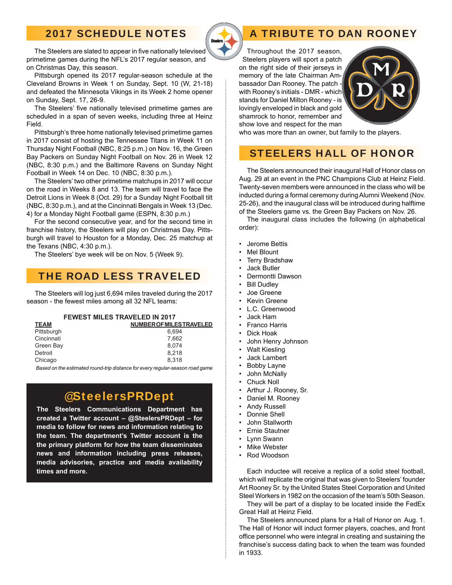# 2017 SCHEDULE NOTES



# A TRIBUTE TO DAN ROONEY

 Throughout the 2017 season, Steelers players will sport a patch on the right side of their jerseys in memory of the late Chairman Ambassador Dan Rooney. The patch with Rooney's initials - DMR - which stands for Daniel Milton Rooney - is lovingly enveloped in black and gold shamrock to honor, remember and show love and respect for the man



who was more than an owner, but family to the players.

# STEELERS HALL OF HONOR

 The Steelers announced their inaugural Hall of Honor class on Aug. 29 at an event in the PNC Champions Club at Heinz Field. Twenty-seven members were announced in the class who will be inducted during a formal ceremony during Alumni Weekend (Nov. 25-26), and the inaugural class will be introduced during halftime of the Steelers game vs. the Green Bay Packers on Nov. 26.

 The inaugural class includes the following (in alphabetical order):

- Jerome Bettis
- **Mel Blount**
- **Terry Bradshaw**
- Jack Butler
- Dermontti Dawson
- **Bill Dudley**
- Joe Greene
- **Kevin Greene**
- L.C. Greenwood
- Jack Ham
- Franco Harris
- Dick Hoak
- John Henry Johnson
- Walt Kiesling
- Jack Lambert
- **Bobby Layne**
- John McNally
- Chuck Noll
- Arthur J. Rooney, Sr.
- Daniel M. Rooney
- **Andy Russell**
- Donnie Shell
- John Stallworth
- Ernie Stautner
- Lynn Swann
- **Mike Webster**
- Rod Woodson

 Each inductee will receive a replica of a solid steel football, which will replicate the original that was given to Steelers' founder Art Rooney Sr. by the United States Steel Corporation and United Steel Workers in 1982 on the occasion of the team's 50th Season.

 They will be part of a display to be located inside the FedEx Great Hall at Heinz Field.

 The Steelers announced plans for a Hall of Honor on Aug. 1. The Hall of Honor will induct former players, coaches, and front office personnel who were integral in creating and sustaining the franchise's success dating back to when the team was founded in 1933.

The Steelers are slated to appear in five nationally televised primetime games during the NFL's 2017 regular season, and on Christmas Day, this season.

 Pittsburgh opened its 2017 regular-season schedule at the Cleveland Browns in Week 1 on Sunday, Sept. 10 (W, 21-18) and defeated the Minnesota Vikings in its Week 2 home opener on Sunday, Sept. 17, 26-9.

The Steelers' five nationally televised primetime games are scheduled in a span of seven weeks, including three at Heinz Field.

 Pittsburgh's three home nationally televised primetime games in 2017 consist of hosting the Tennessee Titans in Week 11 on Thursday Night Football (NBC, 8:25 p.m.) on Nov. 16, the Green Bay Packers on Sunday Night Football on Nov. 26 in Week 12 (NBC, 8:30 p.m.) and the Baltimore Ravens on Sunday Night Football in Week 14 on Dec. 10 (NBC, 8:30 p.m.).

 The Steelers' two other primetime matchups in 2017 will occur on the road in Weeks 8 and 13. The team will travel to face the Detroit Lions in Week 8 (Oct. 29) for a Sunday Night Football tilt (NBC, 8:30 p.m.), and at the Cincinnati Bengals in Week 13 (Dec. 4) for a Monday Night Football game (ESPN, 8:30 p.m.)

 For the second consecutive year, and for the second time in franchise history, the Steelers will play on Christmas Day. Pittsburgh will travel to Houston for a Monday, Dec. 25 matchup at the Texans (NBC, 4:30 p.m.).

The Steelers' bye week will be on Nov. 5 (Week 9).

## THE ROAD LESS TRAVELED

The Steelers will log just 6,694 miles traveled during the 2017 season - the fewest miles among all 32 NFL teams:

| <b>FEWEST MILES TRAVELED IN 2017</b> |
|--------------------------------------|
|--------------------------------------|

| <b>TEAM</b> | <b>NUMBER OF MILES TRAVELED</b> |
|-------------|---------------------------------|
| Pittsburgh  | 6.694                           |
| Cincinnati  | 7.662                           |
| Green Bay   | 8.074                           |
| Detroit     | 8.218                           |
| Chicago     | 8.318                           |
|             |                                 |

 *Based on the estimated round-trip distance for every regular-season road game*

# @SteelersPRDept

**The Steelers Communications Department has created a Twitter account – @SteelersPRDept – for media to follow for news and information relating to the team. The department's Twitter account is the the primary platform for how the team disseminates news and information including press releases, media advisories, practice and media availability times and more.**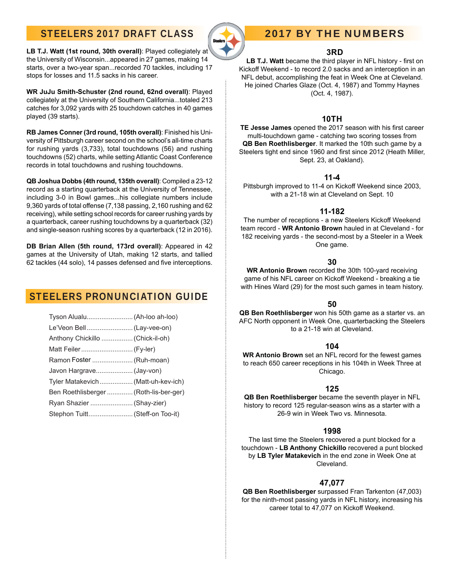# STEELERS 2017 DRAFT CLASS



# 2017 BY THE NUMBERS

### **3RD**

LB T.J. Watt became the third player in NFL history - first on Kickoff Weekend - to record 2.0 sacks and an interception in an NFL debut, accomplishing the feat in Week One at Cleveland. He joined Charles Glaze (Oct. 4, 1987) and Tommy Haynes (Oct. 4, 1987).

### **10TH**

TE Jesse James opened the 2017 season with his first career multi-touchdown game - catching two scoring tosses from **QB Ben Roethlisberger**. It marked the 10th such game by a Steelers tight end since 1960 and first since 2012 (Heath Miller, Sept. 23, at Oakland).

### **11-4**

Pittsburgh improved to 11-4 on Kickoff Weekend since 2003, with a 21-18 win at Cleveland on Sept. 10

### **11-182**

The number of receptions - a new Steelers Kickoff Weekend team record - **WR Antonio Brown** hauled in at Cleveland - for 182 receiving yards - the second-most by a Steeler in a Week One game.

#### **30**

**WR Antonio Brown** recorded the 30th 100-yard receiving game of his NFL career on Kickoff Weekend - breaking a tie with Hines Ward (29) for the most such games in team history.

### **50**

**QB Ben Roethlisberger** won his 50th game as a starter vs. an AFC North opponent in Week One, quarterbacking the Steelers to a 21-18 win at Cleveland.

#### **104**

**WR Antonio Brown** set an NFL record for the fewest games to reach 650 career receptions in his 104th in Week Three at Chicago.

### **125**

**QB Ben Roethlisberger** became the seventh player in NFL history to record 125 regular-season wins as a starter with a 26-9 win in Week Two vs. Minnesota.

#### **1998**

The last time the Steelers recovered a punt blocked for a touchdown - **LB Anthony Chickillo** recovered a punt blocked by **LB Tyler Matakevich** in the end zone in Week One at Cleveland.

### **47,077**

**QB Ben Roethlisberger** surpassed Fran Tarkenton (47,003) for the ninth-most passing yards in NFL history, increasing his career total to 47,077 on Kickoff Weekend.

**LB T.J. Watt (1st round, 30th overall)**: Played collegiately at the University of Wisconsin...appeared in 27 games, making 14 starts, over a two-year span...recorded 70 tackles, including 17 stops for losses and 11.5 sacks in his career.

**WR JuJu Smith-Schuster (2nd round, 62nd overall)**: Played collegiately at the University of Southern California...totaled 213 catches for 3,092 yards with 25 touchdown catches in 40 games played (39 starts).

**RB James Conner (3rd round, 105th overall)**: Finished his University of Pittsburgh career second on the school's all-time charts for rushing yards (3,733), total touchdowns (56) and rushing touchdowns (52) charts, while setting Atlantic Coast Conference records in total touchdowns and rushing touchdowns.

**QB Joshua Dobbs (4th round, 135th overall)**: Compiled a 23-12 record as a starting quarterback at the University of Tennessee, including 3-0 in Bowl games...his collegiate numbers include 9,360 yards of total offense (7,138 passing, 2,160 rushing and 62 receiving), while setting school records for career rushing yards by a quarterback, career rushing touchdowns by a quarterback (32) and single-season rushing scores by a quarterback (12 in 2016).

**DB Brian Allen (5th round, 173rd overall)**: Appeared in 42 games at the University of Utah, making 12 starts, and tallied 62 tackles (44 solo), 14 passes defensed and five interceptions.

# STEELERS PRONUNCIATION GUIDE

| Tyson Alualu (Ah-loo ah-loo)           |  |
|----------------------------------------|--|
|                                        |  |
| Anthony Chickillo  (Chick-il-oh)       |  |
| Matt Feiler (Fy-ler)                   |  |
| Ramon Foster  (Ruh-moan)               |  |
| Javon Hargrave (Jay-von)               |  |
| Tyler Matakevich  (Matt-uh-kev-ich)    |  |
| Ben Roethlisberger  (Roth-lis-ber-ger) |  |
| Ryan Shazier  (Shay-zier)              |  |
| Stephon Tuitt (Steff-on Too-it)        |  |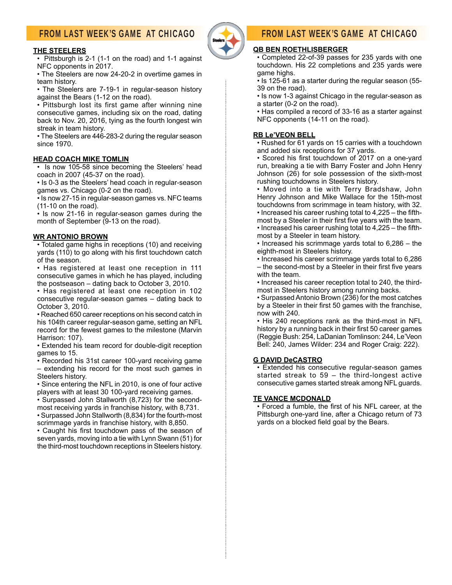# FROM LAST WEEK'S GAME AT CHICAGO

#### **THE STEELERS**

• Pittsburgh is 2-1 (1-1 on the road) and 1-1 against NFC opponents in 2017.

• The Steelers are now 24-20-2 in overtime games in team history.

• The Steelers are 7-19-1 in regular-season history against the Bears (1-12 on the road).

• Pittsburgh lost its first game after winning nine consecutive games, including six on the road, dating back to Nov. 20, 2016, tying as the fourth longest win streak in team history.

• The Steelers are 446-283-2 during the regular season since 1970.

#### **HEAD COACH MIKE TOMLIN**

• Is now 105-58 since becoming the Steelers' head coach in 2007 (45-37 on the road).

• Is 0-3 as the Steelers' head coach in regular-season games vs. Chicago (0-2 on the road).

• Is now 27-15 in regular-season games vs. NFC teams (11-10 on the road).

• Is now 21-16 in regular-season games during the month of September (9-13 on the road).

#### **WR ANTONIO BROWN**

• Totaled game highs in receptions (10) and receiving yards (110) to go along with his first touchdown catch of the season.

• Has registered at least one reception in 111 consecutive games in which he has played, including the postseason – dating back to October 3, 2010.

• Has registered at least one reception in 102 consecutive regular-season games – dating back to October 3, 2010.

• Reached 650 career receptions on his second catch in his 104th career regular-season game, setting an NFL record for the fewest games to the milestone (Marvin Harrison: 107).

• Extended his team record for double-digit reception games to 15.

• Recorded his 31st career 100-yard receiving game – extending his record for the most such games in Steelers history.

• Since entering the NFL in 2010, is one of four active players with at least 30 100-yard receiving games.

• Surpassed John Stallworth (8,723) for the secondmost receiving yards in franchise history, with 8,731.

• Surpassed John Stallworth (8,834) for the fourth-most scrimmage yards in franchise history, with 8,850.

• Caught his first touchdown pass of the season of seven yards, moving into a tie with Lynn Swann (51) for the third-most touchdown receptions in Steelers history.

# FROM LAST WEEK'S GAME AT CHICAGO

#### **QB BEN ROETHLISBERGER**

• Completed 22-of-39 passes for 235 yards with one touchdown. His 22 completions and 235 yards were game highs.

• Is 125-61 as a starter during the regular season (55- 39 on the road).

• Is now 1-3 against Chicago in the regular-season as a starter (0-2 on the road).

• Has compiled a record of 33-16 as a starter against NFC opponents (14-11 on the road).

#### **RB Le'VEON BELL**

• Rushed for 61 yards on 15 carries with a touchdown and added six receptions for 37 yards.

• Scored his first touchdown of 2017 on a one-yard run, breaking a tie with Barry Foster and John Henry Johnson (26) for sole possession of the sixth-most rushing touchdowns in Steelers history.

• Moved into a tie with Terry Bradshaw, John Henry Johnson and Mike Wallace for the 15th-most touchdowns from scrimmage in team history, with 32.

 $\cdot$  Increased his career rushing total to 4,225 – the fifthmost by a Steeler in their first five years with the team.

 $\cdot$  Increased his career rushing total to 4,225 – the fifthmost by a Steeler in team history.

• Increased his scrimmage yards total to 6,286 – the eighth-most in Steelers history.

• Increased his career scrimmage yards total to 6,286  $-$  the second-most by a Steeler in their first five years with the team.

• Increased his career reception total to 240, the thirdmost in Steelers history among running backs.

• Surpassed Antonio Brown (236) for the most catches by a Steeler in their first 50 games with the franchise, now with 240.

• His 240 receptions rank as the third-most in NFL history by a running back in their first 50 career games (Reggie Bush: 254, LaDanian Tomlinson: 244, Le'Veon Bell: 240, James Wilder: 234 and Roger Craig: 222).

#### **G DAVID DeCASTRO**

• Extended his consecutive regular-season games started streak to 59 – the third-longest active consecutive games started streak among NFL guards.

#### **TE VANCE MCDONALD**

• Forced a fumble, the first of his NFL career, at the Pittsburgh one-yard line, after a Chicago return of 73 yards on a blocked field goal by the Bears.

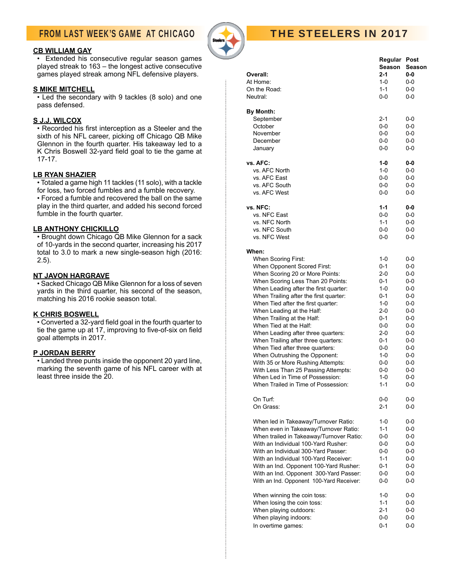# FROM LAST WEEK'S GAME AT CHICAGO

#### **CB WILLIAM GAY**

• Extended his consecutive regular season games played streak to 163 – the longest active consecutive games played streak among NFL defensive players.

#### **S MIKE MITCHELL**

• Led the secondary with 9 tackles (8 solo) and one pass defensed.

#### **S J.J. WILCOX**

• Recorded his first interception as a Steeler and the sixth of his NFL career, picking off Chicago QB Mike Glennon in the fourth quarter. His takeaway led to a K Chris Boswell 32-yard field goal to tie the game at 17-17.

#### **LB RYAN SHAZIER**

• Totaled a game high 11 tackles (11 solo), with a tackle for loss, two forced fumbles and a fumble recovery.

• Forced a fumble and recovered the ball on the same play in the third quarter, and added his second forced fumble in the fourth quarter.

#### **LB ANTHONY CHICKILLO**

• Brought down Chicago QB Mike Glennon for a sack of 10-yards in the second quarter, increasing his 2017 total to 3.0 to mark a new single-season high (2016: 2.5).

#### **NT JAVON HARGRAVE**

• Sacked Chicago QB Mike Glennon for a loss of seven yards in the third quarter, his second of the season, matching his 2016 rookie season total.

#### **K CHRIS BOSWELL**

• Converted a 32-yard field goal in the fourth quarter to tie the game up at 17, improving to five-of-six on field goal attempts in 2017.

#### **P JORDAN BERRY**

• Landed three punts inside the opponent 20 yard line, marking the seventh game of his NFL career with at least three inside the 20.



# THE STEELERS IN 2017

| Overall:<br>At Home:<br>On the Road:<br>Neutral:                       | <b>Regular Post</b><br>Season<br>2-1<br>$1 - 0$<br>$1 - 1$<br>$0-0$ | Season<br>$0 - 0$<br>0-0<br>$0-0$<br>$0-0$ |
|------------------------------------------------------------------------|---------------------------------------------------------------------|--------------------------------------------|
| By Month:<br>September<br>October<br>November                          | 2-1<br>0-0<br>$0-0$                                                 | 0-0<br>0-0<br>$0-0$                        |
| December<br>January                                                    | $0-0$<br>$0-0$                                                      | 0-0<br>0-0                                 |
| vs. AFC:<br>vs. AFC North                                              | $1 - 0$<br>$1 - 0$                                                  | 0-0<br>0-0                                 |
| vs. AFC East                                                           | $0-0$                                                               | $0-0$                                      |
| vs. AFC South                                                          | $0-0$                                                               |                                            |
| vs. AFC West                                                           | $0-0$                                                               | 0-0<br>0-0                                 |
| vs. NFC:                                                               | $1 - 1$                                                             | 0-0                                        |
| vs. NFC East                                                           | $0-0$                                                               | 0-0                                        |
| vs. NFC North                                                          | $1 - 1$                                                             | $0 - 0$                                    |
| vs. NFC South                                                          | $0-0$                                                               | 0-0                                        |
| vs. NFC West                                                           | $0 - 0$                                                             | 0-0                                        |
| When:                                                                  |                                                                     |                                            |
| When Scoring First:                                                    | $1 - 0$                                                             | 0-0                                        |
| When Opponent Scored First:                                            | $0 - 1$                                                             | $0-0$                                      |
| When Scoring 20 or More Points:                                        | $2 - 0$                                                             | 0-0                                        |
| When Scoring Less Than 20 Points:                                      | 0-1                                                                 | 0-0                                        |
| When Leading after the first quarter:                                  | $1 - 0$                                                             | 0-0                                        |
| When Trailing after the first quarter:                                 | $0 - 1$                                                             | 0-0                                        |
| When Tied after the first quarter:                                     | $1 - 0$                                                             | 0-0                                        |
| When Leading at the Half:                                              | $2 - 0$                                                             | $0-0$                                      |
| When Trailing at the Half:                                             | 0-1                                                                 | 0-0                                        |
| When Tied at the Half:                                                 | 0-0                                                                 | 0-0                                        |
| When Leading after three quarters:                                     | $2 - 0$                                                             | 0-0                                        |
| When Trailing after three quarters:                                    | 0-1                                                                 | $0-0$                                      |
| When Tied after three quarters:                                        | $0-0$                                                               | 0-0                                        |
| When Outrushing the Opponent:                                          | $1 - 0$                                                             | 0-0                                        |
| With 35 or More Rushing Attempts:                                      | $0-0$                                                               | 0-0                                        |
| With Less Than 25 Passing Attempts:                                    | $0-0$                                                               | 0-0                                        |
| When Led in Time of Possession:<br>When Trailed in Time of Possession: | $1 - 0$<br>$1 - 1$                                                  | $0 - 0$<br>$0-0$                           |
|                                                                        |                                                                     |                                            |
| On Turf:                                                               | 0-0                                                                 | 0-0                                        |
| On Grass:                                                              | $2 - 1$                                                             | 0-0                                        |
| When led in Takeaway/Turnover Ratio:                                   | 1-0                                                                 | 0-0                                        |
| When even in Takeaway/Turnover Ratio:                                  | $1 - 1$                                                             | 0-0                                        |
| When trailed in Takeaway/Turnover Ratio:                               | $0-0$                                                               | 0-0                                        |
| With an Individual 100-Yard Rusher:                                    | $0-0$                                                               | 0-0                                        |
| With an Individual 300-Yard Passer:                                    | 0-0                                                                 | 0-0                                        |
| With an Individual 100-Yard Receiver:                                  | $1 - 1$                                                             | 0-0                                        |
| With an Ind. Opponent 100-Yard Rusher:                                 | $0 - 1$                                                             | 0-0                                        |
| With an Ind. Opponent 300-Yard Passer:                                 | 0-0                                                                 | 0-0                                        |
| With an Ind. Opponent 100-Yard Receiver:                               | $0-0$                                                               | 0-0                                        |
| When winning the coin toss:                                            | 1-0                                                                 | 0-0                                        |
| When losing the coin toss:                                             | $1 - 1$                                                             | 0-0                                        |
| When playing outdoors:                                                 | 2-1                                                                 | 0-0                                        |
| When playing indoors:                                                  | 0-0                                                                 | 0-0                                        |
| In overtime games:                                                     | $0 - 1$                                                             | 0-0                                        |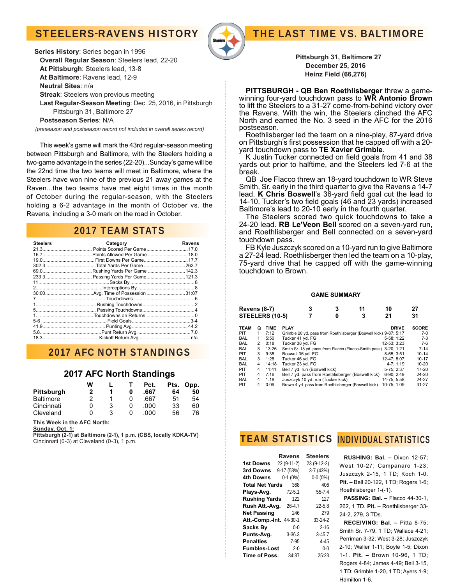# STEELERS-RAVENS HISTORY



**Series History**: Series began in 1996  **Overall Regular Season**: Steelers lead, 22-20  **At Pittsburgh**: Steelers lead, 13-8  **At Baltimore**: Ravens lead, 12-9  **Neutral Sites**: n/a **Streak**: Steelers won previous meeting **Last Regular-Season Meeting**: Dec. 25, 2016, in Pittsburgh Pittsburgh 31, Baltimore 27

 **Postseason Series**: N/A

*(preseason and postseason record not included in overall series record)*

 This week's game will mark the 43rd regular-season meeting between Pittsburgh and Baltimore, with the Steelers holding a two-game advantage in the series (22-20)...Sunday's game will be the 22nd time the two teams will meet in Baltimore, where the Steelers have won nine of the previous 21 away games at the Raven...the two teams have met eight times in the month of October during the regular-season, with the Steelers holding a 6-2 advantage in the month of October vs. the Ravens, including a 3-0 mark on the road in October.

### 2017 TEAM STATS

| <b>Steelers</b> | Category | Ravens |
|-----------------|----------|--------|
|                 |          |        |
|                 |          |        |
|                 |          |        |
|                 |          |        |
|                 |          |        |
|                 |          |        |
|                 |          |        |
|                 |          |        |
|                 |          |        |
|                 |          |        |
|                 |          |        |
|                 |          |        |
|                 |          |        |
|                 |          |        |
|                 |          |        |
|                 |          |        |
|                 |          |        |

## 2017 AFC NOTH STANDINGS

### **2017 AFC North Standings**

|                  | W |   | Pct. |    | Pts. Opp. |
|------------------|---|---|------|----|-----------|
| Pittsburgh       | 2 |   | .667 | 64 | 50        |
| <b>Baltimore</b> | 2 |   | .667 | 51 | 54        |
| Cincinnati       |   | 3 | .റററ | 33 | 60        |
| Cleveland        |   | 3 | റററ  | 56 | 76        |

**This Week in the AFC North:**

**Sunday, Oct. 1:**

**Pittsburgh (2-1) at Baltimore (2-1), 1 p.m. (CBS, locally KDKA-TV)** Cincinnati  $(0-3)$  at Cleveland  $(0-3)$ , 1 p.m.

**Pittsburgh 31, Baltimore 27 December 25, 2016 Heinz Field (66,276)**

THE LAST TIME VS. BALTIMORE

**PITTSBURGH - QB Ben Roethlisberger** threw a gamewinning four-yard touchdown pass to **WR Antonio Brown**  to lift the Steelers to a 31-27 come-from-behind victory over the Ravens. With the win, the Steelers clinched the AFC North and earned the No. 3 seed in the AFC for the 2016 postseason.

 Roethlisberger led the team on a nine-play, 87-yard drive on Pittsburgh's first possession that he capped off with a 20-<br>yard touchdown pass to **TE Xavier Grimble**.

K Justin Tucker connected on field goals from 41 and 38 yards out prior to halftime, and the Steelers led 7-6 at the break.

 QB Joe Flacco threw an 18-yard touchdown to WR Steve Smith, Sr. early in the third quarter to give the Ravens a 14-7 lead. **K Chris Boswell**'s 36-yard field goal cut the lead to 14-10. Tucker's two field goals (46 and 23 yards) increased Baltimore's lead to 20-10 early in the fourth quarter.

 The Steelers scored two quick touchdowns to take a 24-20 lead. **RB Le'Veon Bell** scored on a seven-yard run, and Roethlisberger and Bell connected on a seven-yard touchdown pass.

 FB Kyle Juszczyk scored on a 10-yard run to give Baltimore a 27-24 lead. Roethlisberger then led the team on a 10-play, 75-yard drive that he capped off with the game-winning touchdown to Brown.

#### **GAME SUMMARY**

| <b>Ravens (8-7)</b> |                |             |                                   | 3 | 3 | 11                                                                | 10           | 27           |
|---------------------|----------------|-------------|-----------------------------------|---|---|-------------------------------------------------------------------|--------------|--------------|
| STEELERS (10-5)     |                |             |                                   |   |   | 3                                                                 | 21           | 31           |
| <b>TEAM</b>         | Ο              | <b>TIME</b> | <b>PLAY</b>                       |   |   |                                                                   | <b>DRIVE</b> | <b>SCORE</b> |
| <b>PIT</b>          | 1              | 7:12        |                                   |   |   | Grimble 20 yd. pass from Roethlisberger (Boswell kick) 9-87; 5:17 |              | $7-0$        |
| <b>BAL</b>          | 1              | 5:50        | Tucker 41 yd. FG                  |   |   |                                                                   | 5-58: 1:22   | $7-3$        |
| <b>BAL</b>          | $\overline{2}$ | 0:18        | Tucker 38 yd. FG                  |   |   |                                                                   | 12-53: 3:23  | $7-6$        |
| <b>BAL</b>          | 3              | 13:26       |                                   |   |   | Smith Sr. 18 yd. pass from Flacco (Flacco-Smith pass)             | 3-20: 1:21   | $7 - 14$     |
| PIT                 | 3              | 9:35        | Boswell 36 yd. FG                 |   |   |                                                                   | 8-65: 3:51   | $10 - 14$    |
| <b>BAL</b>          | 3              | 1:28        | Tucker 46 yd. FG                  |   |   |                                                                   | 12-47: 8:07  | $10 - 17$    |
| <b>BAL</b>          | 4              | 14:18       | Tucker 23 yd. FG                  |   |   |                                                                   | $4-7:1:19$   | $10 - 20$    |
| <b>PIT</b>          | 4              | 11:41       | Bell 7 yd. run (Boswell kick)     |   |   |                                                                   | 5-75: 2:37   | 17-20        |
| <b>PIT</b>          | 4              | 7:16        |                                   |   |   | Bell 7 yd. pass from Roethlisberger (Boswell kick)                | 6-90: 2:49   | 24-20        |
| <b>BAL</b>          | 4              | 1:18        | Juszczyk 10 yd. run (Tucker kick) |   |   |                                                                   | 14-75; 5:58  | 24-27        |
| PIT                 | 4              | 0:09        |                                   |   |   | Brown 4 yd. pass from Roethlisberger (Boswell kick)               | 10-75: 1:09  | $31 - 27$    |
|                     |                |             |                                   |   |   |                                                                   |              |              |

**TEAM STATISTICS INDIVIDUAL STATISTICS** 

|                        | <b>Ravens</b> | <b>Steelers</b> |
|------------------------|---------------|-----------------|
| <b>1st Downs</b>       | 22 (9-11-2)   | 23 (9-12-2)     |
| 3rd Downs              | 9-17 (53%)    | $3-7(43%)$      |
| 4th Downs              | $0-1(0%)$     | $0-0(0\%)$      |
| <b>Total Net Yards</b> | 368           | 406             |
| Plays-Avg.             | $72 - 5.1$    | 55-7.4          |
| <b>Rushing Yards</b>   | 122           | 127             |
| Rush Att.-Avg.         | $26 - 4.7$    | $22 - 5.8$      |
| <b>Net Passing</b>     | 246           | 279             |
| Att.-Comp.-Int.        | 44-30-1       | $33 - 24 - 2$   |
| <b>Sacks By</b>        | $0 - 0$       | $2 - 16$        |
| Punts-Avg.             | $3 - 36.3$    | $3 - 45.7$      |
| Penalties              | 7-95          | $4 - 45$        |
| <b>Fumbles-Lost</b>    | $2 - 0$       | $0 - 0$         |
| Time of Poss.          | 34:37         | 25:23           |

 **RUSHING: Bal. –** Dixon 12-57; West 10-27; Campanaro 1-23; Juszczyk 2-15, 1 TD; Koch 1-0. **Pit. –** Bell 20-122, 1 TD; Rogers 1-6; Roethlisberger 1-(-1).

 **PASSING: Bal. –** Flacco 44-30-1, 262, 1 TD. **Pit. –** Roethlisberger 33- 24-2, 279, 3 TDs.

 **RECEIVING: Bal. –** Pitta 8-75; Smith Sr. 7-79, 1 TD; Wallace 4-21; Perriman 3-32; West 3-28; Juszczyk 2-10; Waller 1-11; Boyle 1-5; Dixon 1-1. **Pit. –** Brown 10-96, 1 TD; Rogers 4-84; James 4-49; Bell 3-15, 1 TD; Grimble 1-20, 1 TD; Ayers 1-9; Hamilton 1-6.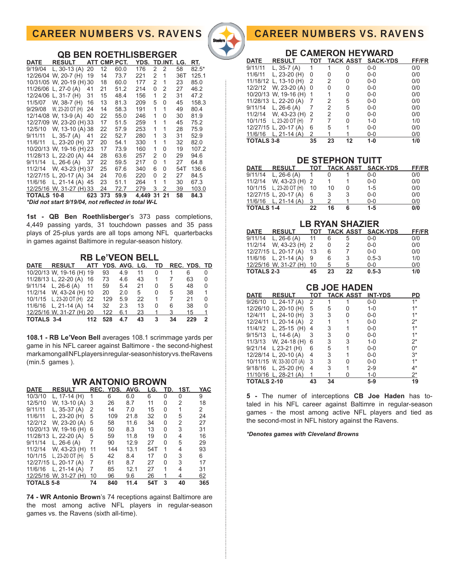# CAREER NUMBERS VS. RAVENS

**QB BEN ROETHLISBERGER**



## CAREER NUMBERS VS. RAVENS

| <b>DE CAMERON HEYWARD</b> |                         |     |    |           |                 |              |  |  |
|---------------------------|-------------------------|-----|----|-----------|-----------------|--------------|--|--|
| <b>DATE</b>               | <b>RESULT</b>           | тот |    | TACK ASST | <b>SACK-YDS</b> | <b>FF/FR</b> |  |  |
| 9/11/11                   | L, $35-7(A)$            | 1   | 1  | 0         | $0 - 0$         | 0/0          |  |  |
| 11/6/11                   | L, $23-20$ (H)          | 0   | 0  | 0         | $0 - 0$         | 0/0          |  |  |
|                           | 11/18/12 L, 13-10 (H)   | 2   | 2  | 0         | $0 - 0$         | 0/0          |  |  |
|                           | 12/2/12 W, 23-20 (A)    | 0   | 0  | 0         | $0 - 0$         | 0/0          |  |  |
|                           | 10/20/13 W, 19-16 (H)   | 1   |    | 0         | $0 - 0$         | 0/0          |  |  |
|                           | 11/28/13 L, 22-20 (A)   | 7   | 2  | 5         | $0 - 0$         | 0/0          |  |  |
|                           | $9/11/14$ L, 26-6 (A)   |     | 2  | 5         | $0 - 0$         | 0/0          |  |  |
|                           | $11/2/14$ W, 43-23 (H)  | 2   | 2  | 0         | $0 - 0$         | 0/0          |  |  |
|                           | 10/1/15 L, 23-20 OT (H) | 7   | 7  | 0         | $1 - 0$         | 1/0          |  |  |
|                           | 12/27/15 L, 20-17 (A)   | 6   | 5  | 1         | $0 - 0$         | 0/0          |  |  |
|                           | 11/6/16 L, 21-14 (A)    | 2   | 1  |           | $0 - 0$         | 0/0          |  |  |
| <b>TOTALS 3-8</b>         |                         | 35  | 23 | 12        | 1-0             | 1/0          |  |  |

| <b>DE STEPHON TUITT</b> |                         |    |    |   |                        |              |  |  |
|-------------------------|-------------------------|----|----|---|------------------------|--------------|--|--|
| <b>DATE</b>             | <b>RESULT</b>           |    |    |   | TOT TACK ASST SACK-YDS | <b>FF/FR</b> |  |  |
| 9/11/14                 | L, 26-6 (A) 1           |    | 0  |   | $0 - 0$                | 0/0          |  |  |
|                         | 11/2/14 W, 43-23 (H) 2  |    | 1  |   | $0 - 0$                | 0/0          |  |  |
|                         | 10/1/15 L, 23-20 OT (H) | 10 | 10 | 0 | $1 - 5$                | 0/0          |  |  |
|                         | 12/27/15 L, 20-17 (A)   | 6  | 3  | 3 | $0 - 0$                | 0/0          |  |  |
|                         | $11/6/16$ L, 21-14 (A)  | 3  |    |   | $0 - 0$                | 0/0          |  |  |
| <b>TOTALS 1-4</b>       |                         | 22 | 16 | 6 | $1 - 5$                | 0/0          |  |  |

| <b>LB RYAN SHAZIER</b> |                          |    |          |               |                        |       |  |  |
|------------------------|--------------------------|----|----------|---------------|------------------------|-------|--|--|
| <b>DATE</b>            | <b>RESULT</b>            |    |          |               | TOT TACK ASST SACK-YDS | FF/FR |  |  |
|                        | $9/11/14$ L, 26-6 (A) 11 |    | 6        | 5             | $0 - 0$                | 0/0   |  |  |
|                        | 11/2/14 W, 43-23 (H) 2   |    | $\Omega$ | $\mathcal{P}$ | $0 - 0$                | 0/0   |  |  |
|                        | 12/27/15 L, 20-17 (A)    | 13 | 6        | 7             | $0 - 0$                | 0/0   |  |  |
|                        | 11/6/16 L, 21-14 (A) 9   |    | 6        | 3             | $0.5 - 3$              | 1/0   |  |  |
|                        | 12/25/16 W, 31-27 (H) 10 |    | 5        | 5             | $0 - 0$                | 0/0   |  |  |
| <b>TOTALS 2-3</b>      |                          | 45 | 23       | 22            | $0.5 - 3$              | 1/0   |  |  |

| <b>CB JOE HADEN</b> |                          |     |    |                  |                |       |  |  |
|---------------------|--------------------------|-----|----|------------------|----------------|-------|--|--|
| DATE                | <b>RESULT</b>            | TOT |    | <b>TACK ASST</b> | <b>INT-YDS</b> | PD    |  |  |
| 9/26/10             | L, 24-17 (A)             | 2   |    |                  | $0-0$          | $1*$  |  |  |
|                     | 12/26/10 L, 20-10 (H)    | 5   | 5  | 0                | $1 - 0$        | $1*$  |  |  |
| 12/4/11             | L, $24-10$ (H)           | 3   | 3  | 0                | $0 - 0$        | $1*$  |  |  |
|                     | 12/24/11 L, 20-14 (A)    | 2   | 1  |                  | $0 - 0$        | $2^*$ |  |  |
|                     | 11/4/12 L, 25-15 (H)     | 4   | 3  |                  | $0 - 0$        | $1*$  |  |  |
|                     | $9/15/13$ L, 14-6 (A)    | 3   | 3  | 0                | $0 - 0$        | $1^*$ |  |  |
|                     | 11/3/13 W, 24-18 (H)     | 6   | 3  | 3                | $1 - 0$        | $2^*$ |  |  |
|                     | 9/21/14 L 23-21 (H)      | 6   | 5  |                  | $0-0$          | $0^*$ |  |  |
|                     | 12/28/14 L, 20-10 (A)    | 4   | 3  |                  | $0 - 0$        | $3*$  |  |  |
|                     | 10/11/15 W, 33-30 OT (A) | 3   | 3  | U                | $0 - 0$        | $1*$  |  |  |
|                     | $9/18/16$ L, 25-20 (H)   | 4   | 3  |                  | $2 - 9$        | 4*    |  |  |
|                     | 11/10/16 L, 28-21 (A)    | 1   |    | ი                | $1 - 0$        | 2*    |  |  |
| <b>TOTALS 2-10</b>  |                          | 43  | 34 |                  | $5-9$          | 19    |  |  |

**5 -** The numer of interceptions **CB Joe Haden** has totaled in his NFL career against Baltimre in regular-season games - the most among active NFL players and tied as the second-most in NFL history against the Ravens.

*\*Denotes games with Cleveland Browns*

| DATE        | <b>RESULT</b>                                      | ATT |     | CMP. PCT. | YDS.     |   | TD.INT. LG. |     | RT.     |
|-------------|----------------------------------------------------|-----|-----|-----------|----------|---|-------------|-----|---------|
| 9/19/04     | L, $30-13(A)$                                      | 20  | 12  | 60.0      | 176      | 2 | 2           | 58  | $82.5*$ |
|             | 12/26/04 W, 20-7 (H)                               | 19  | 14  | 73.7      | 221      | 2 | 1           | 36T | 125.1   |
|             | 10/31/05 W, 20-19 (H) 30                           |     | 18  | 60.0      | 177      | 2 | 1           | 23  | 85.0    |
|             | 11/26/06 L, 27-0 (A)                               | 41  | 21  | 51.2      | 214      | 0 | 2           | 27  | 46.2    |
|             | 12/24/06 L, 31-7 (H)                               | 31  | 15  | 48.4      | 156      | 1 | 2           | 31  | 47.2    |
| 11/5/07     | W, 38-7 (H)                                        | 16  | 13  | 81.3      | 209      | 5 | $\Omega$    | 45  | 158.3   |
| 9/29/08     | W, 23-20 OT (H)                                    | 24  | 14  | 58.3      | 191      | 1 | 1           | 49  | 80.4    |
|             | 12/14/08 W, 13-9 (A)                               | 40  | 22  | 55.0      | 246      | 1 | 0           | 30  | 81.9    |
|             | 12/27/09 W, 23-20 (H) 33                           |     | 17  | 51.5      | 259      | 1 | 1           | 45  | 75.2    |
| 12/5/10     | W. 13-10 (A) 38                                    |     | 22  | 57.9      | 253      | 1 | 1           | 28  | 75.9    |
| 9/11/11     | L, 35-7 (A)                                        | 41  | 22  | 52.7      | 280      | 1 | 3           | 31  | 52.9    |
| 11/6/11     | L, 23-20 (H) 37                                    |     | 20  | 54.1      | 330      | 1 | 1           | 32  | 82.0    |
|             | 10/20/13 W, 19-16 (H) 23                           |     | 17  | 73.9      | 160      | 1 | 0           | 19  | 107.2   |
|             | 11/28/13 L, 22-20 (A) 44                           |     | 28  | 63.6      | 257      | 2 | 0           | 29  | 94.6    |
| 9/11/14     | L, $26-6(A)$                                       | 37  | 22  | 59.5      | 217      | 0 | 1           | 27  | 64.8    |
| 11/2/14     | W. 43-23 (H) 37                                    |     | 25  | 67.6      | 340      | 6 | 0           | 54T | 136.6   |
|             | 12/27/15 L, 20-17 (A) 34                           |     | 24  | 70.6      | 220      | 0 | 2           | 27  | 84.5    |
|             | 11/6/16 L, 21-14 (A) 45                            |     | 23  | 51.1      | 264      | 1 | 1           | 30  | 67.3    |
|             | 12/25/16 W, 31-27 (H) 33                           |     | 24  | 72.7      | 279      | 3 | 2           | 39  | 103.0   |
| TOTALS 10-8 |                                                    | 623 | 373 | 59.9      | 4.449 31 |   | 21          | 58  | 84.3    |
|             | *Did not start 9/19/04, not reflected in total W-L |     |     |           |          |   |             |     |         |

**1st - QB Ben Roethlisberger**'s 373 pass completions, 4,449 passing yards, 31 touchdown passes and 35 pass

in games against Baltimore in regular-season history.

**RB Le'VEON BELL**

plays of 25-plus yards are all tops among NFL quarterbacks

|            | DATE RESULT ATT YDS AVG LG. TD REC YDS TD |     |     |     |    |                |                |     |                |
|------------|-------------------------------------------|-----|-----|-----|----|----------------|----------------|-----|----------------|
|            | 10/20/13 W, 19-16 (H) 19                  |     | 93  | 4.9 | 11 | $\overline{0}$ | $\overline{1}$ | 6   |                |
|            | 11/28/13 L, 22-20 (A) 16                  |     | 73  | 4.6 | 43 | 1              | 7              | 63  | $\Omega$       |
|            | $9/11/14$ L, 26-6 (A) 11                  |     | 59  | 5.4 | 21 | 0              | 5              | 48  | $\Omega$       |
|            | 11/2/14 W, 43-24 (H) 10                   |     | 20  | 2.0 | 5  | 0              | 5              | 38  | $\mathbf{1}$   |
|            | 10/1/15 L, 23-20 OT (H) 22                |     | 129 | 5.9 | 22 | 1              | 7              | 21  | <sup>0</sup>   |
|            | 11/6/16 L, 21-14 (A) 14                   |     | 32  | 2.3 | 13 | 0              | 6              | 38  | $\Omega$       |
|            | 12/25/16 W, 31-27 (H) 20                  |     | 122 | 6.1 | 23 | 1 3            |                | 15  | $\overline{1}$ |
| TOTALS 3-4 |                                           | 112 | 528 | 4.7 | 43 | 3              | 34             | 229 | 2              |

**108.1 - RB Le'Veon Bell** averages 108.1 scrimmage yards per game in his NFL career against Baltimore - the second-highest mark among all NFL players in regular-season history vs. the Ravens (min.5 games ).

| <b>DATE</b>       | <b>RESULT</b>         |    | REC. YDS. AVG. |      | LG. | TD. | 1ST. | YAC            |
|-------------------|-----------------------|----|----------------|------|-----|-----|------|----------------|
| 10/3/10           | L, 17-14 (H)          | 1  | 6              | 6.0  | 6   | 0   | 0    | 9              |
| 12/5/10           | W, 13-10 (A)          | 3  | 26             | 8.7  | 11  | 0   | 2    | 18             |
| 9/11/11           | L, $35-37(A)$         | 2  | 14             | 7.0  | 15  | 0   |      | $\overline{2}$ |
| 11/6/11           | L, $23-20$ (H)        | 5  | 109            | 21.8 | 32  | 0   | 5    | 24             |
| 12/2/12           | W, 23-20 (A)          | 5  | 58             | 11.6 | 34  | 0   | 2    | 27             |
|                   | 10/20/13 W, 19-16 (H) | 6  | 50             | 8.3  | 13  | 0   | 3    | 31             |
|                   | 11/28/13 L, 22-20 (A) | 5  | 59             | 11.8 | 19  | 0   | 4    | 16             |
| 9/11/14           | L, $26-6(A)$          | 7  | 90             | 12.9 | 27  | 0   | 5    | 29             |
| 11/2/14           | W, 43-23 (H)          | 11 | 144            | 13.1 | 54T | 1   | 4    | 93             |
| 10/1/15           | L, 23-20 OT $(H)$     | 5  | 42             | 8.4  | 17  | 0   | 3    | 6              |
|                   | 12/27/15 L, 20-17 (A) | 7  | 61             | 8.7  | 27  | 0   | 3    | 17             |
| 11/6/16           | L, $21-14(A)$         | 7  | 85             | 12.1 | 27  | 1   | 4    | 31             |
|                   | 12/25/16 W, 31-27 (H) | 10 | 96             | 9.6  | 26  | 1   | 4    | 62             |
| <b>TOTALS 5-8</b> |                       | 74 | 840            | 11.4 | 54T | 3   | 40   | 365            |

**WR ANTONIO BROWN**

**74 - WR Antonio Brown**'s 74 receptions against Baltimore are the most among active NFL players in regular-season games vs. the Ravens (sixth all-time).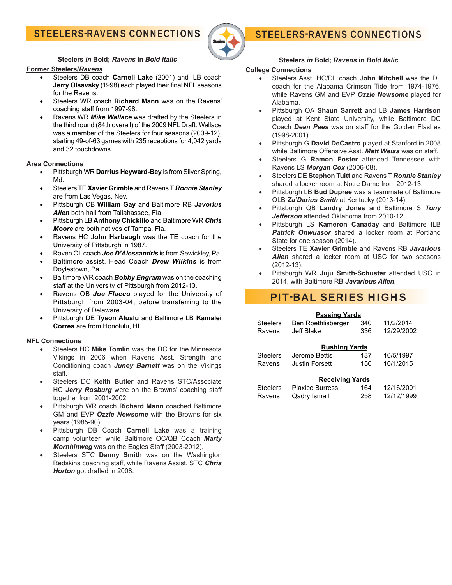# STEELERS-RAVENS CONNECTIONS



# STEELERS-RAVENS CONNECTIONS

**Steelers** *in* **Bold;** *Ravens* **in** *Bold Italic*

#### **Former Steelers/***Ravens*

- Steelers DB coach **Carnell Lake** (2001) and ILB coach Jerry Olsavsky (1998) each played their final NFL seasons for the Ravens.
- Steelers WR coach **Richard Mann** was on the Ravens' coaching staff from 1997-98.
- Ravens WR *Mike Wallace* was drafted by the Steelers in the third round (84th overall) of the 2009 NFL Draft. Wallace was a member of the Steelers for four seasons (2009-12), starting 49-of-63 games with 235 receptions for 4,042 yards and 32 touchdowns.

#### **Area Connections**

- Pittsburgh WR **Darrius Heyward-Bey** is from Silver Spring, Md.
- Steelers TE **Xavier Grimble** and Ravens T *Ronnie Stanley* are from Las Vegas, Nev.
- Pittsburgh CB **William Gay** and Baltimore RB *Javorius Allen* both hail from Tallahassee, Fla.
- Pittsburgh LB **Anthony Chickillo** and Baltimore WR *Chris Moore* are both natives of Tampa, Fla.
- Ravens HC J**ohn Harbaugh** was the TE coach for the University of Pittsburgh in 1987.
- Raven OL coach *Joe D'Alessandris* is from Sewickley, Pa.
- Baltimore assist. Head Coach *Drew Wilkins* is from Doylestown, Pa.
- Baltimore WR coach *Bobby Engram* was on the coaching staff at the University of Pittsburgh from 2012-13.
- Ravens QB *Joe Flacco* played for the University of Pittsburgh from 2003-04, before transferring to the University of Delaware.
- Pittsburgh DE **Tyson Alualu** and Baltimore LB **Kamalei Correa** are from Honolulu, HI.

### **NFL Connections**

- Steelers HC **Mike Tomlin** was the DC for the Minnesota Vikings in 2006 when Ravens Asst. Strength and Conditioning coach *Juney Barnett* was on the Vikings staff .
- Steelers DC **Keith Butler** and Ravens STC/Associate HC *Jerry Rosburg* were on the Browns' coaching staff together from 2001-2002.
- Pittsburgh WR coach **Richard Mann** coached Baltimore GM and EVP *Ozzie Newsome* with the Browns for six years (1985-90).
- Pittsburgh DB Coach **Carnell Lake** was a training camp volunteer, while Baltimore OC/QB Coach *Marty Mornhinweg* was on the Eagles Staff (2003-2012).
- Steelers STC **Danny Smith** was on the Washington Redskins coaching staff , while Ravens Assist. STC *Chris Horton* got drafted in 2008.

### **Steelers** *in* **Bold;** *Ravens* **in** *Bold Italic*

#### **College Connections**

- Steelers Asst. HC/DL coach **John Mitchell** was the DL coach for the Alabama Crimson Tide from 1974-1976, while Ravens GM and EVP *Ozzie Newsome* played for Alabama.
- Pittsburgh OA **Shaun Sarrett** and LB **James Harrison**  played at Kent State University, while Baltimore DC Coach *Dean Pees* was on staff for the Golden Flashes (1998-2001).
- Pittsburgh G **David DeCastro** played at Stanford in 2008 while Baltimore Offensive Asst. **Matt Weiss** was on staff.
- Steelers G **Ramon Foster** attended Tennessee with Ravens LS *Morgan Cox* (2006-08).
- Steelers DE **Stephon Tuitt** and Ravens T *Ronnie Stanley* shared a locker room at Notre Dame from 2012-13.
- Pittsburgh LB **Bud Dupree** was a teammate of Baltimore OLB *Za'Darius Smith* at Kentucky (2013-14).
- Pittsburgh QB **Landry Jones** and Baltimore S *Tony*  **Jefferson** attended Oklahoma from 2010-12.
- Pittsburgh LS **Kameron Canaday** and Baltimore ILB *Patrick Onwuasor* shared a locker room at Portland State for one season (2014).
- Steelers TE **Xavier Grimble** and Ravens RB *Javarious Allen* shared a locker room at USC for two seasons (2012-13).
- Pittsburgh WR **Juju Smith-Schuster** attended USC in 2014, with Baltimore RB *Javarious Allen*.

# PIT-BAL SERIES HIGHS

#### **Passing Yards**

| <b>Steelers</b>        | Ben Roethlisberger     | 340 | 11/2/2014  |  |  |  |  |  |
|------------------------|------------------------|-----|------------|--|--|--|--|--|
| Ravens                 | Jeff Blake             | 336 | 12/29/2002 |  |  |  |  |  |
|                        |                        |     |            |  |  |  |  |  |
| <b>Rushing Yards</b>   |                        |     |            |  |  |  |  |  |
| <b>Steelers</b>        | Jerome Bettis          | 137 | 10/5/1997  |  |  |  |  |  |
| Ravens                 | <b>Justin Forsett</b>  | 150 | 10/1/2015  |  |  |  |  |  |
|                        |                        |     |            |  |  |  |  |  |
| <b>Receiving Yards</b> |                        |     |            |  |  |  |  |  |
| <b>Steelers</b>        | <b>Plaxico Burress</b> | 164 | 12/16/2001 |  |  |  |  |  |
| Ravens                 | Qadry Ismail           | 258 | 12/12/1999 |  |  |  |  |  |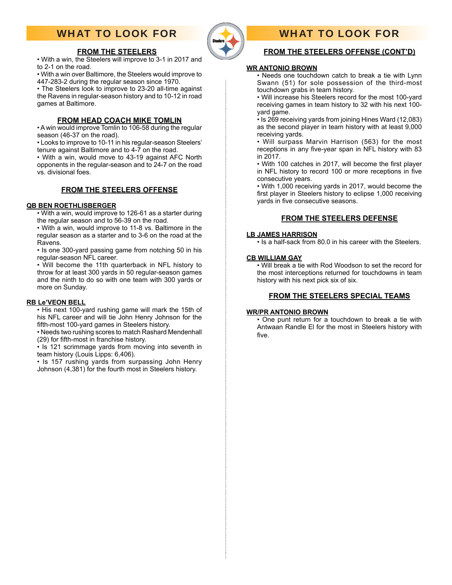# WHAT TO LOOK FOR



# WHAT TO LOOK FOR

### **FROM THE STEELERS OFFENSE (CONT'D)**

#### **WR ANTONIO BROWN**

• Needs one touchdown catch to break a tie with Lynn Swann (51) for sole possession of the third-most touchdown grabs in team history.

• Will increase his Steelers record for the most 100-yard receiving games in team history to 32 with his next 100 yard game.

• Is 269 receiving yards from joining Hines Ward (12,083) as the second player in team history with at least 9,000 receiving yards.

• Will surpass Marvin Harrison (563) for the most receptions in any five-year span in NFL history with 83 in 2017.

• With 100 catches in 2017, will become the first player in NFL history to record 100 or more receptions in five consecutive years.

• With 1,000 receiving yards in 2017, would become the first player in Steelers history to eclipse 1,000 receiving vards in five consecutive seasons.

### **FROM THE STEELERS DEFENSE**

#### **LB JAMES HARRISON**

• Is a half-sack from 80.0 in his career with the Steelers.

#### **CB WILLIAM GAY**

• Will break a tie with Rod Woodson to set the record for the most interceptions returned for touchdowns in team history with his next pick six of six.

### **FROM THE STEELERS SPECIAL TEAMS**

#### **WR/PR ANTONIO BROWN**

• One punt return for a touchdown to break a tie with Antwaan Randle El for the most in Steelers history with five.

**FROM THE STEELERS**

• With a win, the Steelers will improve to 3-1 in 2017 and to 2-1 on the road.

• With a win over Baltimore, the Steelers would improve to 447-283-2 during the regular season since 1970.

• The Steelers look to improve to 23-20 all-time against the Ravens in regular-season history and to 10-12 in road games at Baltimore.

### **FROM HEAD COACH MIKE TOMLIN**

• A win would improve Tomlin to 106-58 during the regular season (46-37 on the road).

• Looks to improve to 10-11 in his regular-season Steelers' tenure against Baltimore and to 4-7 on the road.

• With a win, would move to 43-19 against AFC North opponents in the regular-season and to 24-7 on the road vs. divisional foes.

### **FROM THE STEELERS OFFENSE**

#### **QB BEN ROETHLISBERGER**

• With a win, would improve to 126-61 as a starter during the regular season and to 56-39 on the road.

• With a win, would improve to 11-8 vs. Baltimore in the regular season as a starter and to 3-6 on the road at the Ravens.

• Is one 300-yard passing game from notching 50 in his regular-season NFL career.

• Will become the 11th quarterback in NFL history to throw for at least 300 yards in 50 regular-season games and the ninth to do so with one team with 300 yards or more on Sunday.

### **RB Le'VEON BELL**

• His next 100-yard rushing game will mark the 15th of his NFL career and will tie John Henry Johnson for the fifth-most 100-yard games in Steelers history.

• Needs two rushing scores to match Rashard Mendenhall (29) for fifth-most in franchise history.

• Is 121 scrimmage yards from moving into seventh in team history (Louis Lipps: 6,406).

• Is 157 rushing yards from surpassing John Henry Johnson (4,381) for the fourth most in Steelers history.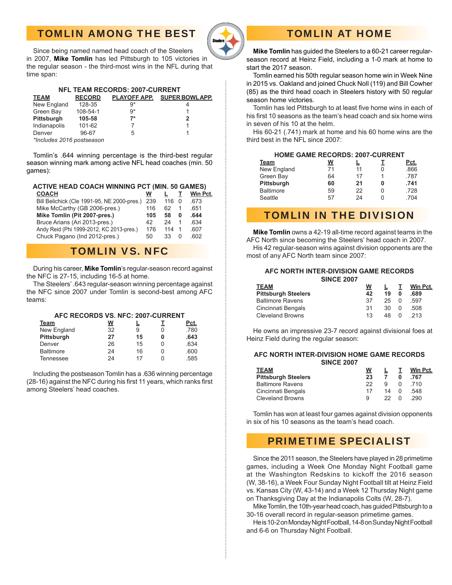# TOMLIN AMONG THE BEST



# TOMLIN AT HOME

 Since being named named head coach of the Steelers in 2007, **Mike Tomlin** has led Pittsburgh to 105 victories in the regular season - the third-most wins in the NFL during that time span:

| <b>NFL TEAM RECORDS: 2007-CURRENT</b> |               |      |                             |  |  |  |  |  |
|---------------------------------------|---------------|------|-----------------------------|--|--|--|--|--|
| <b>TEAM</b>                           | <b>RECORD</b> |      | PLAYOFF APP. SUPER BOWLAPP. |  |  |  |  |  |
| New England                           | 128-35        | 9*   |                             |  |  |  |  |  |
| Green Bay                             | 108-54-1      | $9*$ |                             |  |  |  |  |  |
| Pittsburgh                            | 105-58        | $7*$ | 2                           |  |  |  |  |  |
| Indianapolis                          | 101-62        |      |                             |  |  |  |  |  |
| Denver                                | 96-67         | 5    |                             |  |  |  |  |  |
| *Includes 2016 postseason             |               |      |                             |  |  |  |  |  |

Tomlin's .644 winning percentage is the third-best regular season winning mark among active NFL head coaches (min. 50 games):

#### **ACTIVE HEAD COACH WINNING PCT (MIN. 50 GAMES)**

| <b>COACH</b>                                | W   |     |          | Win Pct. |
|---------------------------------------------|-----|-----|----------|----------|
| Bill Belichick (Cle 1991-95, NE 2000-pres.) | 239 | 116 | $\Omega$ | .673     |
| Mike McCarthy (GB 2006-pres.)               | 116 | 62  |          | .651     |
| Mike Tomlin (Pit 2007-pres.)                | 105 | 58  | 0        | .644     |
| Bruce Arians (Ari 2013-pres.)               | 42  | 24  |          | .634     |
| Andy Reid (Phi 1999-2012, KC 2013-pres.)    | 176 | 114 |          | .607     |
| Chuck Pagano (Ind 2012-pres.)               | 50  | 33  | 0        | .602     |
|                                             |     |     |          |          |

# TOMLIN VS. NFC

 During his career, **Mike Tomlin**'s regular-season record against the NFC is 27-15, including 16-5 at home.

 The Steelers' .643 regular-season winning percentage against the NFC since 2007 under Tomlin is second-best among AFC teams:

#### **AFC RECORDS VS. NFC: 2007-CURRENT**

| Team             | W  |    | Pct. |
|------------------|----|----|------|
| New England      | 32 | 9  | .780 |
| Pittsburgh       | 27 | 15 | .643 |
| Denver           | 26 | 15 | .634 |
| <b>Baltimore</b> | 24 | 16 | .600 |
| <b>Tennessee</b> | 24 | 17 | .585 |
|                  |    |    |      |

Including the postseason Tomlin has a .636 winning percentage (28-16) against the NFC during his first 11 years, which ranks first among Steelers' head coaches.

 **Mike Tomlin** has guided the Steelers to a 60-21 career regularseason record at Heinz Field, including a 1-0 mark at home to start the 2017 season.

 Tomlin earned his 50th regular season home win in Week Nine in 2015 vs. Oakland and joined Chuck Noll (119) and Bill Cowher (85) as the third head coach in Steelers history with 50 regular season home victories.

Tomlin has led Pittsburgh to at least five home wins in each of his first 10 seasons as the team's head coach and six home wins in seven of his 10 at the helm.

 His 60-21 (.741) mark at home and his 60 home wins are the third best in the NFL since 2007:

### **HOME GAME RECORDS: 2007-CURRENT**

| Team             | <u>W</u> |    | Pct. |
|------------------|----------|----|------|
| New England      | 71       | 11 | .866 |
| Green Bay        | 64       | 17 | .787 |
| Pittsburgh       | 60       | 21 | .741 |
| <b>Baltimore</b> | 59       | 22 | .728 |
| Seattle          | 57       | 24 | .704 |
|                  |          |    |      |

## TOMLIN IN THE DIVISION

**Mike Tomlin** owns a 42-19 all-time record against teams in the AFC North since becoming the Steelers' head coach in 2007. His 42 regular-season wins against division opponents are the most of any AFC North team since 2007:

#### **AFC NORTH INTER-DIVISION GAME RECORDS SINCE 2007**

| w<br>42 | 19  | 0        | Win Pct.<br>.689 |
|---------|-----|----------|------------------|
| 37      | 25  | $\Omega$ | 597              |
| 31      | 30. | $\Omega$ | 508              |
| 1.3     |     | $\Omega$ | -213             |
|         |     |          | 48               |

 He owns an impressive 23-7 record against divisional foes at Heinz Field during the regular season:

#### **AFC NORTH INTER-DIVISION HOME GAME RECORDS SINCE 2007**

| W  |    |              | Win Pct. |
|----|----|--------------|----------|
| 23 |    |              | .767     |
| つつ | g  | <sup>0</sup> | 710      |
| 17 | 14 | U            | 548      |
| a  | フフ | $\Omega$     | 290      |
|    |    |              |          |

 Tomlin has won at least four games against division opponents in six of his 10 seasons as the team's head coach.

# PRIMETIME SPECIALIST

 Since the 2011 season, the Steelers have played in 28 primetime games, including a Week One Monday Night Football game at the Washington Redskins to kickoff the 2016 season (W, 38-16), a Week Four Sunday Night Football tilt at Heinz Field vs. Kansas City (W, 43-14) and a Week 12 Thursday Night game on Thanksgiving Day at the Indianapolis Colts (W, 28-7).

 Mike Tomlin, the 10th-year head coach, has guided Pittsburgh to a 30-16 overall record in regular-season primetime games.

 He is 10-2 on Monday Night Football, 14-8 on Sunday Night Football and 6-6 on Thursday Night Football.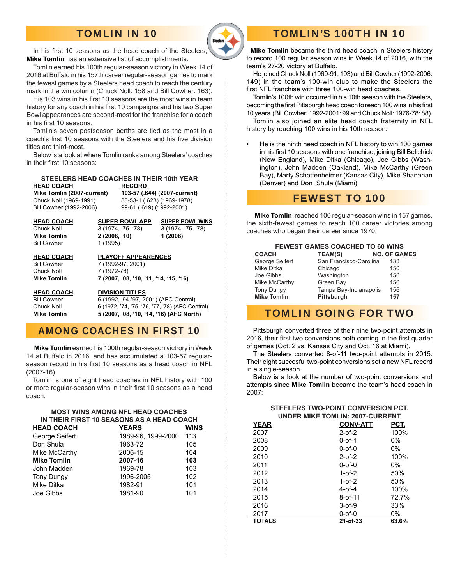# TOMLIN IN 10



In his first 10 seasons as the head coach of the Steelers. **Mike Tomlin** has an extensive list of accomplishments.

 Tomlin earned his 100th regular-season victrory in Week 14 of 2016 at Buffalo in his 157th career regular-season games to mark the fewest games by a Steelers head coach to reach the century mark in the win column (Chuck Noll: 158 and Bill Cowher: 163).

His 103 wins in his first 10 seasons are the most wins in team history for any coach in his first 10 campaigns and his two Super Bowl appearances are second-most for the franchise for a coach in his first 10 seasons.

 Tomlin's seven postseason berths are tied as the most in a coach's first 10 seasons with the Steelers and his five division titles are third-most.

 Below is a look at where Tomlin ranks among Steelers' coaches in their first 10 seasons:

#### **STEELERS HEAD COACHES IN THEIR 10th YEAR HEAD COACH RECORD**

 **Mike Tomlin (2007-current) 103-57 (.644) (2007-current)** Chuck Noll (1969-1991) 88-53-1 (.623) (1969-1978)

Bill Cowher (1992-2006) 99-61 (.619) (1992-2001)

**Bill Cowher** 

 **HEAD COACH SUPER BOWL APP. SUPER BOWL WINS** Chuck Noll 3 (1974, '75, '78) 3 (1974, '75, '78) **Mike Tomlin 2 (2008, '10) 1 (2008)**<br> **Bill Cowher** 1 (1995)

Chuck Noll 7 (1972-78)

 **HEAD COACH PLAYOFF APPEARENCES** Bill Cowher 7 (1992-97, 2001) **Mike Tomlin 7 (2007, '08, '10, '11, '14, '15, '16)**

 **HEAD COACH DIVISION TITLES**

 Bill Cowher 6 (1992, '94-'97, 2001) (AFC Central) Chuck Noll 6 (1972, '74, '75, '76, '77, '78) (AFC Central) **Mike Tomlin 5 (2007, '08, '10, '14, '16) (AFC North)**

# AMONG COACHES IN FIRST 10

 **Mike Tomlin** earned his 100th regular-season victrory in Week 14 at Buffalo in 2016, and has accumulated a 103-57 regularseason record in his first 10 seasons as a head coach in NFL (2007-16).

 Tomlin is one of eight head coaches in NFL history with 100 or more regular-season wins in their first 10 seasons as a head coach:

#### **MOST WINS AMONG NFL HEAD COACHES IN THEIR FIRST 10 SEASONS AS A HEAD COACH**

| <b>HEAD COACH</b>  | <b>YEARS</b>       | WINS |
|--------------------|--------------------|------|
| George Seifert     | 1989-96, 1999-2000 | 113  |
| Don Shula          | 1963-72            | 105  |
| Mike McCarthy      | 2006-15            | 104  |
| <b>Mike Tomlin</b> | 2007-16            | 103  |
| John Madden        | 1969-78            | 103  |
| <b>Tony Dungy</b>  | 1996-2005          | 102  |
| Mike Ditka         | 1982-91            | 101  |
| Joe Gibbs          | 1981-90            | 101  |
|                    |                    |      |

# TOMLIN'S 100TH IN 10

 **Mike Tomlin** became the third head coach in Steelers history to record 100 regular season wins in Week 14 of 2016, with the team's 27-20 victory at Buffalo.

 He joined Chuck Noll (1969-91: 193) and Bill Cowher (1992-2006: 149) in the team's 100-win club to make the Steelers the first NFL franchise with three 100-win head coaches.

 Tomlin's 100th win occurred in his 10th season with the Steelers, becoming the first Pittsburgh head coach to reach 100 wins in his first 10 years (Bill Cowher: 1992-2001: 99 and Chuck Noll: 1976-78: 88).

 Tomlin also joined an elite head coach fraternity in NFL history by reaching 100 wins in his 10th season:

• He is the ninth head coach in NFL history to win 100 games in his first 10 seasons with one franchise, joining Bill Belichick (New England), Mike Ditka (Chicago), Joe Gibbs (Washington), John Madden (Oakland), Mike McCarthy (Green Bay), Marty Schottenheimer (Kansas City), Mike Shanahan (Denver) and Don Shula (Miami).

## FEWEST TO 100

 **Mike Tomlin** reached 100 regular-season wins in 157 games, the sixth-fewest games to reach 100 career victories among coaches who began their career since 1970:

#### **FEWEST GAMES COACHED TO 60 WINS**

| <b>COACH</b>       | <b>TEAM(S)</b>         | <b>NO. OF GAMES</b> |
|--------------------|------------------------|---------------------|
| George Seifert     | San Francisco-Carolina | 133                 |
| Mike Ditka         | Chicago                | 150                 |
| Joe Gibbs          | Washington             | 150                 |
| Mike McCarthy      | Green Bay              | 150                 |
| <b>Tony Dungy</b>  | Tampa Bay-Indianapolis | 156                 |
| <b>Mike Tomlin</b> | Pittsburgh             | 157                 |

# TOMLIN GOING FOR TWO

 Pittsburgh converted three of their nine two-point attempts in 2016, their first two conversions both coming in the first quarter of games (Oct. 2 vs. Kansas City and Oct. 16 at Miami).

The Steelers converted 8-of-11 two-point attempts in 2015. Their eight succesful two-point conversions set a new NFL record in a single-season.

 Below is a look at the number of two-point conversions and attempts since **Mike Tomlin** became the team's head coach in 2007:

### **STEELERS TWO-POINT CONVERSION PCT. UNDER MIKE TOMLIN: 2007-CURRENT**

| <b>YEAR</b>   | <b>CONV-ATT</b> | PCT.  |
|---------------|-----------------|-------|
| 2007          | $2-0f-2$        | 100%  |
| 2008          | 0-of-1          | 0%    |
| 2009          | $0$ -of- $0$    | 0%    |
| 2010          | $2-0f-2$        | 100%  |
| 2011          | 0-of-0          | 0%    |
| 2012          | $1-0f-2$        | 50%   |
| 2013          | $1-$ of- $2$    | 50%   |
| 2014          | $4-$ of- $4$    | 100%  |
| 2015          | $8-0f-11$       | 72.7% |
| 2016          | $3-0f-9$        | 33%   |
| 2017          | 0-of-0          | 0%    |
| <b>TOTALS</b> | $21 - of - 33$  | 63.6% |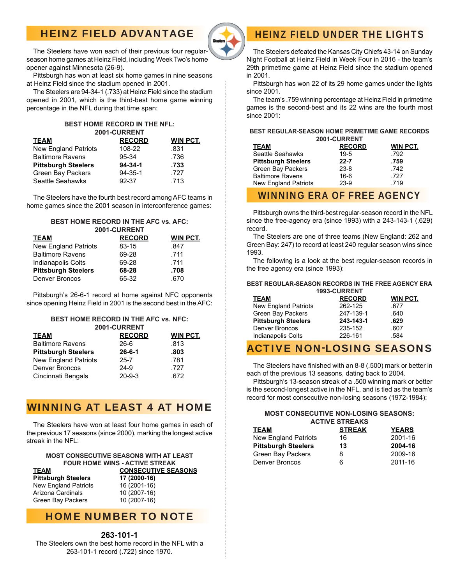# HEINZ FIELD ADVANTAGE



The Steelers have won each of their previous four regularseason home games at Heinz Field, including Week Two's home opener against Minnesota (26-9).

 Pittsburgh has won at least six home games in nine seasons at Heinz Field since the stadium opened in 2001.

 The Steelers are 94-34-1 (.733) at Heinz Field since the stadium opened in 2001, which is the third-best home game winning percentage in the NFL during that time span:

#### **BEST HOME RECORD IN THE NFL: 2001-CURRENT**

| <b>TEAM</b>                 | <b>RECORD</b> | <b>WIN PCT.</b> |
|-----------------------------|---------------|-----------------|
| <b>New England Patriots</b> | 108-22        | .831            |
| <b>Baltimore Ravens</b>     | 95-34         | .736            |
| <b>Pittsburgh Steelers</b>  | $94 - 34 - 1$ | .733            |
| Green Bay Packers           | $94 - 35 - 1$ | .727            |
| Seattle Seahawks            | 92-37         | .713            |

The Steelers have the fourth best record among AFC teams in home games since the 2001 season in interconference games:

#### **BEST HOME RECORD IN THE AFC vs. AFC: 2001-CURRENT**

| <b>TEAM</b>                 | <b>RECORD</b> | <b>WIN PCT.</b> |
|-----------------------------|---------------|-----------------|
| <b>New England Patriots</b> | 83-15         | .847            |
| <b>Baltimore Ravens</b>     | 69-28         | .711            |
| Indianapolis Colts          | 69-28         | .711            |
| <b>Pittsburgh Steelers</b>  | 68-28         | .708            |
| Denver Broncos              | 65-32         | .670            |

Pittsburgh's 26-6-1 record at home against NFC opponents since opening Heinz Field in 2001 is the second best in the AFC:

#### **BEST HOME RECORD IN THE AFC vs. NFC: 2001-CURRENT**

| <b>TEAM</b>                | <b>RECORD</b> | <b>WIN PCT.</b> |
|----------------------------|---------------|-----------------|
| <b>Baltimore Ravens</b>    | 26-6          | .813            |
| <b>Pittsburgh Steelers</b> | $26 - 6 - 1$  | .803            |
| New England Patriots       | 25-7          | .781            |
| Denver Broncos             | 24-9          | .727            |
| Cincinnati Bengals         | $20 - 9 - 3$  | .672            |
|                            |               |                 |

# WINNING AT LEAST 4 AT HOME

The Steelers have won at least four home games in each of the previous 17 seasons (since 2000), marking the longest active streak in the NFL:

#### **MOST CONSECUTIVE SEASONS WITH AT LEAST FOUR HOME WINS - ACTIVE STREAK**

| TEAM                       | <b>CONSECUTIVE SEASONS</b> |  |  |
|----------------------------|----------------------------|--|--|
| <b>Pittsburgh Steelers</b> | 17 (2000-16)               |  |  |
| New England Patriots       | 16 (2001-16)               |  |  |
| Arizona Cardinals          | 10 (2007-16)               |  |  |
| Green Bay Packers          | 10 (2007-16)               |  |  |

## HOME NUMBER TO NOTE

### **263-101-1**

The Steelers own the best home record in the NFL with a 263-101-1 record (.722) since 1970.

# HEINZ FIELD UNDER THE LIGHTS

 The Steelers defeated the Kansas City Chiefs 43-14 on Sunday Night Football at Heinz Field in Week Four in 2016 - the team's 29th primetime game at Heinz Field since the stadium opened in 2001.

 Pittsburgh has won 22 of its 29 home games under the lights since 2001.

 The team's .759 winning percentage at Heinz Field in primetime games is the second-best and its 22 wins are the fourth most since 2001:

#### **BEST REGULAR-SEASON HOME PRIMETIME GAME RECORDS 2001-CURRENT**

| <b>TEAM</b>                 | <b>RECORD</b> | WIN PCT. |
|-----------------------------|---------------|----------|
| Seattle Seahawks            | $19 - 5$      | .792     |
| <b>Pittsburgh Steelers</b>  | $22 - 7$      | .759     |
| Green Bay Packers           | $23 - 8$      | .742     |
| <b>Baltimore Ravens</b>     | 16-6          | .727     |
| <b>New England Patriots</b> | 23-9          | .719     |
|                             |               |          |

## WINNING ERA OF FREE AGENCY

 Pittsburgh owns the third-best regular-season record in the NFL since the free-agency era (since 1993) with a 243-143-1 (.629) record.

 The Steelers are one of three teams (New England: 262 and Green Bay: 247) to record at least 240 regular season wins since 1993.

 The following is a look at the best regular-season records in the free agency era (since 1993):

#### **BEST REGULAR-SEASON RECORDS IN THE FREE AGENCY ERA 1993-CURRENT**

| <b>TEAM</b>                 | <b>RECORD</b> | <b>WIN PCT.</b> |  |  |
|-----------------------------|---------------|-----------------|--|--|
| <b>New England Patriots</b> | 262-125       | .677            |  |  |
| Green Bay Packers           | 247-139-1     | .640            |  |  |
| <b>Pittsburgh Steelers</b>  | 243-143-1     | .629            |  |  |
| Denver Broncos              | 235-152       | .607            |  |  |
| Indianapolis Colts          | 226-161       | .584            |  |  |
|                             |               |                 |  |  |

# ACTIVE NON-LOSING SEASONS

The Steelers have finished with an 8-8 (.500) mark or better in each of the previous 13 seasons, dating back to 2004.

 Pittsburgh's 13-season streak of a .500 winning mark or better is the second-longest active in the NFL, and is tied as the team's record for most consecutive non-losing seasons (1972-1984):

#### **MOST CONSECUTIVE NON-LOSING SEASONS: ACTIVE STREAKS**

| <b>TEAM</b>                 | <b>STREAK</b> | <b>YEARS</b> |
|-----------------------------|---------------|--------------|
| <b>New England Patriots</b> | 16            | 2001-16      |
| <b>Pittsburgh Steelers</b>  | 13            | 2004-16      |
| Green Bay Packers           | 8             | 2009-16      |
| Denver Broncos              | 6             | 2011-16      |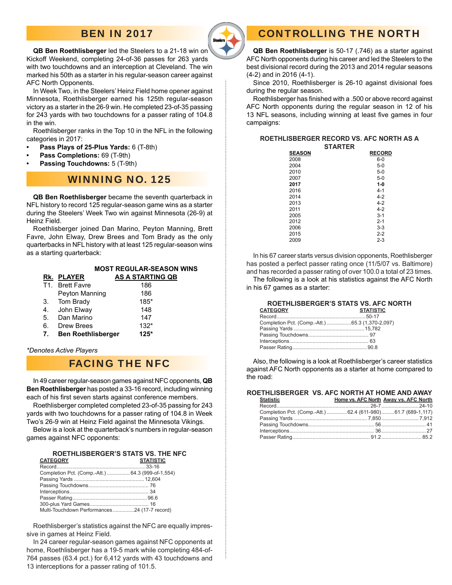# **BEN IN 2017**



#### **QB Ben Roethlisberger** led the Steelers to a 21-18 win on Kickoff Weekend, completing 24-of-36 passes for 263 yards with two touchdowns and an interception at Cleveland. The win marked his 50th as a starter in his regular-season career against AFC North Opponents.

 In Week Two, in the Steelers' Heinz Field home opener against Minnesota, Roethlisberger earned his 125th regular-season victory as a starter in the 26-9 win. He completed 23-of-35 passing for 243 yards with two touchdowns for a passer rating of 104.8 in the win.

 Roethlisberger ranks in the Top 10 in the NFL in the following categories in 2017:

- **Pass Plays of 25-Plus Yards:** 6 (T-8th)
- **Pass Completions:** 69 (T-9th)
- **Passing Touchdowns:** 5 (T-9th)

# WINNING NO. 125

**QB Ben Roethlisberger** became the seventh quarterback in NFL history to record 125 regular-season game wins as a starter during the Steelers' Week Two win against Minnesota (26-9) at Heinz Field.

 Roethlisberger joined Dan Marino, Peyton Manning, Brett Favre, John Elway, Drew Brees and Tom Brady as the only quarterbacks in NFL history with at least 125 regular-season wins as a starting quarterback:

|    |                   | <b>MOST REGULAR-SEASON WINS</b> |
|----|-------------------|---------------------------------|
|    | <b>RK. PLAYER</b> | <u>AS A STARTING QB</u>         |
|    | T1. Brett Favre   | 186                             |
|    | Peyton Manning    | 186                             |
| 3. | Tom Brady         | 185*                            |
|    | John Elway        | 148                             |

#### 5. Dan Marino 147 6. Drew Brees 132\*

 **7. Ben Roethlisberger 125\***

*\*Denotes Active Players* 

## FACING THE NFC

 In 49 career regular-season games against NFC opponents, **QB Ben Roethlisberger** has posted a 33-16 record, including winning each of his first seven starts against conference members.

 Roethlisberger completed completed 23-of-35 passing for 243 yards with two touchdowns for a passer rating of 104.8 in Week Two's 26-9 win at Heinz Field against the Minnesota Vikings.

 Below is a look at the quarterback's numbers in regular-season games against NFC opponents:

## **ROETHLISBERGER'S STATS VS. THE NFC**<br>CATEGORY

| <b>CATEGORY</b>                                   | <b>STATISTIC</b> |
|---------------------------------------------------|------------------|
|                                                   |                  |
| Completion Pct. (Comp.-Att.)  64.3 (999-of-1,554) |                  |
|                                                   |                  |
|                                                   |                  |
|                                                   |                  |
|                                                   |                  |
|                                                   |                  |
| Multi-Touchdown Performances24 (17-7 record)      |                  |
|                                                   |                  |

 Roethlisberger's statistics against the NFC are equally impressive in games at Heinz Field.

 In 24 career regular-season games against NFC opponents at home, Roethlisberger has a 19-5 mark while completing 484-of-764 passes (63.4 pct.) for 6,412 yards with 43 touchdowns and 13 interceptions for a passer rating of 101.5.

# CONTROLLING THE NORTH

**QB Ben Roethlisberger** is 50-17 (.746) as a starter against AFC North opponents during his career and led the Steelers to the best divisional record during the 2013 and 2014 regular seasons (4-2) and in 2016 (4-1).

Since 2010, Roethlisberger is 26-10 against divisional foes during the regular season.

Roethlisberger has finished with a .500 or above record against AFC North opponents during the regular season in 12 of his 13 NFL seasons, including winning at least five games in four campaigns:

**ROETHLISBERGER RECORD VS. AFC NORTH AS A** 

|               | <b>STARTER</b> |
|---------------|----------------|
| <b>SEASON</b> | <b>RECORD</b>  |
| 2008          | $6-0$          |
| 2004          | $5-0$          |
| 2010          | $5-0$          |
| 2007          | $5-0$          |
| 2017          | $1-0$          |
| 2016          | $4 - 1$        |
| 2014          | $4 - 2$        |
| 2013          | $4 - 2$        |
| 2011          | $4 - 2$        |
| 2005          | $3 - 1$        |
| 2012          | $2 - 1$        |
| 2006          | $3 - 3$        |
| 2015          | $2 - 2$        |
| 2009          | $2 - 3$        |

 In his 67 career starts versus division opponents, Roethlisberger has posted a perfect passer rating once (11/5/07 vs. Baltimore) and has recorded a passer rating of over 100.0 a total of 23 times.

 The following is a look at his statistics against the AFC North in his 67 games as a starter:

|                                                 | ROETHLISBERGER'S STATS VS. AFC NORTH |
|-------------------------------------------------|--------------------------------------|
| <b>CATEGORY</b>                                 | <b>STATISTIC</b>                     |
|                                                 |                                      |
| Completion Pct. (Comp.-Att.) 65.3 (1,370-2,097) |                                      |
|                                                 |                                      |
|                                                 |                                      |
|                                                 |                                      |
|                                                 |                                      |

 Also, the following is a look at Roethlisberger's career statistics against AFC North opponents as a starter at home compared to the road:

**ROETHLISBERGER VS. AFC NORTH AT HOME AND AWAY**

| <b>Statistic</b>                                            | Home vs. AFC North Away vs. AFC North |
|-------------------------------------------------------------|---------------------------------------|
|                                                             |                                       |
| Completion Pct. (Comp.-Att.) 62.4 (611-980)61.7 (689-1,117) |                                       |
|                                                             |                                       |
|                                                             |                                       |
|                                                             |                                       |
|                                                             |                                       |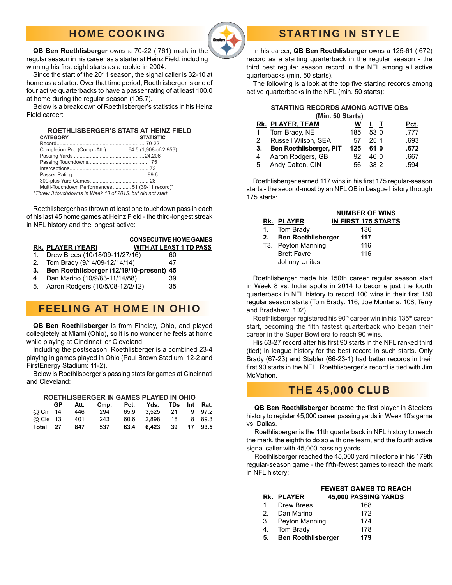# HOME COOKING



#### **QB Ben Roethlisberger** owns a 70-22 (.761) mark in the regular season in his career as a starter at Heinz Field, including winning his first eight starts as a rookie in 2004.

Since the start of the 2011 season, the signal caller is 32-10 at home as a starter. Over that time period, Roethlisberger is one of four active quarterbacks to have a passer rating of at least 100.0 at home during the regular season (105.7).

Below is a breakdown of Roethlisberger's statistics in his Heinz Field career:

#### **ROETHLISBERGER'S STATS AT HEINZ FIELD** CATEGORY

| Completion Pct. (Comp.-Att.) 64.5 (1,908-of-2,956) |  |
|----------------------------------------------------|--|
|                                                    |  |
|                                                    |  |
|                                                    |  |
|                                                    |  |
|                                                    |  |
| Multi-Touchdown Performances51 (39-11 record)*     |  |
|                                                    |  |

*\*Threw 3 touchdowns in Week 10 of 2015, but did not start*

Roethlisberger has thrown at least one touchdown pass in each of his last 45 home games at Heinz Field - the third-longest streak in NFL history and the longest active:

### **CONSECUTIVE HOME GAMES Rk. PLAYER (YEAR) WITH AT LEAST 1 TD PASS**

- 1. Drew Brees (10/18/09-11/27/16) 60
- 2. Tom Brady (9/14/09-12/14/14) 47
- **3. Ben Roethlisberger (12/19/10-present) 45**
- 4. Dan Marino (10/9/83-11/14/88) 39
- 5. Aaron Rodgers (10/5/08-12/2/12) 35
- 

# FEELING AT HOME IN OHIO

 **QB Ben Roethlisberger** is from Findlay, Ohio, and played collegietely at Miami (Ohio), so it is no wonder he feels at home while playing at Cincinnati or Cleveland.

 Including the postseason, Roethlisberger is a combined 23-4 playing in games played in Ohio (Paul Brown Stadium: 12-2 and FirstEnergy Stadium: 11-2).

Below is Roethlisberger's passing stats for games at Cincinnati and Cleveland:

#### **ROETHLISBERGER IN GAMES PLAYED IN OHIO**

|          | GP. | Att. | Cmp. | <u>Pct. Yds. TDs Int Rat.</u> |  |  |
|----------|-----|------|------|-------------------------------|--|--|
| @ Cin 14 |     | 446  | 294  | 65.9 3.525 21 9 97.2          |  |  |
| @ Cle 13 |     | 401  | 243  | 60.6 2.898 18 8 89.3          |  |  |
| Total 27 |     | 847  | 537  | 63.4 6.423 39 17 93.5         |  |  |

# STARTING IN STYLE

 In his career, **QB Ben Roethlisberger** owns a 125-61 (.672) record as a starting quarterback in the regular season - the third best regular season record in the NFL among all active quarterbacks (min. 50 starts).

The following is a look at the top five starting records among active quarterbacks in the NFL (min. 50 starts):

#### **STARTING RECORDS AMONG ACTIVE QBs (Min. 50 Starts)**

|    | ורווווו. טט טנמו וואו          |     |          |      |
|----|--------------------------------|-----|----------|------|
|    | Rk. PLAYER, TEAM               | w   | L T      | Pct. |
|    | 1. Tom Brady, NE               |     | 185 53 0 | .777 |
|    | 2. Russell Wilson, SEA         | 57  | 251      | .693 |
| 3. | <b>Ben Roethlisberger, PIT</b> | 125 | 61 0     | .672 |
|    | 4. Aaron Rodgers, GB           | 92. | 46 0     | .667 |
|    | 5. Andy Dalton, CIN            |     | 56 38 2  | .594 |
|    |                                |     |          |      |

Roethlisberger earned 117 wins in his first 175 regular-season starts - the second-most by an NFL QB in League history through 175 starts:

|    |                           | <b>NUMBER OF WINS</b>      |
|----|---------------------------|----------------------------|
|    | RK. PLAYER                | <b>IN FIRST 175 STARTS</b> |
|    | 1. Tom Brady              | 136                        |
| 2. | <b>Ben Roethlisberger</b> | 117                        |
|    | T3. Peyton Manning        | 116                        |
|    | <b>Brett Favre</b>        | 116                        |
|    | Johnny Unitas             |                            |

 Roethlisberger made his 150th career regular season start in Week 8 vs. Indianapolis in 2014 to become just the fourth quarterback in NFL history to record 100 wins in their first 150 regular season starts (Tom Brady: 116, Joe Montana: 108, Terry and Bradshaw: 102).

Roethlisberger registered his 90<sup>th</sup> career win in his 135<sup>th</sup> career start, becoming the fifth fastest quarterback who began their career in the Super Bowl era to reach 90 wins.

His 63-27 record after his first 90 starts in the NFL ranked third (tied) in league history for the best record in such starts. Only Brady (67-23) and Stabler (66-23-1) had better records in their first 90 starts in the NFL. Roethlisberger's record is tied with Jim McMahon.

### THE 45,000 CLUB

**QB Ben Roethlisberger** became the first player in Steelers history to register 45,000 career passing yards in Week 10's game vs. Dallas.

 Roethlisberger is the 11th quarterback in NFL history to reach the mark, the eighth to do so with one team, and the fourth active signal caller with 45,000 passing yards.

 Roethlisberger reached the 45,000 yard milestone in his 179th regular-season game - the fifth-fewest games to reach the mark in NFL history:

| <b>FEWEST GAMES TO REACH</b>                                                                                |
|-------------------------------------------------------------------------------------------------------------|
| 45,000 PASSING YARDS                                                                                        |
| 168                                                                                                         |
| 172                                                                                                         |
| 174                                                                                                         |
| 178                                                                                                         |
| 179                                                                                                         |
| RK. PLAYER<br>Drew Brees<br>2. Dan Marino<br>3. Peyton Manning<br>4. Tom Brady<br><b>Ben Roethlisberger</b> |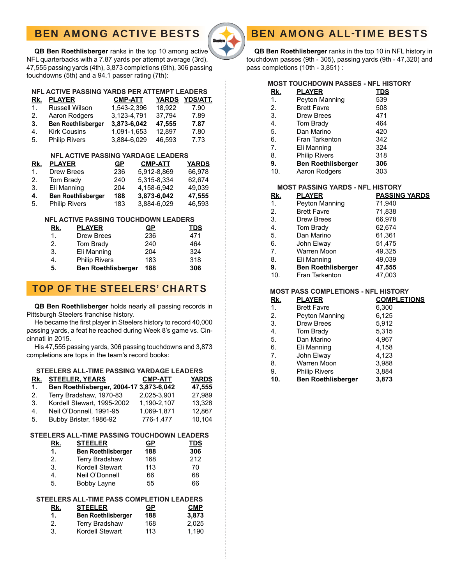# BEN AMONG ACTIVE BESTS



 **QB Ben Roethlisberger** ranks in the top 10 among active NFL quarterbacks with a 7.87 yards per attempt average (3rd), 47,555 passing yards (4th), 3,873 completions (5th), 306 passing touchdowns (5th) and a 94.1 passer rating (7th):

#### **NFL ACTIVE PASSING YARDS PER ATTEMPT LEADERS**

| Rk. | <b>PLAYER</b>             | <b>CMP-ATT</b> |        | YARDS YDS/ATT. |
|-----|---------------------------|----------------|--------|----------------|
| 1.  | <b>Russell Wilson</b>     | 1.543-2.396    | 18.922 | 7.90           |
| 2.  | Aaron Rodgers             | 3,123-4,791    | 37.794 | 7.89           |
| 3.  | <b>Ben Roethlisberger</b> | 3.873-6.042    | 47.555 | 7.87           |
| 4.  | <b>Kirk Cousins</b>       | 1.091-1.653    | 12.897 | 7.80           |
| 5.  | <b>Philip Rivers</b>      | 3,884-6,029    | 46.593 | 7.73           |

#### **NFL ACTIVE PASSING YARDAGE LEADERS**

| Rk. | <b>PLAYER</b>             | <b>GP</b> | <b>CMP-ATT</b> | <b>YARDS</b> |
|-----|---------------------------|-----------|----------------|--------------|
| 1.  | <b>Drew Brees</b>         | 236       | 5.912-8.869    | 66.978       |
| 2.  | Tom Brady                 | 240       | 5.315-8.334    | 62.674       |
| 3.  | Eli Manning               | 204       | 4.158-6.942    | 49,039       |
| 4.  | <b>Ben Roethlisberger</b> | 188       | 3,873-6,042    | 47.555       |
| 5.  | <b>Philip Rivers</b>      | 183       | 3,884-6,029    | 46,593       |

#### **NFL ACTIVE PASSING TOUCHDOWN LEADERS**

| <u>Rk.</u> | <b>PLAYER</b>             | <u>GP</u> | <u>TDS</u> |
|------------|---------------------------|-----------|------------|
| 1.         | <b>Drew Brees</b>         | 236       | 471        |
| 2.         | Tom Brady                 | 240       | 464        |
| 3.         | Eli Manning               | 204       | 324        |
| 4.         | <b>Philip Rivers</b>      | 183       | 318        |
| 5.         | <b>Ben Roethlisberger</b> | 188       | 306        |

# TOP OF THE STEELERS' CHARTS

 **QB Ben Roethlisberger** holds nearly all passing records in Pittsburgh Steelers franchise history.

He became the first player in Steelers history to record 40,000 passing yards, a feat he reached during Week 8's game vs. Cincinnati in 2015.

 His 47,555 passing yards, 306 passing touchdowns and 3,873 completions are tops in the team's record books:

### **STEELERS ALL-TIME PASSING YARDAGE LEADERS**

| Rk.         | <b>STEELER, YEARS</b>                   | <b>CMP-ATT</b> | <b>YARDS</b> |
|-------------|-----------------------------------------|----------------|--------------|
| 1.          | Ben Roethlisberger, 2004-17 3,873-6,042 |                | 47,555       |
| 2.          | Terry Bradshaw, 1970-83                 | 2,025-3,901    | 27.989       |
| 3.          | Kordell Stewart, 1995-2002              | 1.190-2.107    | 13.328       |
| 4.          | Neil O'Donnell, 1991-95                 | 1,069-1,871    | 12.867       |
| $5^{\circ}$ | Bubby Brister, 1986-92                  | 776-1,477      | 10,104       |
|             |                                         |                |              |

### **STEELERS ALL-TIME PASSING TOUCHDOWN LEADERS**

| <u>Rk.</u> | <b>STEELER</b>            | GР  | <u>TDS</u> |
|------------|---------------------------|-----|------------|
| 1.         | <b>Ben Roethlisberger</b> | 188 | 306        |
| 2.         | <b>Terry Bradshaw</b>     | 168 | 212        |
| 3.         | Kordell Stewart           | 113 | 70         |
| 4.         | Neil O'Donnell            | 66  | 68         |
| 5.         | <b>Bobby Layne</b>        | 55  | 66         |

### **STEELERS ALL-TIME PASS COMPLETION LEADERS**

| <u>Rk.</u> | <b>STEELER</b>            | <u>GP</u> | <b>CMP</b> |
|------------|---------------------------|-----------|------------|
| 1.         | <b>Ben Roethlisberger</b> | 188       | 3,873      |
| 2.         | <b>Terry Bradshaw</b>     | 168       | 2.025      |
| 3.         | Kordell Stewart           | 113       | 1.190      |

### **QB Ben Roethlisberger** ranks in the top 10 in NFL history in touchdown passes (9th - 305), passing yards (9th - 47,320) and pass completions (10th - 3,851) :

BEN AMONG ALL-TIME BESTS

### **MOST TOUCHDOWN PASSES - NFL HISTORY**

| <u>Rk.</u> | <b>PLAYER</b> |  | <b>TDS</b> |
|------------|---------------|--|------------|
|            |               |  | - - -      |

- 1. Peyton Manning 539 2. Brett Favre 508
- 3. Drew Brees 471
- 4. Tom Brady 464
- 
- 5. Dan Marino 420 6. Fran Tarkenton
- 7. Eli Manning 324
- 8. Philip Rivers 318
- **9. Ben Roethlisberger 306**
- 10. Aaron Rodgers 303

### **MOST PASSING YARDS - NFL HISTORY**

| <u>Rk.</u> | <b>PLAYER</b>             | <b>PASSING YARDS</b> |
|------------|---------------------------|----------------------|
| 1.         | Peyton Manning            | 71,940               |
| 2.         | <b>Brett Favre</b>        | 71,838               |
| 3.         | <b>Drew Brees</b>         | 66,978               |
| 4.         | Tom Brady                 | 62,674               |
| 5.         | Dan Marino                | 61,361               |
| 6.         | John Elway                | 51,475               |
| 7.         | Warren Moon               | 49,325               |
| 8.         | Eli Manning               | 49,039               |
| 9.         | <b>Ben Roethlisberger</b> | 47,555               |
| 10.        | <b>Fran Tarkenton</b>     | 47,003               |

### **MOST PASS COMPLETIONS - NFL HISTORY**

| <u>Rk.</u>     | <b>PLAYER</b>             | <b>COMPLETIONS</b> |
|----------------|---------------------------|--------------------|
| $\mathbf{1}$ . | <b>Brett Favre</b>        | 6,300              |
| 2.             | Peyton Manning            | 6,125              |
| 3.             | <b>Drew Brees</b>         | 5,912              |
| 4.             | Tom Brady                 | 5,315              |
| 5.             | Dan Marino                | 4,967              |
| 6.             | Eli Manning               | 4,158              |
| 7.             | John Elway                | 4,123              |
| 8.             | Warren Moon               | 3,988              |
| 9.             | <b>Philip Rivers</b>      | 3,884              |
| 10.            | <b>Ben Roethlisberger</b> | 3,873              |
|                |                           |                    |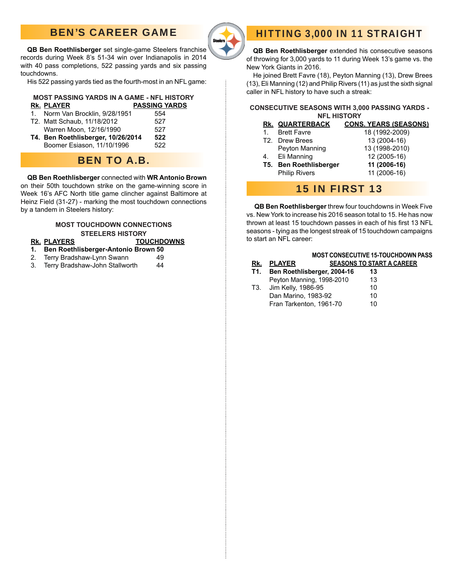# BEN'S CAREER GAME



HITTING 3,000 IN 11 STRAIGHT

**QB Ben Roethlisberger** set single-game Steelers franchise records during Week 8's 51-34 win over Indianapolis in 2014 with 40 pass completions, 522 passing yards and six passing touchdowns.

His 522 passing yards tied as the fourth-most in an NFL game:

#### **MOST PASSING YARDS IN A GAME - NFL HISTORY Rk. PLAYER PASSING YARDS**

|  | 1. Norm Van Brocklin, 9/28/1951                                                                                                                                                                                                                               | 554 |
|--|---------------------------------------------------------------------------------------------------------------------------------------------------------------------------------------------------------------------------------------------------------------|-----|
|  | T2. Matt Schaub, 11/18/2012                                                                                                                                                                                                                                   | 527 |
|  | Warren Moon, 12/16/1990                                                                                                                                                                                                                                       | 527 |
|  | $P_1$ , $P_2$ , $P_3$ , $P_4$ , $P_5$ , $P_6$ , $P_7$ , $P_8$ , $P_9$ , $P_9$ , $P_9$ , $P_9$ , $P_9$ , $P_9$ , $P_9$ , $P_9$ , $P_9$ , $P_9$ , $P_9$ , $P_9$ , $P_9$ , $P_9$ , $P_9$ , $P_9$ , $P_9$ , $P_9$ , $P_9$ , $P_9$ , $P_9$ , $P_9$ , $P_9$ , $P_9$ | -^^ |

 **T4. Ben Roethlisberger, 10/26/2014 522** Boomer Esiason, 11/10/1996 522

# BEN TO A.B.

#### **QB Ben Roethlisberger** connected with **WR Antonio Brown** on their 50th touchdown strike on the game-winning score in Week 16's AFC North title game clincher against Baltimore at Heinz Field (31-27) - marking the most touchdown connections by a tandem in Steelers history:

### **MOST TOUCHDOWN CONNECTIONS STEELERS HISTORY**

### **Rk. PLAYERS TOUCHDOWNS**

- **1. Ben Roethlisberger-Antonio Brown 50**
- 2. Terry Bradshaw-Lynn Swann 49
- 3. Terry Bradshaw-John Stallworth 44

 **QB Ben Roethlisberger** extended his consecutive seasons of throwing for 3,000 yards to 11 during Week 13's game vs. the New York Giants in 2016.

 He joined Brett Favre (18), Peyton Manning (13), Drew Brees (13), Eli Manning (12) and Philip Rivers (11) as just the sixth signal caller in NFL history to have such a streak:

#### **CONSECUTIVE SEASONS WITH 3,000 PASSING YARDS - NFL HISTORY**

|    | RK. QUARTERBACK               | <b>CONS. YEARS (SEASONS)</b> |
|----|-------------------------------|------------------------------|
| 1. | <b>Brett Favre</b>            | 18 (1992-2009)               |
|    | T2. Drew Brees                | 13 (2004-16)                 |
|    | Peyton Manning                | 13 (1998-2010)               |
|    | 4. Eli Manning                | 12 (2005-16)                 |
|    | <b>T5. Ben Roethlisberger</b> | 11 (2006-16)                 |
|    | <b>Philip Rivers</b>          | 11 (2006-16)                 |
|    |                               |                              |

# 15 IN FIRST 13

 **QB Ben Roethlisberger** threw four touchdowns in Week Five vs. New York to increase his 2016 season total to 15. He has now thrown at least 15 touchdown passes in each of his first 13 NFL seasons - tying as the longest streak of 15 touchdown campaigns to start an NFL career:

|     |                             | <b>MOST CONSECUTIVE 15-TOUCHDOWN PASS</b> |  |
|-----|-----------------------------|-------------------------------------------|--|
| Rk. | <b>PLAYER</b>               | <b>SEASONS TO START A CAREER</b>          |  |
| T1. | Ben Roethlisberger, 2004-16 | 13                                        |  |
|     | Peyton Manning, 1998-2010   | 13                                        |  |
|     | T3. Jim Kelly, 1986-95      | 10                                        |  |
|     | Dan Marino, 1983-92         | 10                                        |  |
|     | Fran Tarkenton, 1961-70     | 10                                        |  |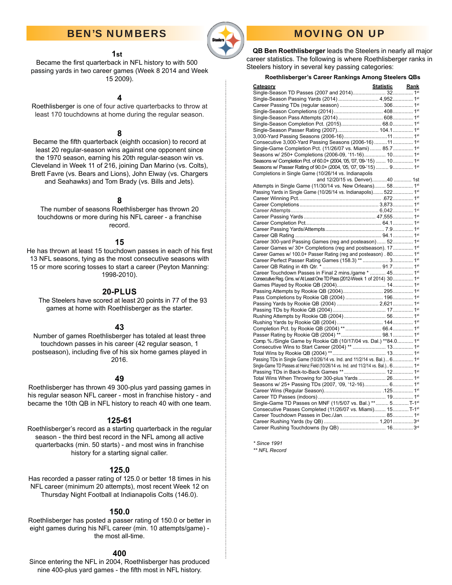## BEN'S NUMBERS



# MOVING ON UP

 **QB Ben Roethlisberger** leads the Steelers in nearly all major career statistics. The following is where Roethlisberger ranks in Steelers history in several key passing categories:

#### **Roethlisberger's Career Rankings Among Steelers QBs**

| <b>Category</b>                                                                     | Statistic Rank |  |
|-------------------------------------------------------------------------------------|----------------|--|
|                                                                                     |                |  |
| Single-Season Passing Yards (2014)  4,952 1st                                       |                |  |
|                                                                                     |                |  |
|                                                                                     |                |  |
|                                                                                     |                |  |
|                                                                                     |                |  |
|                                                                                     |                |  |
|                                                                                     |                |  |
| Consecutive 3,000-Yard Passing Seasons (2006-16) 11  1st                            |                |  |
| Single-Game Completion Pct. (11/26/07 vs. Miami)  85.7 1st                          |                |  |
| Seasons w/ 250+ Completions (2006-09, '11-16) 10 1st                                |                |  |
| Seasons w/ Completion Pct. of 60.0+ (2004, '05, '07, '09-'15)  10 1st               |                |  |
| Seasons w/ Passer Rating of 90.0+ (2004, '05, '07, '09-'15)  9 1st                  |                |  |
| Completions in Single Game (10/26/14 vs. Indianapolis                               |                |  |
| and 12/20/15 vs. Denver)40  1st                                                     |                |  |
| Attempts in Single Game (11/30/14 vs. New Orleans) 58 1 <sup>st</sup>               |                |  |
| Passing Yards in Single Game (10/26/14 vs. Indianapolis) 522 1st                    |                |  |
|                                                                                     |                |  |
|                                                                                     |                |  |
|                                                                                     |                |  |
|                                                                                     |                |  |
|                                                                                     |                |  |
|                                                                                     |                |  |
|                                                                                     |                |  |
| Career 300-yard Passing Games (reg and posteason) 52 1st                            |                |  |
| Career Games w/ 30+ Completions (reg and postseason). 17 1st                        |                |  |
| Career Games w/ 100.0+ Passer Rating (reg and posteason). 80 1st                    |                |  |
|                                                                                     |                |  |
|                                                                                     |                |  |
| Career Touchdown Passes in Final 2 mins./game *  45 1st                             |                |  |
| Consecutive Reg. Gms. w/ At Least One TD Pass (2012-Week 1 of 2014) 30 1st          |                |  |
|                                                                                     |                |  |
|                                                                                     |                |  |
|                                                                                     |                |  |
| Passing Yards by Rookie QB (2004)  2,621  1st                                       |                |  |
|                                                                                     |                |  |
|                                                                                     |                |  |
|                                                                                     |                |  |
|                                                                                     |                |  |
|                                                                                     |                |  |
| Comp. %./Single Game by Rookie QB (10/17/04 vs. Dal.) **84.0 1st                    |                |  |
|                                                                                     |                |  |
|                                                                                     |                |  |
| Passing TDs in Single Game (10/26/14 vs. Ind. and 11/2/14 vs. Bal.) 6 1st           |                |  |
| Single-Game TD Passes at Heinz Field (10/26/14 vs. Ind. and 11/2/14 vs. Bal.) 6 1st |                |  |
|                                                                                     |                |  |
| Total Wins When Throwing for 300-plus Yards  26 1st                                 |                |  |
| Seasons w/ 25+ Passing TDs (2007, '09, '12-16) 6 1st                                |                |  |
|                                                                                     |                |  |
|                                                                                     |                |  |
| Single-Game TD Passes on MNF (11/5/07 vs. Bal.) ** 5 T-1 <sup>st</sup>              |                |  |
| Consecutive Passes Completed (11/26/07 vs. Miami) 15 T-1st                          |                |  |
|                                                                                     |                |  |
|                                                                                     |                |  |
|                                                                                     |                |  |
|                                                                                     |                |  |

*\* Since 1991*

*\*\* NFL Record*

### **1st**

Became the first quarterback in NFL history to with 500 passing yards in two career games (Week 8 2014 and Week 15 2009).

### **4**

Roethlisberger is one of four active quarterbacks to throw at least 170 touchdowns at home during the regular season.

### **8**

Became the fifth quarterback (eighth occasion) to record at least 20 regular-season wins against one opponent since the 1970 season, earning his 20th regular-season win vs. Cleveland in Week 11 of 216, joining Dan Marino (vs. Colts), Brett Favre (vs. Bears and Lions), John Elway (vs. Chargers and Seahawks) and Tom Brady (vs. Bills and Jets).

#### **8**

The number of seasons Roethlisberger has thrown 20 touchdowns or more during his NFL career - a franchise record.

#### **15**

He has thrown at least 15 touchdown passes in each of his first 13 NFL seasons, tying as the most consecutive seasons with 15 or more scoring tosses to start a career (Peyton Manning: 1998-2010).

#### **20-PLUS**

The Steelers have scored at least 20 points in 77 of the 93 games at home with Roethlisberger as the starter.

### **43**

Number of games Roethlisberger has totaled at least three touchdown passes in his career (42 regular season, 1 postseason), including five of his six home games played in 2016.

### **49**

Roethlisberger has thrown 49 300-plus yard passing games in his regular season NFL career - most in franchise history - and became the 10th QB in NFL history to reach 40 with one team.

#### **125-61**

Roethlisberger's record as a starting quarterback in the regular season - the third best record in the NFL among all active quarterbacks (min. 50 starts) - and most wins in franchise history for a starting signal caller.

### **125.0**

Has recorded a passer rating of 125.0 or better 18 times in his NFL career (minimum 20 attempts), most recent Week 12 on Thursday Night Football at Indianapolis Colts (146.0).

### **150.0**

Roethlisberger has posted a passer rating of 150.0 or better in eight games during his NFL career (min. 10 attempts/game) the most all-time.

#### **400**

Since entering the NFL in 2004, Roethlisberger has produced nine 400-plus yard games - the fifth most in NFL history.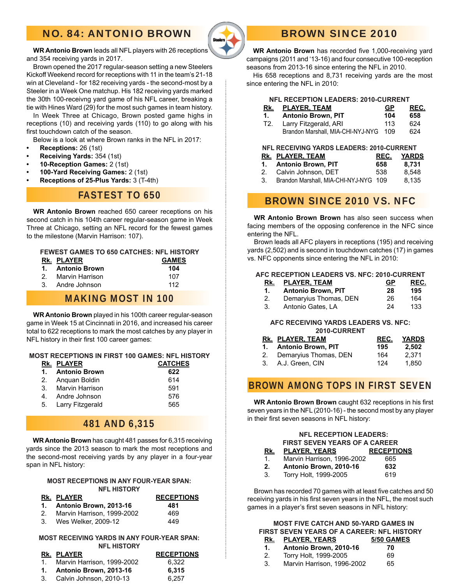# NO. 84: ANTONIO BROWN



# BROWN SINCE 2010

**WR Antonio Brown** leads all NFL players with 26 receptions and 354 receiving yards in 2017.

Brown opened the 2017 regular-season setting a new Steelers Kickoff Weekend record for receptions with 11 in the team's 21-18 win at Cleveland - for 182 receiving yards - the second-most by a Steeler in a Week One matchup. His 182 receiving yards marked the 30th 100-receivng yard game of his NFL career, breaking a tie with Hines Ward (29) for the most such games in team history.

In Week Three at Chicago, Brown posted game highs in receptions (10) and receiving yards (110) to go along with his first touchdown catch of the season.

Below is a look at where Brown ranks in the NFL in 2017:

- **Receptions:** 26 (1st)
- **Receiving Yards:** 354 (1st)
- **10-Reception Games:** 2 (1st)
- **100-Yard Receiving Games:** 2 (1st)
- **Receptions of 25-Plus Yards:** 3 (T-4th)

## FASTEST TO 650

**WR Antonio Brown** reached 650 career receptions on his second catch in his 104th career regular-season game in Week Three at Chicago, setting an NFL record for the fewest games to the milestone (Marvin Harrison: 107).

### **FEWEST GAMES TO 650 CATCHES: NFL HISTORY**

| RK. PLAYER         | <b>GAMES</b> |
|--------------------|--------------|
| 1. Antonio Brown   | 104          |
| 2. Marvin Harrison | 107          |
| 3. Andre Johnson   | 112          |

### MAKING MOST IN 100

**WR Antonio Brown** played in his 100th career regular-season game in Week 15 at Cincinnati in 2016, and increased his career total to 622 receptions to mark the most catches by any player in NFL history in their first 100 career games:

### **MOST RECEPTIONS IN FIRST 100 GAMES: NFL HISTORY**

| RK. PLAYER | <b>CATCHES</b>                                                                                     |
|------------|----------------------------------------------------------------------------------------------------|
|            | 622                                                                                                |
|            | 614                                                                                                |
|            | 591                                                                                                |
|            | 576                                                                                                |
|            | 565                                                                                                |
|            | 1. Antonio Brown<br>2. Anguan Boldin<br>3. Marvin Harrison<br>Andre Johnson<br>5. Larry Fitzgerald |

### 481 AND 6,315

**WR Antonio Brown** has caught 481 passes for 6,315 receiving yards since the 2013 season to mark the most receptions and the second-most receiving yards by any player in a four-year span in NFL history:

#### **MOST RECEPTIONS IN ANY FOUR-YEAR SPAN: NFL HISTORY**

| RK. PLAYER                    | <b>RECEPTIONS</b> |
|-------------------------------|-------------------|
| 1. Antonio Brown, 2013-16     | 481               |
| 2. Marvin Harrison, 1999-2002 | 469               |
| 3. Wes Welker, 2009-12        | 449               |

#### **MOST RECEIVING YARDS IN ANY FOUR-YEAR SPAN: NFL HISTORY**

| RK. PLAYER                    | <b>RECEPTIONS</b> |
|-------------------------------|-------------------|
| 1. Marvin Harrison, 1999-2002 | 6.322             |
| 1. Antonio Brown, 2013-16     | 6.315             |
| 3. Calvin Johnson, 2010-13    | 6.257             |

**WR Antonio Brown** has recorded five 1,000-receiving yard campaigns (2011 and '13-16) and four consecutive 100-reception seasons from 2013-16 since entering the NFL in 2010.

His 658 receptions and 8,731 receiving yards are the most since entering the NFL in 2010:

#### **NFL RECEPTION LEADERS: 2010-CURRENT**

| RK. PLAYER, TEAM        | GP        | <u>REC.</u> |
|-------------------------|-----------|-------------|
| 1. Antonio Brown, PIT   | 104       | 658         |
| T2 Larry Fitzgerald ARL | 113 $624$ |             |

 T2. Larry Fitzgerald, ARI 113 624 Brandon Marshall, MIA-CHI-NYJ-NYG 109 624

### **NFL RECEIVING YARDS LEADERS: 2010-CURRENT**

|  | <b>RK. PLAYER, TEAM</b>                  | REC. | YARDS |
|--|------------------------------------------|------|-------|
|  | 1. Antonio Brown, PIT                    | 658  | 8.731 |
|  | 2. Calvin Johnson, DET                   | 538  | 8.548 |
|  | 3. Brandon Marshall, MIA-CHI-NYJ-NYG 109 |      | 8.135 |

# BROWN SINCE 2010 VS. NFC

**WR Antonio Brown Brown** has also seen success when facing members of the opposing conference in the NFC since entering the NFL.

Brown leads all AFC players in receptions (195) and receiving yards (2,502) and is second in touchdown catches (17) in games vs. NFC opponents since entering the NFL in 2010:

#### **AFC RECEPTION LEADERS VS. NFC: 2010-CURRENT**

| Rk. | <b>PLAYER, TEAM</b>       | GР | REC. |
|-----|---------------------------|----|------|
|     | <b>Antonio Brown, PIT</b> | 28 | 195  |
|     | Demaryius Thomas, DEN     | 26 | 164  |
|     | Antonio Gates, LA         | 24 | 133  |

#### **AFC RECEIVING YARDS LEADERS VS. NFC: 2010-CURRENT**

| ZU IV-VUNNEIN I          |      |              |  |
|--------------------------|------|--------------|--|
| RK. PLAYER, TEAM         | REC. | <b>YARDS</b> |  |
| 1. Antonio Brown, PIT    | 195  | 2.502        |  |
| 2. Demaryius Thomas, DEN | 164  | 2.371        |  |
| 3. A.J. Green, CIN       | 124  | 1.850        |  |

### BROWN AMONG TOPS IN FIRST SEVEN

**WR Antonio Brown Brown** caught 632 receptions in his first seven years in the NFL (2010-16) - the second most by any player in their first seven seasons in NFL history:

|     | <b>NFL RECEPTION LEADERS:</b>        |                   |  |
|-----|--------------------------------------|-------------------|--|
|     | <b>FIRST SEVEN YEARS OF A CAREER</b> |                   |  |
| Rk. | <b>PLAYER, YEARS</b>                 | <b>RECEPTIONS</b> |  |
| 1.  | Marvin Harrison, 1996-2002           | 665               |  |
| 2.  | Antonio Brown, 2010-16               | 632               |  |
| 3.  | Torry Holt, 1999-2005                | 619               |  |

Brown has recorded 70 games with at least five catches and 50 receiving yards in his first seven years in the NFL, the most such games in a player's first seven seasons in NFL history:

### **MOST FIVE CATCH AND 50-YARD GAMES IN FIRST SEVEN YEARS OF A CAREER: NFL HISTORY**

| Rk. | <b>PLAYER, YEARS</b>       | 5/50 GAMES |
|-----|----------------------------|------------|
| 1.  | Antonio Brown, 2010-16     | 70         |
| 2.  | Torry Holt, 1999-2005      | 69         |
|     | Marvin Harrison, 1996-2002 | 65         |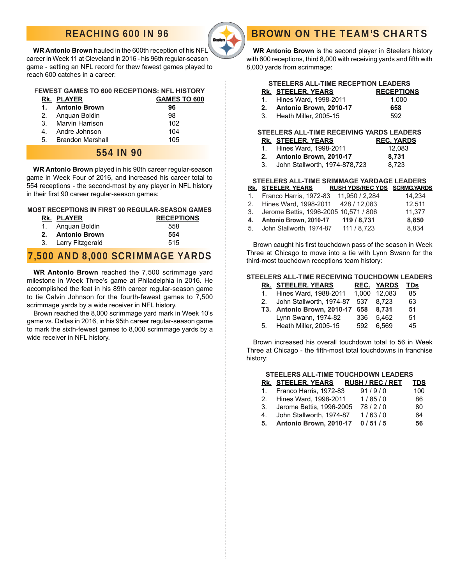# REACHING 600 IN 96



**WR Antonio Brown** hauled in the 600th reception of his NFL career in Week 11 at Cleveland in 2016 - his 96th regular-season game - setting an NFL record for thew fewest games played to reach 600 catches in a career:

### **FEWEST GAMES TO 600 RECEPTIONS: NFL HISTORY**

|    | RK. PLAYER           | <b>GAMES TO 600</b> |
|----|----------------------|---------------------|
| 1. | <b>Antonio Brown</b> | 96                  |
|    | 2. Anguan Boldin     | 98                  |
| 3. | Marvin Harrison      | 102                 |
|    | 4. Andre Johnson     | 104                 |
| 5. | Brandon Marshall     | 105                 |
|    | 554 IN 90            |                     |

**WR Antonio Brown** played in his 90th career regular-season game in Week Four of 2016, and increased his career total to 554 receptions - the second-most by any player in NFL history in their first 90 career regular-season games:

### **MOST RECEPTIONS IN FIRST 90 REGULAR-SEASON GAMES**

| <b>RK. PLAYER</b>   | <b>RECEPTIONS</b> |
|---------------------|-------------------|
| 1. Anguan Boldin    | 558               |
| 2. Antonio Brown    | 554               |
| 3. Larry Fitzgerald | 515               |

## 7,500 AND 8,000 SCRIMMAGE YARDS

**WR Antonio Brown** reached the 7,500 scrimmage yard milestone in Week Three's game at Philadelphia in 2016. He accomplished the feat in his 89th career regular-season game to tie Calvin Johnson for the fourth-fewest games to 7,500 scrimmage yards by a wide receiver in NFL history.

Brown reached the 8,000 scrimmage yard mark in Week 10's game vs. Dallas in 2016, in his 95th career regular-season game to mark the sixth-fewest games to 8,000 scrimmage yards by a wide receiver in NFL history.

### **WR Antonio Brown** is the second player in Steelers history with 600 receptions, third 8,000 with receiving yards and fifth with 8,000 yards from scrimmage:

BROWN ON THE TEAM'S CHARTS

### **STEELERS ALL-TIME RECEPTION LEADERS**

| RK. STEELER, YEARS        | <b>RECEPTIONS</b> |
|---------------------------|-------------------|
| 1. Hines Ward, 1998-2011  | 1.000             |
| 2. Antonio Brown, 2010-17 | 658               |

3. Heath Miller, 2005-15 692

#### **STEELERS ALL-TIME RECEIVING YARDS LEADERS**

| RK. STEELER, YEARS                | <b>REC. YARDS</b> |
|-----------------------------------|-------------------|
| 1. Hines Ward, 1998-2011          | 12.083            |
| 2. Antonio Brown. 2010-17         | 8.731             |
| 3. John Stallworth, 1974-878, 723 | 8.723             |

#### **STEELERS ALL-TIME SRIMMAGE YARDAGE LEADERS**

|         | <b>RK. STEELER, YEARS</b>             | RUSH YDS/REC YDS SCRMG.YARDS |        |
|---------|---------------------------------------|------------------------------|--------|
| $1_{-}$ | Franco Harris, 1972-83                | 11.950 / 2.284               | 14.234 |
|         | 2. Hines Ward, 1998-2011 428 / 12,083 |                              | 12,511 |
| 3.      | Jerome Bettis, 1996-2005 10,571 / 806 |                              | 11.377 |
| 4.      | Antonio Brown, 2010-17                | 119 / 8,731                  | 8,850  |
| 5.      | John Stallworth, 1974-87              | 111 / 8.723                  | 8.834  |
|         |                                       |                              |        |

Brown caught his first touchdown pass of the season in Week Three at Chicago to move into a tie with Lynn Swann for the third-most touchdown receptions team history:

### **STEELERS ALL-TIME RECEIVING TOUCHDOWN LEADERS**

| <b>REC. YARDS</b><br><b>TDs</b>          |
|------------------------------------------|
| Hines Ward. 1988-2011 1.000 12.083<br>85 |
| John Stallworth, 1974-87 537 8.723<br>63 |
| 51<br>8.731                              |
| 5.462<br>51                              |
| 6.569<br>45                              |
|                                          |

Brown increased his overall touchdown total to 56 in Week Three at Chicago - the fifth-most total touchdowns in franchise history:

#### **STEELERS ALL-TIME TOUCHDOWN LEADERS**

|    | <u>RK. STEELER, YEARS</u>   | <b>RUSH / REC / RET</b> | TDS |
|----|-----------------------------|-------------------------|-----|
|    | 1. Franco Harris, 1972-83   | 91/9/0                  | 100 |
|    | 2. Hines Ward, 1998-2011    | 1/85/0                  | 86  |
|    | 3. Jerome Bettis, 1996-2005 | 78/2/0                  | 80  |
| 4. | John Stallworth, 1974-87    | 1/63/0                  | 64  |
| 5. | Antonio Brown, 2010-17      | 0/51/5                  | 56  |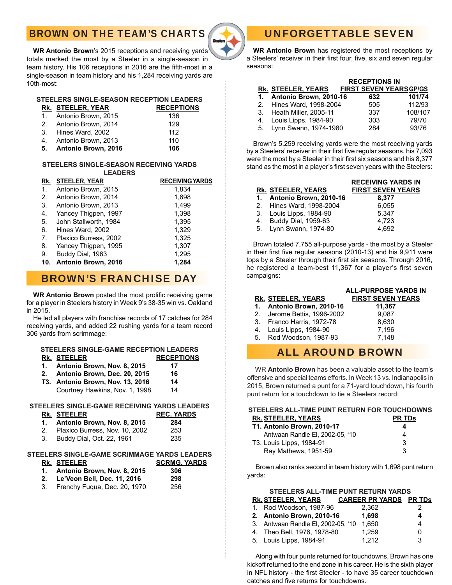# BROWN ON THE TEAM'S CHARTS



**WR Antonio Brown**'s 2015 receptions and receiving yards totals marked the most by a Steeler in a single-season in team history. His 106 receptions in 2016 are the fifth-most in a single-season in team history and his 1,284 receiving yards are 10th-most:

### **STEELERS SINGLE-SEASON RECEPTION LEADERS**

|    | <b>RK. STEELER, YEAR</b> | <b>RECEPTIONS</b> |
|----|--------------------------|-------------------|
|    | 1. Antonio Brown, 2015   | 136               |
|    | 2. Antonio Brown, 2014   | 129               |
|    | 3. Hines Ward, 2002      | 112               |
| 4. | Antonio Brown, 2013      | 110               |
| 5. | Antonio Brown, 2016      | 106               |

#### **STEELERS SINGLE-SEASON RECEIVING YARDS LEADERS**

|    | RK. STEELER, YEAR       | <b>RECEIVING YARDS</b> |
|----|-------------------------|------------------------|
| 1. | Antonio Brown, 2015     | 1,834                  |
| 2. | Antonio Brown, 2014     | 1,698                  |
| 3. | Antonio Brown, 2013     | 1,499                  |
| 4. | Yancey Thigpen, 1997    | 1,398                  |
| 5. | John Stallworth, 1984   | 1,395                  |
| 6. | Hines Ward, 2002        | 1,329                  |
| 7. | Plaxico Burress, 2002   | 1.325                  |
| 8. | Yancey Thigpen, 1995    | 1,307                  |
| 9. | Buddy Dial, 1963        | 1,295                  |
|    | 10. Antonio Brown, 2016 | 1.284                  |

# BROWN'S FRANCHISE DAY

WR Antonio Brown posted the most prolific receiving game for a player in Steelers history in Week 9's 38-35 win vs. Oakland in 2015.

 He led all players with franchise records of 17 catches for 284 receiving yards, and added 22 rushing yards for a team record 306 yards from scrimmage:

#### **STEELERS SINGLE-GAME RECEPTION LEADERS RK. STEELER RECEPTIONS**

- **1. Antonio Brown, Nov. 8, 2015 17**
- **2. Antonio Brown, Dec. 20, 2015 16**
- **T3. Antonio Brown, Nov. 13, 2016 14**  Courtney Hawkins, Nov. 1, 1998 14

### **STEELERS SINGLE-GAME RECEIVING YARDS LEADERS**

| <u>UILLLUU UINULL-UAML INLULIVINU TANDU LLADLII</u> |                   |
|-----------------------------------------------------|-------------------|
| RK. STEELER                                         | <b>REC. YARDS</b> |
| 1. Antonio Brown, Nov. 8, 2015                      | 284               |
| 2. Plaxico Burress, Nov. 10, 2002                   | 253               |
| $D_{11}$                                            | oor               |

3. Buddy Dial, Oct. 22, 1961 235

### **STEELERS SINGLE-GAME SCRIMMAGE YARDS LEADERS**

**RK. STEELER SCRMG. YARDS 1. Antonio Brown, Nov. 8, 2015 306**

| F(1,0)                      |     |
|-----------------------------|-----|
| Le'Veon Bell, Dec. 11, 2016 | 298 |

3. Frenchy Fuqua, Dec. 20, 1970 256

# UNFORGETTABLE SEVEN

 **WR Antonio Brown** has registered the most receptions by a Steelers' receiver in their first four, five, six and seven regular seasons:

|                           | <b>RECEPTIONS IN</b>          |         |
|---------------------------|-------------------------------|---------|
| RK. STEELER, YEARS        | <b>FIRST SEVEN YEARSGP/GS</b> |         |
| 1. Antonio Brown, 2010-16 | 632                           | 101/74  |
| 2. Hines Ward, 1998-2004  | 505                           | 112/93  |
| 3. Heath Miller, 2005-11  | 337                           | 108/107 |
| 4. Louis Lipps, 1984-90   | 303                           | 79/70   |
| 5. Lynn Swann, 1974-1980  | 284                           | 93/76   |

 Brown's 5,259 receiving yards were the most receiving yards by a Steelers' receiver in their first five regular seasons, his 7,093 were the most by a Steeler in their first six seasons and his  $8,377$ stand as the most in a player's first seven years with the Steelers:

 **RECEIVING YARDS IN**

|                           | <b>REVEIVING TARDS IN</b> |
|---------------------------|---------------------------|
| <b>RK. STEELER, YEARS</b> | <b>FIRST SEVEN YEARS</b>  |
| 1. Antonio Brown, 2010-16 | 8,377                     |
| 2. Hines Ward, 1998-2004  | 6.055                     |
| 3. Louis Lipps, 1984-90   | 5.347                     |
| 4. Buddy Dial, 1959-63    | 4.723                     |
| 5. Lynn Swann, 1974-80    | 4.692                     |

 Brown totaled 7,755 all-purpose yards - the most by a Steeler in their first five regular seasons (2010-13) and his  $9,911$  were tops by a Steeler through their first six seasons. Through 2016, he registered a team-best 11,367 for a player's first seven campaigns:

|  |                             | <b>ALL-PURPOSE YARDS IN</b> |
|--|-----------------------------|-----------------------------|
|  | RK. STEELER, YEARS          | <b>FIRST SEVEN YEARS</b>    |
|  | 1. Antonio Brown, 2010-16   | 11,367                      |
|  | 2. Jerome Bettis, 1996-2002 | 9.087                       |
|  | 3. Franco Harris, 1972-78   | 8.630                       |
|  | 4. Louis Lipps, 1984-90     | 7.196                       |
|  | 5. Rod Woodson, 1987-93     | 7.148                       |

# ALL AROUND BROWN

WR **Antonio Brown** has been a valuable asset to the team's offensive and special teams efforts. In Week 13 vs. Indianapolis in 2015, Brown returned a punt for a 71-yard touchdown, his fourth punt return for a touchdown to tie a Steelers record:

#### **STEELERS ALL-TIME PUNT RETURN FOR TOUCHDOWNS RK. STEELER, YEARS PR TDS T1. Antonio Brown, 2010-17 4**

| Antwaan Randle El, 2002-05, '10 | 4 |
|---------------------------------|---|
| T3. Louis Lipps, 1984-91        |   |
| Ray Mathews, 1951-59            |   |

 Brown also ranks second in team history with 1,698 punt return yards:

#### **STEELERS ALL-TIME PUNT RETURN YARDS Rk. STEELER, YEARS CAREER PR YARDS PR TDs**

|  | <b>INN.</b> OTLLLLIN, TLAINO       | <b>UMILLINE IN IMINUU</b> | - FIN 1 DS   |
|--|------------------------------------|---------------------------|--------------|
|  | 1. Rod Woodson, 1987-96            | 2.362                     | 2            |
|  | 2. Antonio Brown, 2010-16          | 1.698                     | 4            |
|  | 3. Antwaan Randle El, 2002-05, '10 | 1.650                     | 4            |
|  | 4. Theo Bell, 1976, 1978-80        | 1.259                     | <sup>0</sup> |
|  | 5. Louis Lipps, 1984-91            | 1.212                     | 3            |

 Along with four punts returned for touchdowns, Brown has one kickoff returned to the end zone in his career. He is the sixth player in NFL history - the first Steeler - to have 35 career touchdown catches and five returns for touchdowns.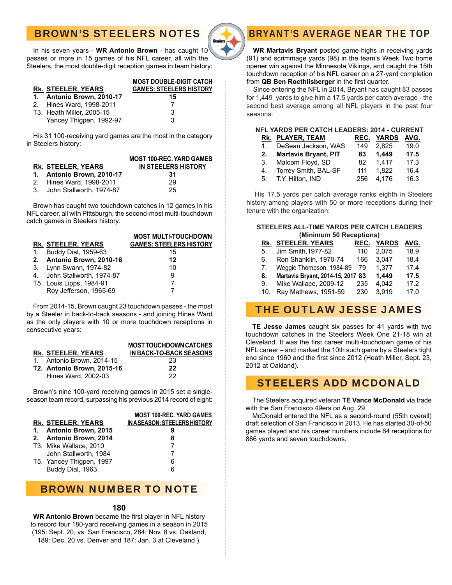# BROWN'S STEELERS NOTES



In his seven years - **WR Antonio Brown** - has caught 10 passes or more in 15 games of his NFL career, all with the Steelers, the most double-digit reception games in team history:

### **MOST DOUBLE-DIGIT CATCH Rk. STEELER, YEARS GAMES: STEELERS HISTORY 1. Antonio Brown, 2010-17 15**

| 2. Hines Ward, 1998-2011  |    |  |
|---------------------------|----|--|
| T3. Heath Miller, 2005-15 | 3  |  |
| Yancey Thigpen, 1992-97   | -3 |  |

His 31 100-receiving yard games are the most in the category in Steelers history:

|                             | <b>MOST 100-REC. YARD GAMES</b> |
|-----------------------------|---------------------------------|
| RK. STEELER. YEARS          | IN STEELERS HISTORY             |
| 1. Antonio Brown, 2010-17   | 31                              |
| 2. Hines Ward, 1998-2011    | 29                              |
| 3. John Stallworth, 1974-87 | 25                              |

Brown has caught two touchdown catches in 12 games in his NFL career, all with Pittsburgh, the second-most multi-touchdown catch games in Steelers history:

|                             | <b>MOST MULTI-TOUCHDOWN</b>    |
|-----------------------------|--------------------------------|
| RK. STEELER. YEARS          | <b>GAMES: STEELERS HISTORY</b> |
| 1. Buddy Dial, 1959-63      | 15                             |
| 2. Antonio Brown, 2010-16   | 12                             |
| 3. Lynn Swann, 1974-82      | 10                             |
| 4. John Stallworth, 1974-87 | 9                              |
| T5. Louis Lipps, 1984-91    |                                |
| Roy Jefferson, 1965-69      |                                |

From 2014-15, Brown caught 23 touchdown passes - the most by a Steeler in back-to-back seasons - and joining Hines Ward as the only players with 10 or more touchdown receptions in consecutive years:

|                                   | <b>MOST TOUCHDOWN CATCHES</b> |
|-----------------------------------|-------------------------------|
| RK. STEELER. YEARS                | IN BACK-TO-BACK SEASONS       |
| 1. Antonio Brown, 2014-15         | 23                            |
| <b>T2. Antonio Brown. 2015-16</b> | 22                            |
| Hines Ward, 2002-03               | つつ                            |

Brown's nine 100-yard receiving games in 2015 set a singleseason team record, surpassing his previous 2014 record of eight:

|  |                          | <b>MOST 100-REC. YARD GAMES</b>    |
|--|--------------------------|------------------------------------|
|  | RK. STEELER, YEARS       | <b>INASEASON: STEELERS HISTORY</b> |
|  | 1. Antonio Brown, 2015   |                                    |
|  | 2. Antonio Brown, 2014   | 8                                  |
|  | T3. Mike Wallace, 2010   |                                    |
|  | John Stallworth, 1984    |                                    |
|  | T5. Yancey Thigpen, 1997 | 6                                  |
|  | Buddy Dial, 1963         | 6                                  |
|  |                          |                                    |

### BROWN NUMBER TO NOTE

### **180**

**WR Antonio Brown** became the first player in NFL history to record four 180-yard receiving games in a season in 2015 (195: Sept. 20, vs. San Francisco, 284: Nov. 8 vs. Oakland, 189: Dec. 20 vs. Denver and 187: Jan. 3 at Cleveland ).

# BRYANT'S AVERAGE NEAR THE TOP

**WR Martavis Bryant** posted game-highs in receiving yards (91) and scrimmage yards (98) in the team's Week Two home opener win against the Minnesota Vikings, and caught the 15th touchdown reception of his NFL career on a 27-yard completion from QB Ben Roethlisberger in the first quarter.

Since entering the NFL in 2014, Bryant has caught 83 passes for 1,449 yards to give him a 17.5 yards per catch average - the second best average among all NFL players in the past four seasons:

### **NFL YARDS PER CATCH LEADERS: 2014 - CURRENT**

|    | <b>RK. PLAYER, TEAM</b> |     | <u>REC. YARDS</u> | AVG. |
|----|-------------------------|-----|-------------------|------|
| 1. | DeSean Jackson, WAS     | 149 | 2.825             | 19.0 |
|    | 2. Martavis Bryant, PIT | 83  | 1.449             | 17.5 |
|    | 3. Malcom Floyd, SD     | 82  | 1.417             | 17.3 |
| 4. | Torrey Smith, BAL-SF    | 111 | 1.822             | 16.4 |
|    | 5. T.Y. Hilton, IND     | 256 | 4.176             | 16.3 |
|    |                         |     |                   |      |

 His 17.5 yards per catch average ranks eighth in Steelers history among players with 50 or more receptions during their tenure with the organization:

### **STEELERS ALL-TIME YARDS PER CATCH LEADERS (Minimum 50 Receptions)**

|             | RK. STEELER, YEARS                |     | <b>REC. YARDS</b> | AVG. |
|-------------|-----------------------------------|-----|-------------------|------|
| 5.          | Jim Smith, 1977-82                | 110 | 2.075             | 18.9 |
| 6.          | Ron Shanklin, 1970-74             | 166 | 3.047             | 18.4 |
| $7_{\cdot}$ | Weggie Thompson, 1984-89          | 79  | 1,377             | 17.4 |
| 8.          | Martavis Bryant, 2014-15, 2017 83 |     | 1.449             | 17.5 |
| 9.          | Mike Wallace, 2009-12             | 235 | 4.042             | 17.2 |
| 10.         | Ray Mathews, 1951-59              | 230 | 3.919             | 17.0 |
|             |                                   |     |                   |      |

# THE OUTLAW JESSE JAMES

**TE Jesse James** caught six passes for 41 yards with two touchdown catches in the Steelers Week One 21-18 win at Cleveland. It was the first career multi-touchdown game of his NFL career – and marked the 10th such game by a Steelers tight end since 1960 and the first since 2012 (Heath Miller, Sept. 23, 2012 at Oakland).

# STEELERS ADD MCDONALD

The Steelers acquired veteran **TE Vance McDonald** via trade with the San Francisco 49ers on Aug. 29.

McDonald entered the NFL as a second-round (55th overall) draft selection of San Francisco in 2013. He has started 30-of-50 games played and his career numbers include 64 receptions for 866 yards and seven touchdowns.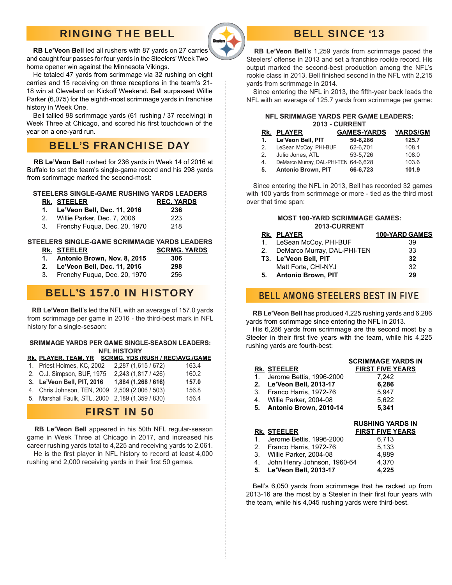# RINGING THE BELL



#### **RB Le'Veon Bell** led all rushers with 87 yards on 27 carries and caught four passes for four yards in the Steelers' Week Two home opener win against the Minnesota Vikings.

 He totaled 47 yards from scrimmage via 32 rushing on eight carries and 15 receiving on three receptions in the team's 21- 18 win at Cleveland on Kickoff Weekend. Bell surpassed Willie Parker (6,075) for the eighth-most scrimmage yards in franchise history in Week One.

 Bell tallied 98 scrimmage yards (61 rushing / 37 receiving) in Week Three at Chicago, and scored his first touchdown of the year on a one-yard run.

# BELL'S FRANCHISE DAY

 **RB Le'Veon Bell** rushed for 236 yards in Week 14 of 2016 at Buffalo to set the team's single-game record and his 298 yards from scrimmage marked the second-most:

#### **STEELERS SINGLE-GAME RUSHING YARDS LEADERS**

| RK. STEELER                    | <b>REC. YARDS</b> |
|--------------------------------|-------------------|
| 1. Le'Veon Bell, Dec. 11, 2016 | 236               |
| 2. Willie Parker, Dec. 7, 2006 | 223               |

3. Frenchy Fuqua, Dec. 20, 1970 218

### **STEELERS SINGLE-GAME SCRIMMAGE YARDS LEADERS**

- 
- **RK. STEELER SCRMG. YARDS**
- **1. Antonio Brown, Nov. 8, 2015 306 2. Le'Veon Bell, Dec. 11, 2016 298**
- 3. Frenchy Fuqua, Dec. 20, 1970 256

# BELL'S 157.0 IN HISTORY

 **RB Le'Veon Bell**'s led the NFL with an average of 157.0 yards from scrimmage per game in 2016 - the third-best mark in NFL history for a single-sesaon:

#### **SRIMMAGE YARDS PER GAME SINGLE-SEASON LEADERS: NFL HISTORY**

| RK. PLAYER, TEAM, YR SCRMG. YDS (RUSH / REC)AVG,/GAME |                     |       |
|-------------------------------------------------------|---------------------|-------|
| 1. Priest Holmes, KC, 2002                            | 2,287 (1,615 / 672) | 163.4 |
| 2. O.J. Simpson, BUF, 1975                            | 2,243 (1,817 / 426) | 160.2 |
| 3. Le'Veon Bell, PIT, 2016                            | 1,884 (1,268 / 616) | 157.0 |
| 4. Chris Johnson, TEN, 2009 2,509 (2,006 / 503)       |                     | 156.8 |
| 5. Marshall Faulk, STL, 2000 2,189 (1,359 / 830)      |                     | 156.4 |

### FIRST IN 50

 **RB Le'Veon Bell** appeared in his 50th NFL regular-season game in Week Three at Chicago in 2017, and increased his career rushing yards total to 4,225 and receiving yards to 2,061.

He is the first player in NFL history to record at least 4,000 rushing and 2,000 receiving yards in their first 50 games.

# BELL SINCE '13

 **RB Le'Veon Bell**'s 1,259 yards from scrimmage paced the Steelers' offense in 2013 and set a franchise rookie record. His output marked the second-best production among the NFL's rookie class in 2013. Bell finished second in the NFL with 2,215 yards from scrimmage in 2014.

Since entering the NFL in 2013, the fifth-year back leads the NFL with an average of 125.7 yards from scrimmage per game:

#### **NFL SRIMMAGE YARDS PER GAME LEADERS: 2013 - CURRENT Rk. PLAYER GAMES-YARDS YARDS/GM**

|               | <u>IN. FLAILIN</u>                   | טשוואו-ט-וואס | <u>ויוט ש</u> רותו |
|---------------|--------------------------------------|---------------|--------------------|
| 1.            | Le'Veon Bell, PIT                    | 50-6.286      | 125.7              |
| 2.            | LeSean McCoy, PHI-BUF                | 62-6.701      | 108.1              |
| $\mathcal{P}$ | Julio Jones, ATL                     | 53-5.726      | 108.0              |
| 4.            | DeMarco Murray, DAL-PHI-TEN 64-6,628 |               | 103.6              |
| 5.            | <b>Antonio Brown, PIT</b>            | 66-6,723      | 101.9              |

Since entering the NFL in 2013, Bell has recorded 32 games with 100 yards from scrimmage or more - tied as the third most over that time span:

#### **MOST 100-YARD SCRIMMAGE GAMES: 2013-CURRENT**

| RK. PLAYER                     | <b>100-YARD GAMES</b> |
|--------------------------------|-----------------------|
| 1. LeSean McCoy, PHI-BUF       | 39                    |
| 2. DeMarco Murray, DAL-PHI-TEN | 33                    |
| T3. Le'Veon Bell, PIT          | 32                    |
| Matt Forte, CHI-NYJ            | 32                    |
| 5. Antonio Brown, PIT          | 29                    |

## BELL AMONG STEELERS BEST IN FIVE

**RB Le'Veon Bell** has produced 4,225 rushing yards and 6,286 yards from scrimmage since entering the NFL in 2013.

 His 6,286 yards from scrimmage are the second most by a Steeler in their first five years with the team, while his 4,225 rushing yards are fourth-best:

|    | <b>RK. STEELER</b>          | <b>SCRIMMAGE YARDS IN</b><br><b>FIRST FIVE YEARS</b> |
|----|-----------------------------|------------------------------------------------------|
|    | 1. Jerome Bettis, 1996-2000 | 7.242                                                |
|    | 2. Le'Veon Bell, 2013-17    | 6,286                                                |
| 3. | Franco Harris, 1972-76      | 5.947                                                |
|    | 4. Willie Parker, 2004-08   | 5,622                                                |
|    | 5. Antonio Brown, 2010-14   | 5.341                                                |
|    |                             | BURULDA VARRA ILI                                    |

| KUƏNINU TAKDƏ IN                     |
|--------------------------------------|
| <b>FIRST FIVE YEARS</b>              |
| 6.713                                |
| 5.133                                |
| 4.989                                |
| John Henry Johnson, 1960-64<br>4.370 |
| 4.225                                |
|                                      |

 Bell's 6,050 yards from scrimmage that he racked up from 2013-16 are the most by a Steeler in their first four years with the team, while his 4,045 rushing yards were third-best.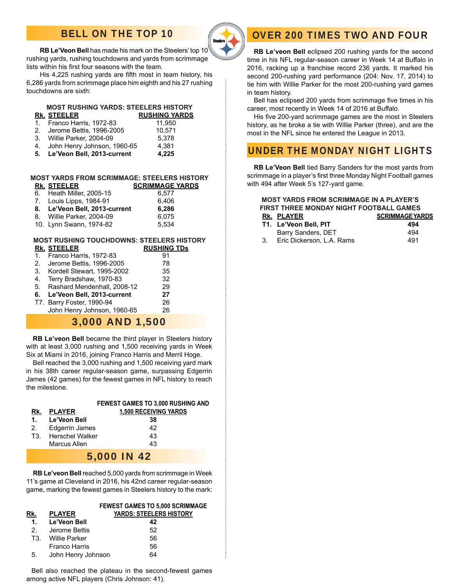# BELL ON THE TOP 10



**RB Le'Veon Bell** has made his mark on the Steelers' top 10 rushing yards, rushing touchdowns and yards from scrimmage lists within his first four seasons with the team.

His 4,225 rushing yards are fifth most in team history, his 6,286 yards from scrimmage place him eighth and his 27 rushing touchdowns are sixth:

| 1.<br>2.<br>5. | <b>MOST RUSHING YARDS: STEELERS HISTORY</b><br>RK. STEELER<br>Franco Harris, 1972-83<br>Jerome Bettis, 1996-2005<br>3. Willie Parker, 2004-09<br>4. John Henry Johnson, 1960-65<br>Le'Veon Bell, 2013-current | <b>RUSHING YARDS</b><br>11,950<br>10,571<br>5.378<br>4,381<br>4,225 |
|----------------|---------------------------------------------------------------------------------------------------------------------------------------------------------------------------------------------------------------|---------------------------------------------------------------------|
|                | MOST YARDS FROM SCRIMMAGE: STEELERS HISTORY                                                                                                                                                                   |                                                                     |
|                | RK. STEELER                                                                                                                                                                                                   | <b>SCRIMMAGE YARDS</b>                                              |
|                | 6. Heath Miller, 2005-15                                                                                                                                                                                      | 6,577                                                               |
|                | 7. Louis Lipps, 1984-91                                                                                                                                                                                       | 6,406                                                               |
|                | 8. Le'Veon Bell, 2013-current                                                                                                                                                                                 | 6,286                                                               |
|                | 8. Willie Parker, 2004-09                                                                                                                                                                                     | 6,075                                                               |
|                | 10. Lynn Swann, 1974-82                                                                                                                                                                                       | 5,534                                                               |
|                |                                                                                                                                                                                                               |                                                                     |
|                |                                                                                                                                                                                                               | <b>MOST RUSHING TOUCHDOWNS: STEELERS HISTORY</b>                    |
|                | RK. STEELER                                                                                                                                                                                                   | <b>RUSHING TDs</b>                                                  |
| 1.             | Franco Harris, 1972-83                                                                                                                                                                                        | 91                                                                  |
|                | 2. Jerome Bettis, 1996-2005                                                                                                                                                                                   | 78                                                                  |

|    | <b>U.</b> INDIUGII OLGWAIL, 1999-2002 | ິ  |
|----|---------------------------------------|----|
| 4. | Terry Bradshaw, 1970-83               | 32 |
|    | 5. Rashard Mendenhall, 2008-12        | 29 |
|    | 6. Le'Veon Bell, 2013-current         | 27 |
|    | T7. Barry Foster, 1990-94             | 26 |
|    | John Henry Johnson, 1960-65           | 26 |

### 3,000 AND 1,500

**RB Le'veon Bell** became the third player in Steelers history with at least 3,000 rushing and 1,500 receiving yards in Week Six at Miami in 2016, joining Franco Harris and Merril Hoge.

 Bell reached the 3,000 rushing and 1,500 receiving yard mark in his 38th career regular-season game, surpassing Edgerrin James (42 games) for the fewest games in NFL history to reach the milestone.

|             |                     | <b>FEWEST GAMES TO 3,000 RUSHING AND</b> |  |
|-------------|---------------------|------------------------------------------|--|
| Rk.         | <b>PLAYER</b>       | <b>1,500 RECEIVING YARDS</b>             |  |
|             | 1. Le'Veon Bell     | 38                                       |  |
|             | 2. Edgerrin James   | 42                                       |  |
|             | T3. Herschel Walker | 43                                       |  |
|             | Marcus Allen        | 43                                       |  |
| 5 000 IN 12 |                     |                                          |  |

### 5,000 IN 42

**RB Le'veon Bell** reached 5,000 yards from scrimmage in Week 11's game at Cleveland in 2016, his 42nd career regular-season game, marking the fewest games in Steelers history to the mark:

### **FEWEST GAMES TO 5,000 SCRIMMAGE Rk. PLAYER YARDS: STEELERS HISTORY**

|     | 1. Le'Veon Bell    | 42 |
|-----|--------------------|----|
| 2.  | Jerome Bettis      | 52 |
| T3. | Willie Parker      | 56 |
|     | Franco Harris      | 56 |
| 5.  | John Henry Johnson | 64 |

 Bell also reached the plateau in the second-fewest games among active NFL players (Chris Johnson: 41).

# OVER 200 TIMES TWO AND FOUR

**RB Le'veon Bell** eclipsed 200 rushing yards for the second time in his NFL regular-season career in Week 14 at Buffalo in 2016, racking up a franchise record 236 yards. It marked his second 200-rushing yard performance (204: Nov. 17, 2014) to tie him with Willie Parker for the most 200-rushing yard games in team history.

Bell has eclipsed 200 yards from scrimmage five times in his career, most recently in Week 14 of 2016 at Buffalo.

His five 200-yard scrimmage games are the most in Steelers history, as he broke a tie with Willie Parker (three), and are the most in the NFL since he entered the League in 2013.

# UNDER THE MONDAY NIGHT LIGHTS

**RB Le'Veon Bell** tied Barry Sanders for the most yards from scrimmage in a player's first three Monday Night Football games with 494 after Week 5's 127-yard game.

#### **MOST YARDS FROM SCRIMMAGE IN A PLAYER'S FIRST THREE MONDAY NIGHT FOOTBALL GAMES RK. PLAYER SCRIMMAGE YARDS T1. Le'Veon Bell, PIT 494** Barry Sanders, DET 494

3. Eric Dickerson, L.A. Rams 491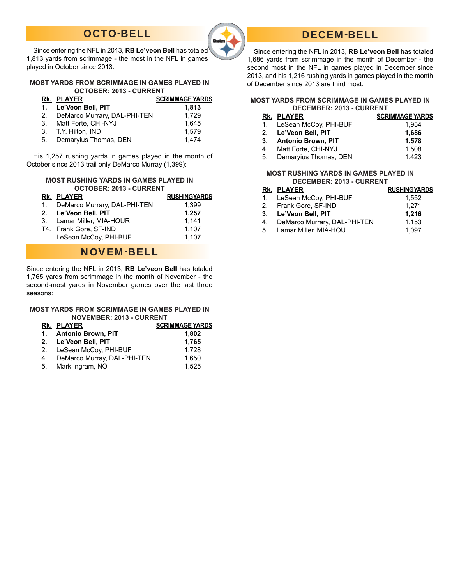# OCTO-BELL



# DECEM-BELL

 Since entering the NFL in 2013, **RB Le'veon Bell** has totaled 1,686 yards from scrimmage in the month of December - the second most in the NFL in games played in December since 2013, and his 1,216 rushing yards in games played in the month of December since 2013 are third most:

#### **MOST YARDS FROM SCRIMMAGE IN GAMES PLAYED IN DECEMBER: 2013 - CURRENT**

|    | RK. PLAYER               | <b>SCRIMMAGE YARDS</b> |
|----|--------------------------|------------------------|
|    | 1. LeSean McCoy, PHI-BUF | 1.954                  |
|    | 2. Le'Veon Bell, PIT     | 1.686                  |
|    | 3. Antonio Brown, PIT    | 1.578                  |
|    | 4. Matt Forte, CHI-NYJ   | 1,508                  |
| 5. | Demaryius Thomas, DEN    | 1.423                  |

#### **MOST RUSHING YARDS IN GAMES PLAYED IN DECEMBER: 2013 - CURRENT**

|    | RK. PLAYER                   | <b>RUSHINGYARDS</b> |
|----|------------------------------|---------------------|
|    | 1. LeSean McCoy, PHI-BUF     | 1.552               |
|    | 2. Frank Gore, SF-IND        | 1.271               |
|    | 3. Le'Veon Bell, PIT         | 1,216               |
| 4. | DeMarco Murrary, DAL-PHI-TEN | 1.153               |
|    | 5. Lamar Miller, MIA-HOU     | 1.097               |

 Since entering the NFL in 2013, **RB Le'veon Bell** has totaled 1,813 yards from scrimmage - the most in the NFL in games played in October since 2013:

#### **MOST YARDS FROM SCRIMMAGE IN GAMES PLAYED IN OCTOBER: 2013 - CURRENT**

|    | <u>Rk. PLAYER</u>            | <b>SCRIMMAGE YARDS</b>        |
|----|------------------------------|-------------------------------|
|    | 1. Le'Veon Bell, PIT         | 1.813                         |
| 2. | DeMarco Murrary, DAL-PHI-TEN | 1.729                         |
| 3. | Matt Forte. CHI-NYJ          | 1.645                         |
|    | 3. T.Y. Hilton, IND          | 1.579                         |
|    | <b>Demonders Themes BENI</b> | $\lambda$ $\lambda$ $\lambda$ |

5. Demaryius Thomas, DEN 1,474

 His 1,257 rushing yards in games played in the month of October since 2013 trail only DeMarco Murray (1,399):

#### **MOST RUSHING YARDS IN GAMES PLAYED IN OCTOBER: 2013 - CURRENT**

| RK. PLAYER                      | <b>RUSHINGYARDS</b> |
|---------------------------------|---------------------|
| 1. DeMarco Murrary, DAL-PHI-TEN | 1.399               |
| 2. Le'Veon Bell, PIT            | 1,257               |
| 3. Lamar Miller, MIA-HOUR       | 1.141               |
| T4. Frank Gore, SF-IND          | 1.107               |
| LeSean McCoy, PHI-BUF           | 1.107               |

## NOVEM-BELL

Since entering the NFL in 2013, **RB Le'veon Bell** has totaled 1,765 yards from scrimmage in the month of November - the second-most yards in November games over the last three seasons:

#### **MOST YARDS FROM SCRIMMAGE IN GAMES PLAYED IN NOVEMBER: 2013 - CURRENT**

|  | RK. PLAYER                     | <b>SCRIMMAGE YARDS</b> |
|--|--------------------------------|------------------------|
|  | 1. Antonio Brown, PIT          | 1,802                  |
|  | 2. Le'Veon Bell, PIT           | 1,765                  |
|  | 2. LeSean McCoy, PHI-BUF       | 1.728                  |
|  | 4. DeMarco Murray, DAL-PHI-TEN | 1.650                  |
|  | 5. Mark Ingram, NO             | 1.525                  |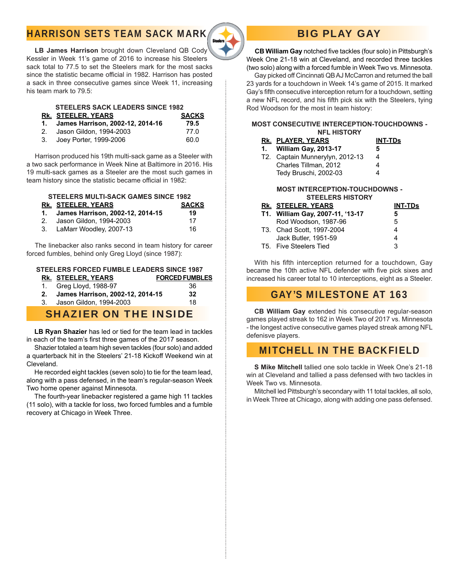# HARRISON SETS TEAM SACK MARK



# BIG PLAY GAY

**CB William Gay** notched five tackles (four solo) in Pittsburgh's Week One 21-18 win at Cleveland, and recorded three tackles (two solo) along with a forced fumble in Week Two vs. Minnesota.

 Gay picked off Cincinnati QB AJ McCarron and returned the ball 23 yards for a touchdown in Week 14's game of 2015. It marked Gay's fifth consecutive interception return for a touchdown, setting a new NFL record, and his fifth pick six with the Steelers, tying Rod Woodson for the most in team history:

#### **MOST CONSECUTIVE INTERCEPTION-TOUCHDOWNS - NFL HISTORY**

| RK. PLAYER, YEARS                | <b>INT-TDs</b>                                        |                                                                  |
|----------------------------------|-------------------------------------------------------|------------------------------------------------------------------|
| William Gay, 2013-17             | 5                                                     |                                                                  |
|                                  | 4                                                     |                                                                  |
| Charles Tillman, 2012            | 4                                                     |                                                                  |
| Tedy Bruschi, 2002-03            | 4                                                     |                                                                  |
|                                  |                                                       |                                                                  |
|                                  |                                                       |                                                                  |
|                                  | <b>INT-TDs</b>                                        |                                                                  |
| T1. William Gay, 2007-11, '13-17 | 5                                                     |                                                                  |
|                                  |                                                       |                                                                  |
| Rod Woodson, 1987-96             | 5                                                     |                                                                  |
| T3. Chad Scott. 1997-2004        | 4                                                     |                                                                  |
| Jack Butler, 1951-59             | 4                                                     |                                                                  |
|                                  | T2. Captain Munnerylyn, 2012-13<br>RK. STEELER. YEARS | <b>MOST INTERCEPTION-TOUCHDOWNS -</b><br><b>STEELERS HISTORY</b> |

With his fifth interception returned for a touchdown, Gay became the 10th active NFL defender with five pick sixes and increased his career total to 10 interceptions, eight as a Steeler.

## GAY'S MILESTONE AT 163

 **CB William Gay** extended his consecutive regular-season games played streak to 162 in Week Two of 2017 vs. Minnesota - the longest active consecutive games played streak among NFL defenisve players.

# MITCHELL IN THE BACKFIELD

 **S Mike Mitchell** tallied one solo tackle in Week One's 21-18 win at Cleveland and tallied a pass defensed with two tackles in Week Two vs. Minnesota.

 Mitchell led Pittsburgh's secondary with 11 total tackles, all solo, in Week Three at Chicago, along with adding one pass defensed.

**LB James Harrison** brought down Cleveland QB Cody Kessler in Week 11's game of 2016 to increase his Steelers sack total to 77.5 to set the Steelers mark for the most sacks since the statistic became official in 1982. Harrison has posted a sack in three consecutive games since Week 11, increasing his team mark to 79.5:

### **STEELERS SACK LEADERS SINCE 1982**

- **RK. STEELER, YEARS SACKS**
- **1. James Harrison, 2002-12, 2014-16** 79.5<br>2. Jason Gildon, 1994-2003
- 2. Jason Gildon, 1994-2003 3. Joey Porter, 1999-2006 60.0
- 

 Harrison produced his 19th multi-sack game as a Steeler with a two sack performance in Week Nine at Baltimore in 2016. His 19 multi-sack games as a Steeler are the most such games in team history since the statistic became official in 1982:

# **STEELERS MULTI-SACK GAMES SINCE 1982**

| RK. STEELER, YEARS                  | <b>SACKS</b> |
|-------------------------------------|--------------|
| 1. James Harrison, 2002-12, 2014-15 | 19           |
| 2. Jason Gildon, 1994-2003          | 17           |
|                                     | $\sim$       |

3. LaMarr Woodley, 2007-13 16

 The linebacker also ranks second in team history for career forced fumbles, behind only Greg Lloyd (since 1987):

### **STEELERS FORCED FUMBLE LEADERS SINCE 1987**

|  | RK. STEELER. YEARS                  | <b>FORCED FUMBLES</b> |
|--|-------------------------------------|-----------------------|
|  | 1. Greg Lloyd, 1988-97              | -36                   |
|  | 2. James Harrison, 2002-12, 2014-15 | 32                    |
|  | 3. Jason Gildon, 1994-2003          | 18                    |
|  |                                     |                       |

### SHAZIER ON THE INSIDE

**LB Ryan Shazier** has led or tied for the team lead in tackles in each of the team's first three games of the 2017 season.

 Shazier totaled a team high seven tackles (four solo) and added a quarterback hit in the Steelers' 21-18 Kickoff Weekend win at Cleveland.

 He recorded eight tackles (seven solo) to tie for the team lead, along with a pass defensed, in the team's regular-season Week Two home opener against Minnesota.

 The fourth-year linebacker registered a game high 11 tackles (11 solo), with a tackle for loss, two forced fumbles and a fumble recovery at Chicago in Week Three.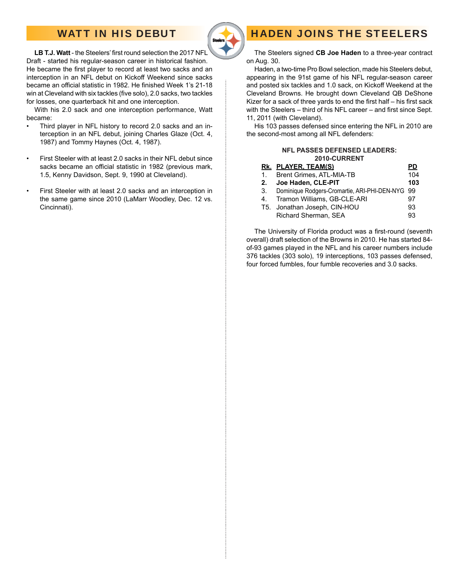# WATT IN HIS DEBUT



#### LB T.J. Watt - the Steelers' first round selection the 2017 NFL Draft - started his regular-season career in historical fashion. He became the first player to record at least two sacks and an interception in an NFL debut on Kickoff Weekend since sacks became an official statistic in 1982. He finished Week 1's 21-18 win at Cleveland with six tackles (five solo), 2.0 sacks, two tackles for losses, one quarterback hit and one interception.

 With his 2.0 sack and one interception performance, Watt became:

- Third player in NFL history to record 2.0 sacks and an interception in an NFL debut, joining Charles Glaze (Oct. 4, 1987) and Tommy Haynes (Oct. 4, 1987).
- First Steeler with at least 2.0 sacks in their NFL debut since sacks became an official statistic in 1982 (previous mark, 1.5, Kenny Davidson, Sept. 9, 1990 at Cleveland).
- First Steeler with at least 2.0 sacks and an interception in the same game since 2010 (LaMarr Woodley, Dec. 12 vs. Cincinnati).

# HADEN JOINS THE STEELERS

 The Steelers signed **CB Joe Haden** to a three-year contract on Aug. 30.

 Haden, a two-time Pro Bowl selection, made his Steelers debut, appearing in the 91st game of his NFL regular-season career and posted six tackles and 1.0 sack, on Kickoff Weekend at the Cleveland Browns. He brought down Cleveland QB DeShone Kizer for a sack of three yards to end the first half - his first sack with the Steelers – third of his NFL career – and first since Sept. 11, 2011 (with Cleveland).

 His 103 passes defensed since entering the NFL in 2010 are the second-most among all NFL defenders:

#### **NFL PASSES DEFENSED LEADERS: 2010-CURRENT**

### **Rk. PLAYER, TEAM(S) PD**

| $1_{-}$ | Brent Grimes, ATL-MIA-TB                        | 104 |
|---------|-------------------------------------------------|-----|
| 2.      | Joe Haden, CLE-PIT                              | 103 |
| 3.      | Dominique Rodgers-Cromartie, ARI-PHI-DEN-NYG 99 |     |
| 4.      | Tramon Williams, GB-CLE-ARI                     | 97  |
|         | T5. Jonathan Joseph, CIN-HOU                    | 93  |
|         | Richard Sherman, SEA                            | 93  |
|         |                                                 |     |

The University of Florida product was a first-round (seventh overall) draft selection of the Browns in 2010. He has started 84 of-93 games played in the NFL and his career numbers include 376 tackles (303 solo), 19 interceptions, 103 passes defensed, four forced fumbles, four fumble recoveries and 3.0 sacks.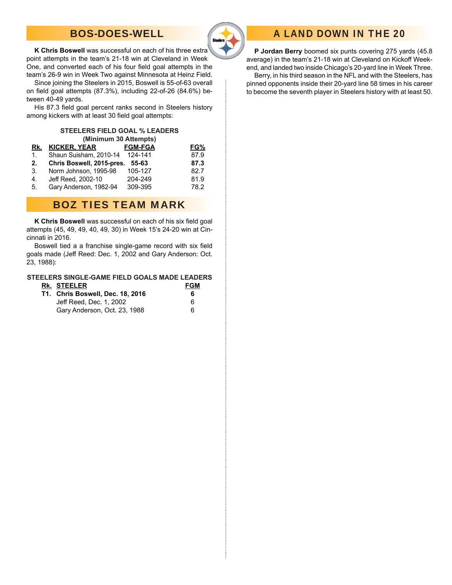# BOS-DOES-WELL



#### **K Chris Boswell** was successful on each of his three extra point attempts in the team's 21-18 win at Cleveland in Week One, and converted each of his four field goal attempts in the team's 26-9 win in Week Two against Minnesota at Heinz Field.

 Since joining the Steelers in 2015, Boswell is 55-of-63 overall on field goal attempts (87.3%), including 22-of-26 (84.6%) between 40-49 yards.

His 87.3 field goal percent ranks second in Steelers history among kickers with at least 30 field goal attempts:

#### **STEELERS FIELD GOAL % LEADERS (Minimum 30 Attempts)**

| Rk.     | <b>KICKER, YEAR</b>       | <b>FGM-FGA</b> | FG%  |
|---------|---------------------------|----------------|------|
| $1_{-}$ | Shaun Suisham, 2010-14    | 124-141        | 87.9 |
| 2.      | Chris Boswell, 2015-pres. | 55-63          | 87.3 |
| 3.      | Norm Johnson, 1995-98     | 105-127        | 82.7 |
| 4.      | Jeff Reed, 2002-10        | 204-249        | 81.9 |
| 5.      | Gary Anderson, 1982-94    | 309-395        | 78.2 |

## BOZ TIES TEAM MARK

K Chris Boswell was successful on each of his six field goal attempts (45, 49, 49, 40, 49, 30) in Week 15's 24-20 win at Cincinnati in 2016.

Boswell tied a a franchise single-game record with six field goals made (Jeff Reed: Dec. 1, 2002 and Gary Anderson: Oct. 23, 1988):

### **STEELERS SINGLE-GAME FIELD GOALS MADE LEADERS**

| RK. STEELER                             | <b>FGM</b> |
|-----------------------------------------|------------|
| <b>T1. Chris Boswell, Dec. 18, 2016</b> | 6          |
| Jeff Reed, Dec. 1, 2002                 | 6          |
| Gary Anderson, Oct. 23, 1988            | 6          |

# A LAND DOWN IN THE 20

**P Jordan Berry** boomed six punts covering 275 yards (45.8 average) in the team's 21-18 win at Cleveland on Kickoff Weekend, and landed two inside Chicago's 20-yard line in Week Three.

 Berry, in his third season in the NFL and with the Steelers, has pinned opponents inside their 20-yard line 58 times in his career to become the seventh player in Steelers history with at least 50.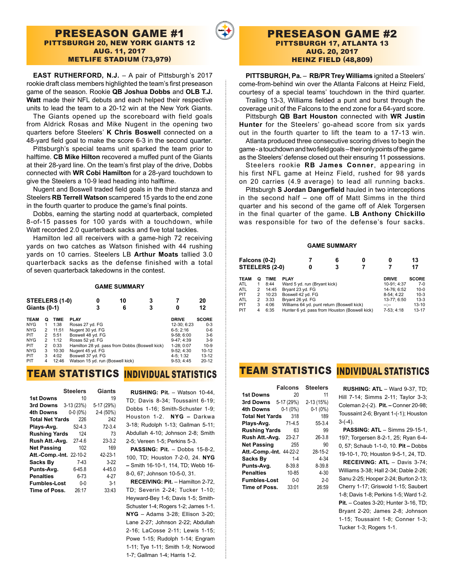### PRESEASON GAME #1 PITTSBURGH 20, NEW YORK GIANTS 12 AUG. 11, 2017 METLIFE STADIUM (73,979)

**EAST RUTHERFORD, N.J.** – A pair of Pittsburgh's 2017 rookie draft class members highlighted the team's first preseason game of the season. Rookie **QB Joshua Dobbs** and **OLB T.J. Watt** made their NFL debuts and each helped their respective units to lead the team to a 20-12 win at the New York Giants.

The Giants opened up the scoreboard with field goals from Aldrick Rosas and Mike Nugent in the opening two quarters before Steelers' **K Chris Boswell** connected on a 48-yard field goal to make the score 6-3 in the second quarter.

Pittsburgh's special teams unit sparked the team prior to halftime. **CB Mike Hilton** recovered a muffed punt of the Giants at their 28-yard line. On the team's first play of the drive, Dobbs connected with **WR Cobi Hamilton** for a 28-yard touchdown to give the Steelers a 10-9 lead heading into halftime.

Nugent and Boswell traded field goals in the third stanza and Steelers **RB Terrell Watson** scampered 15 yards to the end zone in the fourth quarter to produce the game's final points.

Dobbs, earning the starting nodd at quarterback, completed 8-of-15 passes for 100 yards with a touchdown, while Watt recorded 2.0 quarterback sacks and five total tackles.

Hamilton led all receivers with a game-high 72 receiving yards on two catches as Watson finished with 44 rushing yards on 10 carries. Steelers LB **Arthur Moats** tallied 3.0 quarterback sacks as the defense finished with a total of seven quarterback takedowns in the contest.

#### **GAME SUMMARY**

| STEELERS (1-0) |   |       | 10<br>0                                        | 3 |              | 20           |
|----------------|---|-------|------------------------------------------------|---|--------------|--------------|
| Giants $(0-1)$ |   |       | 3<br>6                                         | 3 |              | 12           |
| <b>TEAM</b>    | Ο | TIME  | <b>PLAY</b>                                    |   | <b>DRIVE</b> | <b>SCORE</b> |
| <b>NYG</b>     | 1 | 1:38  | Rosas 27 yd. FG                                |   | 12-30; 6:23  | $0 - 3$      |
| <b>NYG</b>     | 2 | 11:51 | Nugent 30 yd. FG                               |   | $6-5:2:16$   | $0-6$        |
| <b>PIT</b>     | 2 | 5:51  | Boswell 48 yd. FG                              |   | $9-58:6:00$  | $3-6$        |
| <b>NYG</b>     | 2 | 1:12  | Rosas 52 yd. FG                                |   | $9-47:4:39$  | $3-9$        |
| <b>PIT</b>     | 2 | 0:33  | Hamilton 28 yd. pass from Dobbs (Boswell kick) |   | 1-28: 0:07   | $10-9$       |
| <b>NYG</b>     | 3 | 10:30 | Nugent 45 yd. FG                               |   | $9-52:4:30$  | $10 - 12$    |
| <b>PIT</b>     | 3 | 4:02  | Boswell 37 yd. FG                              |   | 4-5: 1:32    | $13 - 12$    |
| PIT            | 4 | 12:46 | Watson 15 yd. run (Boswell kick)               |   | $9-53:4:45$  | $20 - 12$    |

# TEAM STATISTICS INDIVIDUAL STATISTICS

|                                | <b>Steelers</b> | Giants     |
|--------------------------------|-----------------|------------|
| <b>1st Downs</b>               | 10              | 19         |
| 3rd Downs                      | 3-13 (23%)      | 5-17 (29%) |
| 4th Downs                      | $0-0(0\%)$      | 2-4 (50%)  |
| <b>Total Net Yards</b>         | 226             | 242        |
| Plays-Avg.                     | $52 - 4.3$      | $72 - 3.4$ |
| <b>Rushing Yards</b>           | 124             | 73         |
| Rush Att.-Avg.                 | $27 - 4.6$      | $23 - 3.2$ |
| <b>Net Passing</b>             | 102             | 169        |
| <b>Att.-Comp.-Int. 22-10-2</b> |                 | 42-23-1    |
| <b>Sacks By</b>                | $7-43$          | $3-22$     |
| Punts-Avg.                     | $6 - 45.8$      | $4 - 45.0$ |
| <b>Penalties</b>               | $6 - 73$        | $4 - 27$   |
| <b>Fumbles-Lost</b>            | $0 - 0$         | $3-1$      |
| Time of Poss.                  | 26:17           | 33:43      |

 **RUSHING: Pit.** – Watson 10-44, TD; Davis 8-34; Toussaint 6-19; Dobbs 1-16; Smith-Schuster 1-9; Houston 1-2. **NYG –** Darkwa 3-18; Rudolph 1-13; Gallman 5-11; Abdullah 4-10; Johnson 2-8; Smith 2-5; Vereen 1-5; Perkins 5-3.

**PASSING: Pit. - Dobbs 15-8-2,** 100, TD; Houston 7-2-0, 24. **NYG –** Smith 16-10-1, 114, TD; Webb 16- 8-0, 67; Johnson 10-5-0, 31.

**RECEIVING: Pit.** – Hamilton 2-72, TD; Severin 2-24; Tucker 1-10; Heyward-Bey 1-6; Davis 1-5; Smith-Schuster 1-4; Rogers 1-2; James 1-1. **NYG** – Adams 3-28; Ellison 3-20; Lane 2-27; Johnson 2-22; Abdullah 2-16; LaCosse 2-11; Lewis 1-15; Powe 1-15; Rudolph 1-14; Engram 1-11; Tye 1-11; Smith 1-9; Norwood 1-7; Gallman 1-4; Harris 1-2.

### PRESEASON GAME #2 PITTSBURGH 17, ATLANTA 13 AUG. 20, 2017 HEINZ FIELD (48,809)

**PITTSBURGH, Pa.** – **RB/PR Trey Williams** ignited a Steelers' come-from-behind win over the Atlanta Falcons at Heinz Field, courtesy of a special teams' touchdown in the third quarter. Trailing 13-3, Williams fielded a punt and burst through the

coverage unit of the Falcons to the end zone for a 64-yard score. Pittsburgh **QB Bart Houston** connected with **WR Justin Hunter** for the Steelers' go-ahead score from six yards

out in the fourth quarter to lift the team to a 17-13 win. Atlanta produced three consecutive scoring drives to begin the game - a touchdown and two field goals – their only points of the game as the Steelers' defense closed out their ensuring 11 possessions.

Steelers rookie **RB James Conner**, appearing in his first NFL game at Heinz Field, rushed for 98 yards on 20 carries (4.9 average) to lead all running backs.

Pittsburgh **S Jordan Dangerfield** hauled in two interceptions in the second half – one off of Matt Simms in the third quarter and his second of the game off of Alek Torgersen in the final quarter of the game. **LB Anthony Chickillo**  was responsible for two of the defense's four sacks.

#### **GAME SUMMARY**

| Falcons (0-2) |   | STEELERS (2-0) | 0                            | 6<br>з                                        | 0            | 13<br>17     |
|---------------|---|----------------|------------------------------|-----------------------------------------------|--------------|--------------|
| TEAM          | Ω | TIME           | <b>PLAY</b>                  |                                               | <b>DRIVE</b> | <b>SCORE</b> |
| ATL           |   | 8:44           | Ward 5 yd. run (Bryant kick) |                                               | 10-91: 4:37  | $7-0$        |
| ATL           | 2 | 14:45          | Bryant 23 yd. FG             |                                               | 14-76: 6:52  | $10 - 0$     |
| PIT           | 2 | 10:23          | Boswell 42 yd. FG            |                                               | 8-54: 4:22   | $10-3$       |
| ATL           | 2 | 3:33           | Bryant 26 yd. FG             |                                               | 13-77: 6:50  | $13-3$       |
| PIT           | 3 | 4:06           |                              | Williams 64 yd. punt return (Boswell kick)    | $-1$         | $13 - 10$    |
| PIT           | 4 | 6:35           |                              | Hunter 6 yd. pass from Houston (Boswell kick) | 7-53: 4:18   | $13 - 17$    |
|               |   |                |                              |                                               |              |              |

# TEAM STATISTICS INDIVIDUAL STATISTICS

|                        | <b>Falcons</b> | <b>Steelers</b> |
|------------------------|----------------|-----------------|
| <b>1st Downs</b>       | 20             | 11              |
| 3rd Downs              | 5-17 (29%)     | 2-13 (15%)      |
| 4th Downs              | $0-1(0\%)$     | $0-1(0%)$       |
| <b>Total Net Yards</b> | 318            | 189             |
| Plays-Avg.             | $71 - 4.5$     | 55-3.4          |
| <b>Rushing Yards</b>   | 63             | 99              |
| Rush Att.-Avg.         | $23 - 2.7$     | $26 - 3.8$      |
| <b>Net Passing</b>     | 255            | 90              |
| Att.-Comp.-Int.        | 44-22-2        | 28-15-2         |
| <b>Sacks Bv</b>        | $1 - 4$        | $4 - 34$        |
| Punts-Avg.             | 8-39.8         | 8-39.8          |
| <b>Penalties</b>       | 10-85          | $4 - 30$        |
| <b>Fumbles-Lost</b>    | $0 - 0$        | $2 - 0$         |
| Time of Poss.          | 33:01          | 26:59           |

 **RUSHING: ATL** – Ward 9-37, TD; Hill 7-14; Simms 2-11; Taylor 3-3; Coleman 2-(-2). **Pit. –** Conner 20-98; Toussaint 2-6; Bryant 1-(-1); Houston  $3-(-4)$ .

**PASSING: ATL** – Simms 29-15-1, 197; Torgersen 8-2-1, 25; Ryan 6-4- 0, 57; Schaub 1-1-0, 10. **Pit –** Dobbs 19-10-1, 70; Houston 9-5-1, 24, TD.

**RECEIVING: ATL** – Davis 3-74; Williams 3-38; Hall 2-34; Dable 2-26; Sanu 2-25; Hooper 2-24; Burton 2-13; Cherry 1-17; Griswold 1-15; Saubert 1-8; Davis 1-8; Perkins 1-5; Ward 1-2. **Pit.** – Coates 3-20; Hunter 3-16, TD; Bryant 2-20; James 2-8; Johnson 1-15; Toussaint 1-8; Conner 1-3; Tucker 1-3; Rogers 1-1.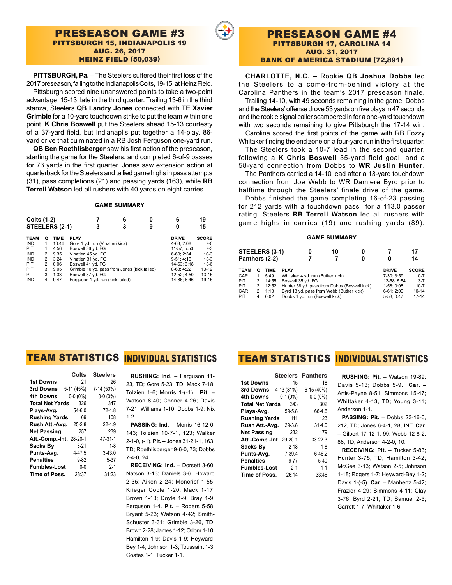### PRESEASON GAME #3 PITTSBURGH 15, INDIANAPOLIS 19 AUG. 26, 2017 HEINZ FIELD (50,039)

**PITTSBURGH, Pa.** – The Steelers suffered their first loss of the 2017 preseason, falling to the Indianapolis Colts, 19-15, at Heinz Field. Pittsburgh scored nine unanswered points to take a two-point advantage, 15-13, late in the third quarter. Trailing 13-6 in the third stanza, Steelers **QB Landry Jones** connected with **TE Xavier Grimble** for a 10-yard touchdown strike to put the team within one point. **K Chris Boswell** put the Steelers ahead 15-13 courtesty of a 37-yard field, but Indianaplis put together a 14-play, 86-

yard drive that culminated in a RB Josh Ferguson one-yard run. **QB Ben Roethlisberger** saw his first action of the preseason, starting the game for the Steelers, and completed 6-of-9 passes for 73 yards in the first quarter. Jones saw extension action at quarterback for the Steelers and tallied game highs in pass attempts (31), pass completions (21) and passing yards (163), while **RB Terrell Watson** led all rushers with 40 yards on eight carries.

#### **GAME SUMMARY**

| <b>Colts (1-2)</b><br>STEELERS (2-1) |                |             | 3                                            | 6<br>3 | 9 | 6<br>0        | 19<br>15     |
|--------------------------------------|----------------|-------------|----------------------------------------------|--------|---|---------------|--------------|
| <b>TEAM</b>                          | Ο              | <b>TIME</b> | <b>PLAY</b>                                  |        |   | <b>DRIVE</b>  | <b>SCORE</b> |
| <b>IND</b>                           | 1              | 10:46       | Gore 1 yd. run (Vinatieri kick)              |        |   | 4-63: 2:08    | $7-0$        |
| <b>PIT</b>                           | 1              | 4:56        | Boswell 36 yd. FG                            |        |   | 11-57: 5:50   | $7-3$        |
| <b>IND</b>                           | $\overline{2}$ | 9:35        | Vinatieri 45 yd. FG                          |        |   | 6-60: 2:34    | $10-3$       |
| <b>IND</b>                           | $\overline{2}$ | 3:24        | Vinatieri 31 yd. FG                          |        |   | $9 - 51:4:16$ | $13-3$       |
| PIT                                  | 2              | 0:06        | Boswell 41 yd. FG                            |        |   | 14-63: 3:18   | $13-6$       |
| PIT                                  | 3              | 9:05        | Grimble 10 yd. pass from Jones (kick failed) |        |   | 8-63: 4:22    | $13 - 12$    |
| <b>PIT</b>                           | 3              | 1:33        | Boswell 37 yd. FG                            |        |   | 12-52: 4:50   | $13 - 15$    |
| <b>IND</b>                           | 4              | 9:47        | Ferguson 1 yd. run (kick failed)             |        |   | 14-86; 6:46   | 19-15        |

### PRESEASON GAME #4 PITTSBURGH 17, CAROLINA 14 AUG. 31, 2017 BANK OF AMERICA STADIUM (72,891)

**CHARLOTTE, N.C.** – Rookie **QB Joshua Dobbs** led

the Steelers to a come-from-behind victory at the Carolina Panthers in the team's 2017 preseason finale.

Trailing 14-10, with 49 seconds remaining in the game, Dobbs and the Steelers' offense drove 53 yards on five plays in 47 seconds and the rookie signal caller scampered in for a one-yard touchdown with two seconds remaining to give Pittsburgh the 17-14 win.

Carolina scored the first points of the game with RB Fozzy Whitaker finding the end zone on a four-yard run in the first quarter.

The Steelers took a 10-7 lead in the second quarter, following a **K Chris Boswell** 35-yard field goal, and a 58-yard connection from Dobbs to **WR Justin Hunter**.

The Panthers carried a 14-10 lead after a 13-yard touchdown connection from Joe Webb to WR Damiere Byrd prior to halftime through the Steelers' finale drive of the game.

Dobbs finished the game completing 16-of-23 passing for 212 yards with a touchdown pass for a 113.0 passer rating. Steelers **RB Terrell Watson** led all rushers with game highs in carries (19) and rushing yards (89).

#### **GAME SUMMARY**

| STEELERS (3-1)<br>Panthers (2-2) |   |       |                                              | 10 | 0<br>0 | 0            | 17<br>14     |
|----------------------------------|---|-------|----------------------------------------------|----|--------|--------------|--------------|
| <b>TEAM</b>                      | Ο | TIME  | <b>PLAY</b>                                  |    |        | <b>DRIVE</b> | <b>SCORE</b> |
| <b>CAR</b>                       | 1 | 5:49  | Whitaker 4 yd. run (Butker kick)             |    |        | 7-30: 3:59   | $0 - 7$      |
| PIT                              | 2 | 14:55 | Boswell 35 yd. FG                            |    |        | 12-58: 5:54  | $3 - 7$      |
| PIT.                             | 2 | 12:52 | Hunter 58 yd. pass from Dobbs (Boswell kick) |    |        | 1-58: 0:08   | $10 - 7$     |
| <b>CAR</b>                       | 2 | 1:18  | Byrd 13 yd. pass from Webb (Butker kick)     |    |        | $6-61:2:09$  | $10 - 14$    |
| PIT                              | 4 | 0:02  | Dobbs 1 yd. run (Boswell kick)               |    |        | 5-53: 0:47   | $17 - 14$    |

|                                | Colts      | <b>Steelers</b> |
|--------------------------------|------------|-----------------|
| <b>1st Downs</b>               | 21         | 26              |
| 3rd Downs                      | 5-11 (45%) | 7-14 (50%)      |
| 4th Downs                      | $0-0(0\%)$ | $0 - 0 (0\%)$   |
| <b>Total Net Yards</b>         | 326        | 347             |
| Plays-Avg.                     | $54 - 6.0$ | $72 - 4.8$      |
| <b>Rushing Yards</b>           | 69         | 108             |
| Rush Att.-Avg.                 | $25 - 2.8$ | $22 - 4.9$      |
| <b>Net Passing</b>             | 257        | 239             |
| <b>Att.-Comp.-Int. 28-20-1</b> |            | 47-31-1         |
| <b>Sacks By</b>                | $3 - 21$   | $1 - 8$         |
| Punts-Avg.                     | $4 - 47.5$ | $3 - 43.0$      |
| <b>Penalties</b>               | $9 - 82$   | $5 - 37$        |
| <b>Fumbles-Lost</b>            | $0 - 0$    | $2 - 1$         |
| Time of Poss.                  | 28:37      | 31:23           |

## TEAM STATISTICS <mark>Individual</mark> Statistics

 **RUSHING: Ind.** – Ferguson 11- 23, TD; Gore 5-23, TD; Mack 7-18; Tolzien 1-6; Morris 1-(-1). **Pit. –** Watson 8-40; Conner 4-26; Davis 7-21; Williams 1-10; Dobbs 1-9; Nix 1-2.

**PASSING: Ind. - Morris 16-12-0,** 143; Tolzien 10-7-1, 123; Walker 2-1-0, (-1). **Pit. –** Jones 31-21-1, 163, TD; Roethlisberger 9-6-0, 73; Dobbs 7-4-0, 24.

**RECEIVING: Ind.** – Dorsett 3-60; Natson 3-13; Daniels 3-6; Howard 2-35; Aiken 2-24; Moncrief 1-55; Krieger Coble 1-20; Mack 1-17; Brown 1-13; Doyle 1-9; Bray 1-9; Ferguson 1-4. **Pit.** – Rogers 5-58; Bryant 5-23; Watson 4-42; Smith-Schuster 3-31; Grimble 3-26, TD; Brown 2-28; James 1-12; Odom 1-10; Hamilton 1-9; Davis 1-9; Heyward-Bey 1-4; Johnson 1-3; Toussaint 1-3; Coates 1-1; Tucker 1-1.

# TEAM STATISTICS INDIVIDUAL STATISTICS

|                                | Steelers   | <b>Panthers</b> |
|--------------------------------|------------|-----------------|
| <b>1st Downs</b>               | 15         | 18              |
| 3rd Downs 4-13 (31%)           |            | 6-15 (40%)      |
| 4th Downs                      | $0-1(0\%)$ | $0-0(0\%)$      |
| <b>Total Net Yards</b>         | 343        | 302             |
| Plays-Avg.                     | 59-5.8     | 66-4.6          |
| <b>Rushing Yards</b>           | 111        | 123             |
| Rush Att.-Avg.                 | 29-3.8     | $31 - 4.0$      |
| <b>Net Passing</b>             | 232        | 179             |
| <b>Att.-Comp.-Int. 29-20-1</b> |            | 33-22-3         |
| Sacks Bv                       | $2 - 18$   | $1 - 8$         |
| Punts-Avg.                     | 7-39.4     | $6 - 46.2$      |
| <b>Penalties</b>               | $9 - 77$   | $5 - 40$        |
| <b>Fumbles-Lost</b>            | $2 - 1$    | $1 - 1$         |
| Time of Poss.                  | 26:14      | 33:46           |

 **RUSHING: Pit.** – Watson 19-89; Davis 5-13; Dobbs 5-9. **Car. –** Artis-Payne 8-51; Simmons 15-47; Whittaker 4-13, TD; Young 3-11; Anderson 1-1.

**PASSING: Pit.** – Dobbs 23-16-0, 212, TD; Jones 6-4-1, 28, INT. **Car. –** Gilbert 17-12-1, 99; Webb 12-8-2, 88, TD; Anderson 4-2-0, 10.

**RECEIVING: Pit.** – Tucker 5-83; Hunter 3-75, TD; Hamilton 3-42; McGee 3-13; Watson 2-5; Johnson 1-18; Rogers 1-7; Heyward-Bey 1-2; Davis 1-(-5). **Car.** – Manhertz 5-42; Frazier 4-29; Simmons 4-11; Clay 3-76; Byrd 2-21, TD; Samuel 2-5; Garrett 1-7; Whittaker 1-6.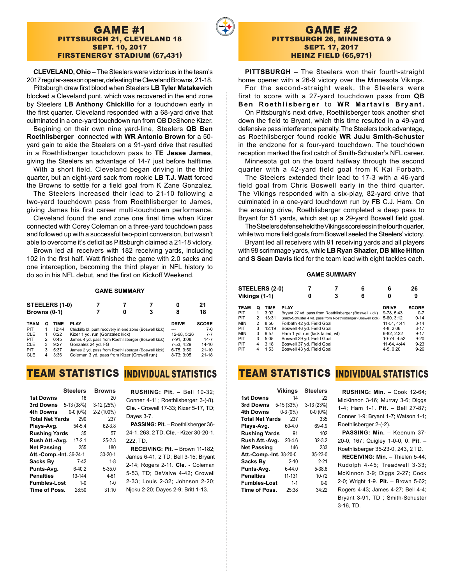#### GAME #1 PITTSBURGH 21, CLEVELAND 18 SEPT. 10, 2017 FIRSTENERGY STADIUM (67,431)

**CLEVELAND, Ohio** – The Steelers were victorious in the team's 2017 regular-season opener, defeating the Cleveland Browns, 21-18.

Pittsburgh drew first blood when Steelers **LB Tyler Matakevich**  blocked a Cleveland punt, which was recovered in the end zone by Steelers **LB Anthony Chickillo** for a touchdown early in the first quarter. Cleveland responded with a 68-yard drive that culminated in a one-yard touchdown run from QB DeShone Kizer.

Begining on their own nine yard-line, Steelers **QB Ben Roethlisberger** connected with **WR Antonio Brown** for a 50 yard gain to aide the Steelers on a 91-yard drive that resulted in a Roethlisberger touchdown pass to **TE Jesse James**, giving the Steelers an advantage of 14-7 just before halftime.

With a short field, Cleveland began driving in the third quarter, but an eight-yard sack from rookie **LB T.J. Watt** forced the Browns to settle for a field goal from K Zane Gonzalez.

The Steelers increased their lead to 21-10 following a two-yard touchdown pass from Roethlisberger to James, giving James his first career multi-touchdown performance.

Cleveland found the end zone one final time when Kizer connected with Corey Coleman on a three-yard touchdown pass and followed up with a successful two-point conversion, but wasn't able to overcome it's deficit as Pittsburgh claimed a 21-18 victory.

Brown led all receivers with 182 receiving yards, including 102 in the first half. Watt finished the game with 2.0 sacks and one interception, becoming the third player in NFL history to do so in his NFL debut, and the first on Kickoff Weekend.

**GAME SUMMARY**

| STEELERS (1-0)<br>Browns (0-1) |   |             |                                                        |  | 8            | 21<br>18     |
|--------------------------------|---|-------------|--------------------------------------------------------|--|--------------|--------------|
| <b>TEAM</b>                    | Q | <b>TIME</b> | <b>PLAY</b>                                            |  | <b>DRIVE</b> | <b>SCORE</b> |
| <b>PIT</b>                     |   | 12:44       | Chickillo bl. punt recovery in end zone (Boswell kick) |  | ---          | $7-0$        |
| <b>CLE</b>                     |   | 0:22        | Kizer 1 yd. run (Gonzalez kick)                        |  | 12-68. 5:26  | $7 - 7$      |
| <b>PIT</b>                     | 2 | 0:45        | James 4 yd. pass from Roethlisberger (Boswell kick)    |  | 7-91.3:08    | $14 - 7$     |
| <b>CLE</b>                     | 3 | 9:27        | Gonzalez 24 yd. FG                                     |  | 7-53, 4:29   | $14 - 10$    |
| <b>PIT</b>                     | 3 | 5:37        | James 2 yd. pass from Roethlisberger (Boswell kick)    |  | 6-75, 3:50   | $21 - 10$    |
| <b>CLE</b>                     | 4 | 3:36        | Coleman 3 yd. pass from Kizer (Crowell run)            |  | 8-73: 3:05   | $21 - 18$    |

# TEAM STATISTICS <mark>Individual</mark> Statistics

|                                | <b>Steelers</b> | <b>Browns</b> |
|--------------------------------|-----------------|---------------|
| <b>1st Downs</b>               | 16              | 20            |
| 3rd Downs                      | 5-13 (38%)      | 3-12 (25%)    |
| 4th Downs                      | $0-0(0\%)$      | 2-2 (100%)    |
| <b>Total Net Yards</b>         | 290             | 237           |
| Plays-Avg.                     | $54 - 5.4$      | 62-3.8        |
| <b>Rushing Yards</b>           | 35              | 57            |
| Rush Att.-Avg.                 | $17 - 2.1$      | $25 - 2.3$    |
| <b>Net Passing</b>             | 255             | 180           |
| <b>Att.-Comp.-Int. 36-24-1</b> |                 | $30 - 20 - 1$ |
| <b>Sacks By</b>                | $7-42$          | $1 - 8$       |
| Punts-Avg.                     | $6 - 40.2$      | $5 - 35.0$    |
| <b>Penalties</b>               | 13-144          | 4-61          |
| <b>Fumbles-Lost</b>            | $1 - 0$         | $1 - 0$       |
| Time of Poss.                  | 28:50           | 31:10         |

 **RUSHING: Pit.** – Bell 10-32; Conner 4-11; Roethlisberger 3-(-8). **Cle.** - Crowell 17-33; Kizer 5-17, TD; Dayes 3-7.

**PASSING: Pit.** – Roethlisberger 36- 24-1, 263; 2 TD. **Cle.** - Kizer 30-20-1, 222, TD.

**RECEIVING: Pit.** – Brown 11-182; James 6-41, 2 TD; Bell 3-15; Bryant 2-14; Rogers 2-11. **Cle.** - Coleman 5-53, TD; DeValve 4-42; Crowell 2-33; Louis 2-32; Johnson 2-20; Njoku 2-20; Dayes 2-9; Britt 1-13.

**PITTSBURGH** – The Steelers won their fourth-straight home opener with a 26-9 victory over the Minnesota Vikings.

For the second-straight week, the Steelers were first to score with a 27-yard touchdown pass from **QB Ben Roethlisberger** to **WR Martavis Bryant.**

On Pittsburgh's next drive, Roethlisberger took another shot down the field to Bryant, which this time resulted in a 49-yard defensive pass interference penalty. The Steelers took advantage, as Roethlisberger found rookie **WR JuJu Smith-Schuster**  in the endzone for a four-yard touchdown. The touchdown reception marked the first catch of Smith-Schuster's NFL career.

Minnesota got on the board halfway through the second quarter with a 42-yard field goal from K Kai Forbath.

The Steelers extended their lead to 17-3 with a 46-yard field goal from Chris Boswell early in the third quarter. The Vikings responded with a six-play, 82-yard drive that culminated in a one-yard touchdown run by FB C.J. Ham. On the ensuing drive, Roethlisberger completed a deep pass to Bryant for 51 yards, which set up a 29-yard Boswell field goal.

The Steelers defense held the Vikings scoreless in the fourth quarter, while two more field goals from Boswell seeled the Steelers' victory.

Bryant led all receivers with 91 receiving yards and all players with 98 scrimmage yards, while **LB Ryan Shazier**, **DB Mike Hilton**  and **S Sean Davis** tied for the team lead with eight tackles each.

#### **GAME SUMMARY**

| STEELERS (2-0) |                |             |                                 |   | 6                                                            | 6            | 26           |
|----------------|----------------|-------------|---------------------------------|---|--------------------------------------------------------------|--------------|--------------|
| Vikings (1-1)  |                |             |                                 | 0 | 6                                                            | 0            | 9            |
| <b>TEAM</b>    | Ο              | <b>TIME</b> | <b>PLAY</b>                     |   |                                                              | <b>DRIVE</b> | <b>SCORE</b> |
| <b>PIT</b>     | 1              | 3:02        |                                 |   | Bryant 27 yd. pass from Roethlisberger (Boswell kick)        | 9-78.5:43    | $0 - 7$      |
| <b>PIT</b>     | $\overline{2}$ | 13:31       |                                 |   | Smith-Schuster 4 yd. pass from Roethlisberger (Boswell kick) | 5-60, 3:12   | $0 - 14$     |
| <b>MIN</b>     | $\overline{2}$ | 8:50        | Forbath 42 yd. Field Goal       |   |                                                              | 11-51.4:41   | $3 - 14$     |
| PIT.           | 3              | 12:19       | Boswell 46 yd. Field Goal       |   |                                                              | $4-8.2:06$   | $3 - 17$     |
| <b>MIN</b>     | 3              | 9:57        | Ham 1 yd. run (kick failed, wl) |   |                                                              | 6-82, 2:22   | $9 - 17$     |
| <b>PIT</b>     | 3              | 5:05        | Boswell 29 yd. Field Goal       |   |                                                              | 10-74.4:52   | $9 - 20$     |
| <b>PIT</b>     | 4              | 3:18        | Boswell 37 yd. Field Goal       |   |                                                              | 11-64, 4:44  | $9 - 23$     |
| <b>PIT</b>     | 4              | 1:53        | Boswell 43 yd. Field Goal       |   |                                                              | 4-5, 0:20    | $9 - 26$     |

# TEAM STATISTICS <mark>Individual</mark> Statistics

|                                | <b>Vikings</b> | <b>Steelers</b> |
|--------------------------------|----------------|-----------------|
| <b>1st Downs</b>               | 14             | 22              |
| 3rd Downs                      | 5-15 (33%)     | $3-13(23%)$     |
| 4th Downs                      | $0-3(0%)$      | $0 - 0 (0\%)$   |
| <b>Total Net Yards</b>         | 237            | 335             |
| Plays-Avg.                     | $60 - 4.0$     | 69-4.9          |
| <b>Rushing Yards</b>           | 91             | 102             |
| Rush Att.-Avg.                 | $20 - 4.6$     | $32 - 3.2$      |
| <b>Net Passing</b>             | 146            | 233             |
| <b>Att.-Comp.-Int. 38-20-0</b> |                | 35-23-0         |
| Sacks By                       | $2 - 10$       | $2 - 21$        |
| Punts-Avg.                     | $6 - 44.0$     | 5-38.6          |
| <b>Penalties</b>               | 11-131         | 10-72           |
| <b>Fumbles-Lost</b>            | $1 - 1$        | $0 - 0$         |
| Time of Poss.                  | 25:38          | 34:22           |
|                                |                |                 |

 **RUSHING: Min.** – Cook 12-64; MicKinnon 3-16: Murray 3-6: Diggs 1-4; Ham 1-1. **Pit.** – Bell 27-87; Conner 1-9; Bryant 1-7; Watson 1-1; Roethlisberger 2-(-2).

PASSING: Min. - Keenum 37-20-0, 167; Quigley 1-0-0, 0. **Pit.** – Roethlisberger 35-23-0, 243, 2 TD. **RECEIVING: Min.** – Thielen 5-44; Rudolph 4-45; Treadwell 3-33; McKinnon 3-9; Diggs 2-27; Cook

2-0; Wright 1-9. **Pit.** – Brown 5-62; Rogers 4-43; James 4-27; Bell 4-4; Bryant 3-91, TD ; Smith-Schuster 3-16, TD.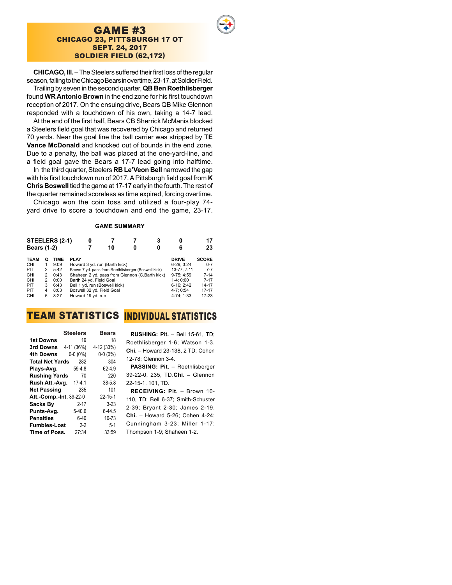### GAME #3 CHICAGO 23, PITTSBURGH 17 OT SEPT. 24, 2017 SOLDIER FIELD (62,172)

**CHICAGO, Ill.** – The Steelers suffered their first loss of the regular season, falling to the Chicago Bears in overtime, 23-17, at Soldier Field. Trailing by seven in the second quarter, **QB Ben Roethlisberger**

found **WR Antonio Brown** in the end zone for his first touchdown reception of 2017. On the ensuing drive, Bears QB Mike Glennon responded with a touchdown of his own, taking a 14-7 lead.

At the end of the first half, Bears CB Sherrick McManis blocked a Steelers field goal that was recovered by Chicago and returned 70 yards. Near the goal line the ball carrier was stripped by **TE Vance McDonald** and knocked out of bounds in the end zone. Due to a penalty, the ball was placed at the one-yard-line, and a field goal gave the Bears a 17-7 lead going into halftime.

In the third quarter, Steelers **RB Le'Veon Bell** narrowed the gap with his first touchdown run of 2017. A Pittsburgh field goal from **K Chris Boswell** tied the game at 17-17 early in the fourth. The rest of the quarter remained scoreless as time expired, forcing overtime.

Chicago won the coin toss and utilized a four-play 74 yard drive to score a touchdown and end the game, 23-17.

#### **GAME SUMMARY**

| STEELERS (2-1)<br><b>Bears (1-2)</b> |   |             |                                                     | 10 | 0 | 3<br>0 | 0<br>6       | 17<br>23     |
|--------------------------------------|---|-------------|-----------------------------------------------------|----|---|--------|--------------|--------------|
| <b>TEAM</b>                          | Ο | <b>TIME</b> | <b>PLAY</b>                                         |    |   |        | <b>DRIVE</b> | <b>SCORE</b> |
| <b>CHI</b>                           | 1 | 9:09        | Howard 3 yd. run (Barth kick)                       |    |   |        | 6-29: 3:24   | $0 - 7$      |
| PIT                                  | 2 | 5:42        | Brown 7 yd. pass from Roethlisberger (Boswell kick) |    |   |        | 13-77: 7:11  | $7 - 7$      |
| <b>CHI</b>                           | 2 | 0:43        | Shaheen 2 yd. pass from Glennon (C.Barth kick)      |    |   |        | $9-75:4:59$  | $7 - 14$     |
| <b>CHI</b>                           | 2 | 0:00        | Barth 24 yd. Field Goal                             |    |   |        | $1-4:0:00$   | $7 - 17$     |
| PIT                                  | 3 | 6:43        | Bell 1 yd. run (Boswell kick)                       |    |   |        | $6-16:2:42$  | 14-17        |
| PIT                                  | 4 | 8:03        | Boswell 32 yd. Field Goal                           |    |   |        | $4-7:0:54$   | $17 - 17$    |
| CHI                                  | 5 | 8:27        | Howard 19 yd. run                                   |    |   |        | 4-74: 1:33   | 17-23        |

## TEAM STATISTICS <mark>Individual</mark> Statistics

|                                | <b>Steelers</b> | <b>Bears</b>  |
|--------------------------------|-----------------|---------------|
| <b>1st Downs</b>               | 19              | 18            |
| 3rd Downs                      | 4-11 (36%)      | 4-12 (33%)    |
| 4th Downs                      | $0-0(0\%)$      | $0-0(0\%)$    |
| <b>Total Net Yards</b>         | 282             | 304           |
| Plays-Avg.                     | 59-4.8          | 62-4.9        |
| <b>Rushing Yards</b>           | 70              | 220           |
| Rush Att.-Avg.                 | $17 - 4.1$      | $38 - 5.8$    |
| <b>Net Passing</b>             | 235             | 101           |
| <b>Att.-Comp.-Int. 39-22-0</b> |                 | $22 - 15 - 1$ |
| <b>Sacks By</b>                | $2 - 17$        | $3-23$        |
| Punts-Avg.                     | $5 - 40.6$      | $6 - 44.5$    |
| <b>Penalties</b>               | $6 - 40$        | 10-73         |
| <b>Fumbles-Lost</b>            | $2 - 2$         | $5-1$         |
| Time of Poss.                  | 27:34           | 33:59         |

 **RUSHING: Pit.** – Bell 15-61, TD; Roethlisberger 1-6; Watson 1-3. **Chi.** – Howard 23-138, 2 TD; Cohen 12-78; Glennon 3-4.

**PASSING: Pit.** – Roethlisberger 39-22-0, 235, TD.**Chi.** – Glennon 22-15-1, 101, TD.

**RECEIVING: Pit.** – Brown 10- 110, TD; Bell 6-37; Smith-Schuster 2-39; Bryant 2-30; James 2-19. **Chi.** – Howard 5-26; Cohen 4-24; Cunningham 3-23; Miller 1-17; Thompson 1-9; Shaheen 1-2.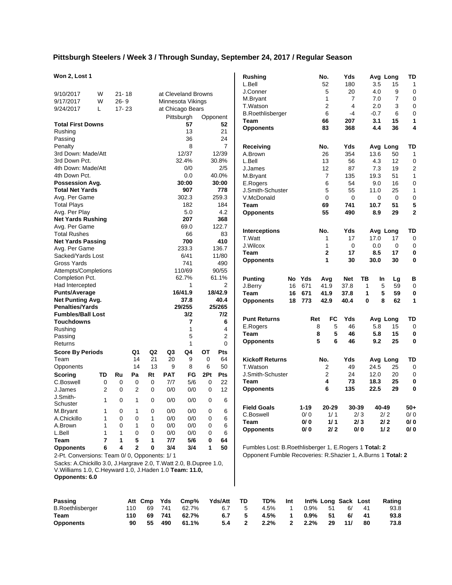### **Pittsburgh Steelers / Week 3 / Through Sunday, September 24, 2017 / Regular Season**

### **Won 2, Lost 1**

| Won 2, Lost 1                                                     |                |              |                |                |            |                     |          |                | Rushing<br>L.Bell |                                                             |     |      | No.<br>52      | Yds<br>180          |              | 3.5    | Avg Long<br>15 | TD<br>$\mathbf{1}$      |
|-------------------------------------------------------------------|----------------|--------------|----------------|----------------|------------|---------------------|----------|----------------|-------------------|-------------------------------------------------------------|-----|------|----------------|---------------------|--------------|--------|----------------|-------------------------|
| 9/10/2017                                                         | W              | $21 - 18$    |                |                |            | at Cleveland Browns |          |                | J.Conner          |                                                             |     |      | 5              | 20                  |              | 4.0    | 9              | 0                       |
| 9/17/2017                                                         | W              | $26 - 9$     |                |                |            | Minnesota Vikings   |          |                | M.Bryant          |                                                             |     |      | 1              | $\overline{7}$      |              | 7.0    | $\overline{7}$ | 0                       |
| 9/24/2017                                                         | Г              | $17 - 23$    |                |                |            |                     |          |                | T.Watson          |                                                             |     |      | $\overline{2}$ | 4                   |              | 2.0    | 3              | 0                       |
|                                                                   |                |              |                |                |            | at Chicago Bears    |          |                |                   | <b>B.Roethlisberger</b>                                     |     |      | 6              | $-4$                |              | $-0.7$ | 6              | 0                       |
|                                                                   |                |              |                |                |            | Pittsburgh          | Opponent |                | Team              |                                                             |     |      | 66             | 207                 |              | 3.1    | 15             | 1                       |
| <b>Total First Downs</b>                                          |                |              |                |                |            | 57                  |          | 52             |                   | <b>Opponents</b>                                            |     |      | 83             | 368                 |              | 4.4    | 36             | 4                       |
| Rushing                                                           |                |              |                |                |            | 13                  |          | 21             |                   |                                                             |     |      |                |                     |              |        |                |                         |
| Passing                                                           |                |              |                |                |            | 36                  |          | 24             |                   |                                                             |     |      |                |                     |              |        |                |                         |
| Penalty                                                           |                |              |                |                |            | 8                   |          | $\overline{7}$ |                   | Receiving                                                   |     |      | No.            | Yds                 |              |        | Avg Long       | TD                      |
| 3rd Down: Made/Att                                                |                |              |                |                |            | 12/37               |          | 12/39          | A.Brown           |                                                             |     |      | 26             | 354                 |              | 13.6   | 50             | $\mathbf{1}$            |
| 3rd Down Pct.                                                     |                |              |                |                |            | 32.4%               |          | 30.8%          | L.Bell            |                                                             |     |      | 13             | 56                  |              | 4.3    | 12             | 0                       |
| 4th Down: Made/Att                                                |                |              |                |                |            | 0/0                 |          | 2/5            | J.James           |                                                             |     |      | 12             | 87                  |              | 7.3    | 19             | $\overline{\mathbf{c}}$ |
| 4th Down Pct.                                                     |                |              |                |                |            | 0.0                 |          | 40.0%          | M.Bryant          |                                                             |     |      | $\overline{7}$ | 135                 |              | 19.3   | 51             | $\mathbf{1}$            |
| Possession Avg.                                                   |                |              |                |                |            | 30:00               |          | 30:00          | E.Rogers          |                                                             |     |      | 6              | 54                  |              | 9.0    | 16             | 0                       |
| <b>Total Net Yards</b>                                            |                |              |                |                |            | 907                 |          | 778            |                   | J.Smith-Schuster                                            |     |      | 5              | 55                  |              | 11.0   | 25             | 1                       |
| Avg. Per Game                                                     |                |              |                |                |            | 302.3               |          | 259.3          |                   | V.McDonald                                                  |     |      | 0              | 0                   |              | 0      | 0              | 0                       |
| <b>Total Plays</b>                                                |                |              |                |                |            | 182                 |          | 184            | Team              |                                                             |     |      | 69             | 741                 | 10.7         |        | 51             | 5                       |
| Avg. Per Play                                                     |                |              |                |                |            | 5.0                 |          | 4.2            |                   | <b>Opponents</b>                                            |     |      | 55             | 490                 |              | 8.9    | 29             | $\mathbf 2$             |
| <b>Net Yards Rushing</b>                                          |                |              |                |                |            | 207                 |          | 368            |                   |                                                             |     |      |                |                     |              |        |                |                         |
| Avg. Per Game                                                     |                |              |                |                |            | 69.0                |          | 122.7          |                   |                                                             |     |      |                |                     |              |        |                |                         |
| <b>Total Rushes</b>                                               |                |              |                |                |            | 66                  |          | 83             |                   | <b>Interceptions</b>                                        |     |      | No.            | Yds                 |              |        | Avg Long       | TD                      |
| <b>Net Yards Passing</b>                                          |                |              |                |                |            | 700                 |          | 410            | T.Watt            |                                                             |     |      | 1              | 17                  | 17.0         |        | 17             | 0                       |
| Avg. Per Game                                                     |                |              |                |                |            | 233.3               |          | 136.7          | J.Wilcox          |                                                             |     |      | 1              | 0                   |              | 0.0    | 0              | 0                       |
| Sacked/Yards Lost                                                 |                |              |                |                |            | 6/41                |          | 11/80          | Team              |                                                             |     |      | 2              | 17                  |              | 8.5    | 17             | 0                       |
| Gross Yards                                                       |                |              |                |                |            | 741                 |          | 490            |                   | <b>Opponents</b>                                            |     |      | 1              | 30                  | 30.0         |        | 30             | 0                       |
| Attempts/Completions                                              |                |              |                |                |            | 110/69              |          | 90/55          |                   |                                                             |     |      |                |                     |              |        |                |                         |
| Completion Pct.                                                   |                |              |                |                |            | 62.7%               |          | 61.1%          | <b>Punting</b>    |                                                             | No  | Yds  | Avg            | <b>Net</b>          | ΤВ           | In     | Lg             | в                       |
| Had Intercepted                                                   |                |              |                |                |            | 1                   |          | 2              | J.Berry           |                                                             | 16  | 671  | 41.9           | 37.8                | $\mathbf{1}$ | 5      | 59             | 0                       |
| <b>Punts/Average</b>                                              |                |              |                |                |            | 16/41.9             |          | 18/42.9        | Team              |                                                             | 16  | 671  | 41.9           | 37.8                | 1            | 5      | 59             | 0                       |
| Net Punting Avg.                                                  |                |              |                |                |            | 37.8                |          | 40.4           |                   | <b>Opponents</b>                                            | 18  | 773  | 42.9           | 40.4                | 0            | 8      | 62             | $\mathbf{1}$            |
| <b>Penalties/Yards</b>                                            |                |              |                |                |            | 29/255              |          | 25/265         |                   |                                                             |     |      |                |                     |              |        |                |                         |
| <b>Fumbles/Ball Lost</b>                                          |                |              |                |                |            | 3/2                 |          | 7/2            |                   |                                                             |     |      |                |                     |              |        |                |                         |
| Touchdowns                                                        |                |              |                |                |            | $\overline{7}$      |          | 6              |                   | <b>Punt Returns</b>                                         |     | Ret  | <b>FC</b>      | Yds                 |              |        | Avg Long       | TD                      |
| Rushing                                                           |                |              |                |                |            | $\mathbf{1}$        |          | 4              | E.Rogers          |                                                             |     |      | 8              | 5<br>46             |              | 5.8    | 15             | 0                       |
| Passing                                                           |                |              |                |                |            | 5                   |          | 2              | Team              |                                                             |     |      | 8              | 5<br>46             |              | 5.8    | 15             | 0                       |
| Returns                                                           |                |              |                |                |            | $\mathbf{1}$        |          | $\Omega$       |                   | <b>Opponents</b>                                            |     |      | 5              | 6<br>46             |              | 9.2    | 25             | $\bf{0}$                |
|                                                                   |                |              |                |                |            |                     |          |                |                   |                                                             |     |      |                |                     |              |        |                |                         |
| <b>Score By Periods</b>                                           |                |              | Q1             | Q <sub>2</sub> | Q3         | Q4                  | ОT       | Pts            |                   |                                                             |     |      |                |                     |              |        |                |                         |
| Team                                                              |                |              | 14             | 21             | 20         | 9                   | 0        | 64             |                   | <b>Kickoff Returns</b>                                      |     |      | No.            | Yds                 |              |        | Avg Long       | TD                      |
| Opponents                                                         |                |              | 14             | 13             | 9          | 8                   | 6        | 50             | T.Watson          |                                                             |     |      | 2              | 49                  | 24.5         |        | 25             | 0                       |
| Scoring                                                           | TD             | Ru           | Pa             | Rt             | <b>PAT</b> | FG                  | 2Pt      | Pts            |                   | J.Smith-Schuster                                            |     |      | $\overline{2}$ | 24                  | 12.0         |        | 20             | 0                       |
| C.Boswell                                                         | 0              | $\mathbf 0$  | 0              | 0              | 7/7        | 5/6                 | 0        | 22             | Team              |                                                             |     |      | 4              | 73                  | 18.3         |        | 25             | 0                       |
| J.James                                                           | 2              | 0            | $\overline{2}$ | 0              | 0/0        | 0/0                 | 0        | 12             |                   | <b>Opponents</b>                                            |     |      | 6              | 135                 | 22.5         |        | 29             | 0                       |
| J.Smith-                                                          | 1              | 0            | $\mathbf{1}$   | 0              | $0/0$      | $0/0$               | 0        | 6              |                   |                                                             |     |      |                |                     |              |        |                |                         |
| Schuster                                                          |                |              |                |                |            |                     |          |                |                   | <b>Field Goals</b>                                          |     | 1-19 | 20-29          |                     | 30-39        | 40-49  |                | $50+$                   |
| M.Bryant                                                          | 1              | 0            | 1              | 0              | 0/0        | 0/0                 | 0        | 6              |                   | C.Boswell                                                   |     | 0/0  | 1/1            |                     | 2/3          | 2/2    |                | 0/0                     |
| A.Chickillo                                                       | 1              | 0            | 0              | 1              | 0/0        | 0/0                 | 0        | 6              |                   |                                                             |     |      |                |                     |              |        |                |                         |
| A.Brown                                                           | 1              | 0            | 1              | 0              | 0/0        | 0/0                 | 0        | 6              | Team              |                                                             |     | 0/0  | 1/1            |                     | 2/3          | 2/2    |                | 0/0<br>0/0              |
| L.Bell                                                            | 1              | $\mathbf{1}$ | 0              | 0              | 0/0        | 0/0                 | 0        | 6              |                   | <b>Opponents</b>                                            |     | 0/0  | $2/2$          |                     | 0/0          | 1/2    |                |                         |
| Team                                                              | $\overline{7}$ | 1            | 5              | 1              | 7/7        | 5/6                 | 0        | 64             |                   |                                                             |     |      |                |                     |              |        |                |                         |
| <b>Opponents</b>                                                  | 6              | 4            | 2              | 0              | 3/4        | 3/4                 | 1        | 50             |                   | Fumbles Lost: B.Roethlisberger 1, E.Rogers 1 Total: 2       |     |      |                |                     |              |        |                |                         |
| 2-Pt. Conversions: Team 0/ 0, Opponents: 1/ 1                     |                |              |                |                |            |                     |          |                |                   | Opponent Fumble Recoveries: R.Shazier 1, A.Burns 1 Total: 2 |     |      |                |                     |              |        |                |                         |
| Sacks: A.Chickillo 3.0, J.Hargrave 2.0, T.Watt 2.0, B.Dupree 1.0, |                |              |                |                |            |                     |          |                |                   |                                                             |     |      |                |                     |              |        |                |                         |
| V. Williams 1.0, C. Heyward 1.0, J. Haden 1.0 Team: 11.0,         |                |              |                |                |            |                     |          |                |                   |                                                             |     |      |                |                     |              |        |                |                         |
| Opponents: 6.0                                                    |                |              |                |                |            |                     |          |                |                   |                                                             |     |      |                |                     |              |        |                |                         |
|                                                                   |                |              |                |                |            |                     |          |                |                   |                                                             |     |      |                |                     |              |        |                |                         |
| <b>Passing</b>                                                    |                |              | Att Cmp        |                | Yds        | Cmp%                |          | Yds/Att        | TD                | TD%                                                         | Int |      |                | Int% Long Sack Lost |              |        | Rating         |                         |
| <b>B.Roethlisberger</b>                                           |                |              | 110            | 69             | 741        | 62.7%               |          | 6.7            | 5                 | 4.5%                                                        | 1   | 0.9% | 51             | 6/                  | 41           |        | 93.8           |                         |
| <b>Team</b>                                                       |                |              | 110            | 69             | 741        | 62.7%               |          | 6.7            | 5                 | 4.5%                                                        | 1   | 0.9% | 51             | 6/                  | 41           |        | 93.8           |                         |

**Opponents 90 55 490 61.1% 5.4 2 2.2% 2 2.2% 29 11/ 80 73.8**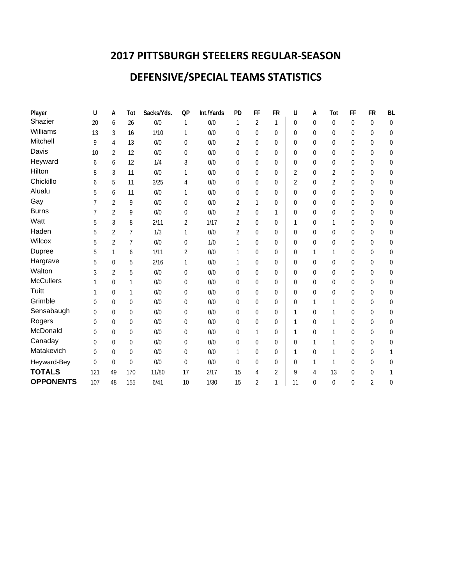# **2017 PITTSBURGH STEELERS REGULAR-SEASON**

# **DEFENSIVE/SPECIAL TEAMS STATISTICS**

| Player           | U        | А              | Tot              | Sacks/Yds. | QP             | Int./Yards | PD               | FF             | <b>FR</b>      | U           | А                | Tot            | FF             | <b>FR</b>      | <b>BL</b> |
|------------------|----------|----------------|------------------|------------|----------------|------------|------------------|----------------|----------------|-------------|------------------|----------------|----------------|----------------|-----------|
| Shazier          | 20       | 6              | 26               | 0/0        | 1              | 0/0        | 1                | 2              |                | $\theta$    | $\theta$         | $\theta$       | $\Omega$       | $\Omega$       | 0         |
| Williams         | 13       | 3              | 16               | 1/10       | 1              | 0/0        | $\overline{0}$   | 0              | 0              | $\Omega$    | $\theta$         | $\Omega$       | $\theta$       | $\Omega$       | $\Omega$  |
| Mitchell         | 9        | 4              | 13               | 0/0        | 0              | 0/0        | $\overline{2}$   | 0              | 0              | $\Omega$    | $\mathbf 0$      | $\Omega$       | $\theta$       | $\Omega$       | 0         |
| Davis            | 10       | $\overline{2}$ | 12               | 0/0        | 0              | 0/0        | 0                | 0              | $\mathbf 0$    | $\Omega$    | $\mathbf 0$      | $\theta$       | $\theta$       | $\theta$       | 0         |
| Heyward          | 6        | 6              | 12               | 1/4        | 3              | 0/0        | $\overline{0}$   | 0              | $\mathbf 0$    | $\Omega$    | $\mathbf{0}$     | $\mathbf 0$    | 0              | $\theta$       | 0         |
| Hilton           | 8        | 3              | 11               | 0/0        | 1              | 0/0        | 0                | 0              | $\overline{0}$ | 2           | $\theta$         | 2              | $\theta$       | $\theta$       | 0         |
| Chickillo        | 6        | 5              | 11               | 3/25       | 4              | 0/0        | $\overline{0}$   | 0              | 0              | 2           | $\theta$         | 2              | $\theta$       | $\theta$       | 0         |
| Alualu           | 5        | 6              | 11               | 0/0        | 1              | 0/0        | $\overline{0}$   | 0              | 0              | $\Omega$    | $\mathbf 0$      | 0              | $\theta$       | $\Omega$       | 0         |
| Gay              | 7        | $\overline{2}$ | 9                | 0/0        | $\Omega$       | 0/0        | 2                | 1              | 0              | $\Omega$    | 0                | $\Omega$       | $\theta$       | $\Omega$       | 0         |
| <b>Burns</b>     |          | $\overline{2}$ | 9                | 0/0        | 0              | 0/0        | $\overline{2}$   | 0              | 1              | $\Omega$    | $\theta$         | $\Omega$       | $\theta$       | $\theta$       | 0         |
| Watt             | 5        | 3              | 8                | 2/11       | 2              | 1/17       | $\overline{2}$   | 0              | $\mathbf 0$    | 1           | $\boldsymbol{0}$ | 1              | $\overline{0}$ | 0              | 0         |
| Haden            | 5        | $\overline{2}$ | 7                | 1/3        | 1              | 0/0        | $\overline{2}$   | 0              | 0              | $\Omega$    | $\mathbf 0$      | $\Omega$       | $\theta$       | $\Omega$       | 0         |
| Wilcox           | 5        | 2              | 7                | 0/0        | $\theta$       | 1/0        | 1                | 0              | $\mathbf 0$    | $\Omega$    | $\theta$         | $\theta$       | $\theta$       | $\theta$       | 0         |
| Dupree           | 5        | 1              | 6                | 1/11       | $\overline{2}$ | 0/0        | 1                | 0              | 0              | $\Omega$    | 1                | 1              | $\theta$       | $\theta$       | 0         |
| Hargrave         | 5        | 0              | 5                | 2/16       | 1              | 0/0        | 1                | 0              | 0              | $\Omega$    | $\theta$         | $\Omega$       | $\theta$       | $\Omega$       | 0         |
| Walton           | 3        | $\overline{2}$ | 5                | 0/0        | $\Omega$       | 0/0        | $\theta$         | 0              | $\Omega$       | $\Omega$    | $\theta$         | $\Omega$       | $\theta$       | $\Omega$       | 0         |
| <b>McCullers</b> |          | 0              | 1                | 0/0        | $\overline{0}$ | 0/0        | 0                | 0              | $\overline{0}$ | $\Omega$    | $\overline{0}$   | $\mathbf 0$    | $\overline{0}$ | $\mathbf 0$    | 0         |
| Tuitt            |          | 0              | 1                | 0/0        | 0              | 0/0        | 0                | 0              | 0              | $\Omega$    | 0                | 0              | $\theta$       | $\Omega$       | 0         |
| Grimble          | 0        | 0              | $\mathbf{0}$     | 0/0        | $\Omega$       | 0/0        | $\overline{0}$   | 0              | $\mathbf 0$    | $\Omega$    | 1                | 1              | $\theta$       | $\theta$       | $\theta$  |
| Sensabaugh       | $\Omega$ | 0              | $\mathbf 0$      | 0/0        | $\overline{0}$ | 0/0        | 0                | 0              | 0              | 1           | $\mathbf{0}$     | 1              | $\theta$       | 0              | 0         |
| Rogers           | 0        | 0              | $\mathbf 0$      | 0/0        | 0              | 0/0        | 0                | 0              | 0              | 1           | $\theta$         | 1              | $\theta$       | $\theta$       | 0         |
| McDonald         | 0        | 0              | $\mathbf 0$      | 0/0        | $\Omega$       | 0/0        | 0                | 1              | 0              | 1           | $\theta$         | 1              | $\Omega$       | $\Omega$       | 0         |
| Canaday          | $\Omega$ | 0              | $\mathbf{0}$     | 0/0        | 0              | 0/0        | 0                | 0              | 0              | $\Omega$    | 1                | 1              | $\theta$       | $\theta$       | 0         |
| Matakevich       | 0        | 0              | $\mathbf{0}$     | 0/0        | 0              | 0/0        | 1                | 0              | $\mathbf 0$    | 1           | $\mathbf 0$      | 1              | $\theta$       | $\theta$       | 1         |
| Heyward-Bey      | 0        | 0              | $\boldsymbol{0}$ | 0/0        | 0              | 0/0        | $\boldsymbol{0}$ | 0              | 0              | $\mathbf 0$ | 1                | 1              | 0              | 0              | 0         |
| <b>TOTALS</b>    | 121      | 49             | 170              | 11/80      | 17             | 2/17       | 15               | 4              | $\overline{2}$ | 9           | 4                | 13             | $\overline{0}$ | $\overline{0}$ | 1         |
| <b>OPPONENTS</b> | 107      | 48             | 155              | 6/41       | 10             | 1/30       | 15               | $\overline{2}$ | $\mathbf{1}$   | 11          | $\overline{0}$   | $\overline{0}$ | $\overline{0}$ | $\overline{2}$ | 0         |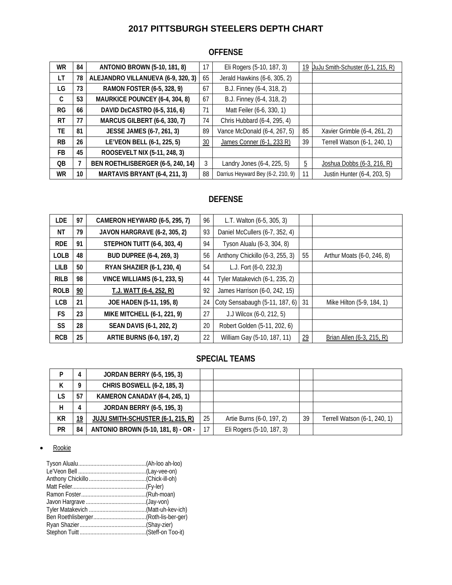# **2017 PITTSBURGH STEELERS DEPTH CHART**

# **OFFENSE**

| WR        | 84 | <b>ANTONIO BROWN (5-10, 181, 8)</b> | 17 | Eli Rogers (5-10, 187, 3)         | 19             | JuJu Smith-Schuster (6-1, 215, R) |
|-----------|----|-------------------------------------|----|-----------------------------------|----------------|-----------------------------------|
| LT        | 78 | ALEJANDRO VILLANUEVA (6-9, 320, 3)  | 65 | Jerald Hawkins (6-6, 305, 2)      |                |                                   |
| LG        | 73 | RAMON FOSTER (6-5, 328, 9)          | 67 | B.J. Finney (6-4, 318, 2)         |                |                                   |
| C         | 53 | MAURKICE POUNCEY (6-4, 304, 8)      | 67 | B.J. Finney (6-4, 318, 2)         |                |                                   |
| <b>RG</b> | 66 | DAVID DECASTRO (6-5, 316, 6)        | 71 | Matt Feiler (6-6, 330, 1)         |                |                                   |
| RT        | 77 | <b>MARCUS GILBERT (6-6, 330, 7)</b> | 74 | Chris Hubbard (6-4, 295, 4)       |                |                                   |
| ТE        | 81 | JESSE JAMES (6-7, 261, 3)           | 89 | Vance McDonald (6-4, 267, 5)      | 85             | Xavier Grimble (6-4, 261, 2)      |
| <b>RB</b> | 26 | LE'VEON BELL (6-1, 225, 5)          | 30 | James Conner (6-1, 233 R)         | 39             | Terrell Watson (6-1, 240, 1)      |
| FB.       | 45 | ROOSEVELT NIX (5-11, 248, 3)        |    |                                   |                |                                   |
| 0B        | 7  | BEN ROETHLISBERGER (6-5, 240, 14)   | 3  | Landry Jones (6-4, 225, 5)        | $\overline{5}$ | Joshua Dobbs (6-3, 216, R)        |
| <b>WR</b> | 10 | MARTAVIS BRYANT (6-4, 211, 3)       | 88 | Darrius Heyward Bey (6-2, 210, 9) | 11             | Justin Hunter (6-4, 203, 5)       |

# **DEFENSE**

| <b>LDE</b>  | 97             | CAMERON HEYWARD (6-5, 295, 7)       | 96 | L.T. Walton (6-5, 305, 3)         |    |                            |
|-------------|----------------|-------------------------------------|----|-----------------------------------|----|----------------------------|
| ΝT          | 79             | JAVON HARGRAVE (6-2, 305, 2)        | 93 | Daniel McCullers (6-7, 352, 4)    |    |                            |
| <b>RDE</b>  | 91             | <b>STEPHON TUITT (6-6, 303, 4)</b>  | 94 | Tyson Alualu (6-3, 304, 8)        |    |                            |
| <b>LOLB</b> | 48             | <b>BUD DUPREE (6-4, 269, 3)</b>     | 56 | Anthony Chickillo (6-3, 255, 3)   | 55 | Arthur Moats (6-0, 246, 8) |
| <b>LILB</b> | 50             | RYAN SHAZIER (6-1, 230, 4)          | 54 | L.J. Fort (6-0, 232,3)            |    |                            |
| <b>RILB</b> | 98             | <b>VINCE WILLIAMS (6-1, 233, 5)</b> | 44 | Tyler Matakevich (6-1, 235, 2)    |    |                            |
| <b>ROLB</b> | $\frac{90}{2}$ | T.J. WATT (6-4, 252, R)             | 92 | James Harrison (6-0, 242, 15)     |    |                            |
| <b>LCB</b>  | 21             | JOE HADEN (5-11, 195, 8)            | 24 | Coty Sensabaugh (5-11, 187, 6) 31 |    | Mike Hilton (5-9, 184, 1)  |
| <b>FS</b>   | 23             | MIKE MITCHELL (6-1, 221, 9)         | 27 | J.J Wilcox (6-0, 212, 5)          |    |                            |
| <b>SS</b>   | 28             | SEAN DAVIS (6-1, 202, 2)            | 20 | Robert Golden (5-11, 202, 6)      |    |                            |
| <b>RCB</b>  | 25             | <b>ARTIE BURNS (6-0, 197, 2)</b>    | 22 | William Gay (5-10, 187, 11)       | 29 | Brian Allen (6-3, 215, R)  |

## **SPECIAL TEAMS**

| D  | 4  | <b>JORDAN BERRY (6-5, 195, 3)</b>   |    |                           |    |                              |
|----|----|-------------------------------------|----|---------------------------|----|------------------------------|
| К  | 9  | CHRIS BOSWELL (6-2, 185, 3)         |    |                           |    |                              |
| LS | 57 | KAMERON CANADAY (6-4, 245, 1)       |    |                           |    |                              |
| н  | 4  | <b>JORDAN BERRY (6-5, 195, 3)</b>   |    |                           |    |                              |
| КR | 19 | JUJU SMITH-SCHUSTER (6-1, 215, R)   | 25 | Artie Burns (6-0, 197, 2) | 39 | Terrell Watson (6-1, 240, 1) |
| PR | 84 | ANTONIO BROWN (5-10, 181, 8) - OR - |    | Eli Rogers (5-10, 187, 3) |    |                              |

• Rookie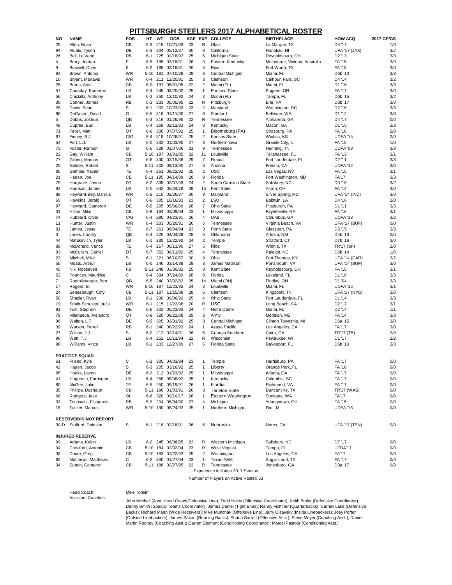| <b>NO</b>      | <b>NAME</b>                   | <b>POS</b> | HT.      | WT  | <b>DOB</b>          | AGE EXP |                | <b>COLLEGE</b>        | <b>BIRTHPLACE</b>              | <b>HOW ACQ</b>       | 2017 GP/GS |
|----------------|-------------------------------|------------|----------|-----|---------------------|---------|----------------|-----------------------|--------------------------------|----------------------|------------|
| 29             | Allen, Brian                  | СB         | $6-3$    | 215 | 10/21/93            | 23      | R              | Utah                  | La Marque, TX                  | D5 '17               | 1/0        |
| 94             | Alualu, Tyson                 | DE         | $6-3$    |     | 304 05/12/87        | 30      | 8              | California            | Honolulu, HI                   | <b>UFA '17 (JAX)</b> | 3/2        |
| 26             | Bell, Le'Veon                 | <b>RB</b>  | 6-1      |     | 225 02/18/92        | 25      | 5              | Michigan State        | Reynoldsburg, OH               | D <sub>2</sub> '13   | 3/3        |
| 4              | Berry, Jordan                 | P          | $6-5$    |     | 195 03/18/91        | 26      | 3              | Eastern Kentucky      | Melbourne, Victoria, Australia | FA '15               | 3/0        |
| 9              | Boswell, Chris                | K.         | $6 - 2$  |     | 185 03/16/91        | 26      | 3              | Rice                  | Fort Worth, TX                 | FA '15               | 3/0        |
| 84             | Brown, Antonio                | <b>WR</b>  | $5 - 10$ | 181 | 07/10/88            | 29      | 8              | Central Michigan      | Miami, FL                      | D6b '10              | 3/3        |
| 10             | Bryant, Martavis              | <b>WR</b>  | $6 - 4$  | 211 | 12/20/91            | 25      | 3              | Clemson               | Calhoun Falls, SC              | D4 '14               | 3/2        |
|                |                               | СB         |          |     | 197 05/01/95        | 22      |                | Miami (FL)            | Miami, FL                      | D1 '16               | 3/3        |
| 25             | Burns, Artie                  |            | $6-0$    |     |                     |         | $\overline{c}$ |                       |                                |                      |            |
| 57             | Canaday, Kameron              | LS         | $6-4$    | 245 | 08/20/92            | 25      | 1              | <b>Portland State</b> | Eugene, OR                     | FA '17               | $3/0$      |
| 56             | Chickillo, Anthony            | LВ         | $6 - 3$  | 255 | 12/10/92            | 24      | 3              | Miami (FL)            | Tampa, FL                      | D6b '15              | 3/2        |
| 30             | Conner, James                 | <b>RB</b>  | $6 - 1$  |     | 233 05/05/95        | 22      | R              | Pittsburgh            | Erie, PA                       | D3b '17              | 3/0        |
| 28             | Davis, Sean                   | S          | $6 - 1$  |     | 202 10/23/93        | 23      | 2              | Maryland              | Washington, DC                 | D <sub>2</sub> '16   | 3/3        |
| 66             | DeCastro, David               | G          | $6-5$    |     | 316 01/11/90        | 27      | 6              | Stanford              | Bellevue, WA                   | D1 '12               | 3/3        |
| 5              | Dobbs, Joshua                 | QB         | $6 - 3$  |     | 216 01/26/95        | 22      | R              | Tennessee             | Alpharetta, GA                 | D4 '17               | 0/0        |
| 48             | Dupree, Bud                   | LВ         | $6 - 4$  |     | 269 02/12/93        | 24      | 3              | Kentucky              | Macon, GA                      | D1 '15               | 2/2        |
| 71             | Feiler, Matt                  | OT         | $6-6$    |     | 330 07/07/92        | 25      | $\overline{1}$ | Bloomsburg (PA)       | Strasburg, PA                  | FA '16               | 2/0        |
| 67             | Finney, B.J.                  | C/G        | $6 - 4$  |     | 318 10/26/91        | 25      | $\overline{c}$ | Kansas State          | Wichita, KS                    | <b>UDFA '15</b>      | 2/0        |
|                |                               | LВ         | $6-0$    |     | 232 01/03/90        | 27      |                | Northern Iowa         | Granite City, IL               | FA '15               | 1/0        |
| 54             | Fort, L.J.                    |            |          |     |                     |         | 3              |                       |                                |                      |            |
| 73             | Foster, Ramon                 | G          | $6-5$    |     | 328 01/07/86        | 31      | 9              | Tennessee             | Henning, TN                    | UDFA '09             | 3/3        |
| 22             | Gay, William                  | CB         | $5 - 10$ |     | 187 01/01/85        | 32      | 11             | Louisville            | Tallahassee, FL                | FA '13               | 3/1        |
| 77             | Gilbert, Marcus               | OT         | $6-6$    | 330 | 02/15/88            | 29      | 7              | Florida               | Fort Lauderdale, FL            | D <sub>2</sub> '11   | 3/3        |
| 20             | Golden, Robert                | S          | $5 - 11$ | 202 | 09/13/90            | 27      | 6              | Arizona               | Fresno, CA                     | UDFA '12             | 3/0        |
| 85             | Grimble, Xavier               | <b>TE</b>  | $6 - 4$  | 261 | 09/22/92            | 25      | $\overline{2}$ | <b>USC</b>            | Las Vegas, NV                  | FA '15               | 3/1        |
| 21             | Haden, Joe                    | CB         | $5 - 11$ |     | 195 04/14/89        | 28      | 8              | Florida               | Fort Washington, MD            | <b>FA'17</b>         | 3/3        |
| 79             | Hargrave, Javon               | DT         | $6 - 2$  |     | 305 02/07/93        | 24      | $\overline{c}$ | South Carolina State  | Salisbury, NC                  | D3 '16               | 3/2        |
| 92             | Harrison, James               | LB         | $6-0$    |     | 242 05/04/78        | 39      | 15             | <b>Kent State</b>     | Akron, OH                      | FA '14               | 3/0        |
|                |                               |            |          |     |                     |         |                |                       |                                |                      |            |
| 88             | Heyward-Bey, Darrius          | <b>WR</b>  | $6 - 2$  |     | 210 02/26/87        | 30      | 9              | Maryland              | Silver Spring, MD              | <b>UFA '14 (IND)</b> | 3/0        |
| 65             | Hawkins, Jerald               | OT         | $6-6$    | 305 | 10/16/93            | 23      | $\overline{c}$ | LSU                   | Baldwin, LA                    | D4 '16               | 2/0        |
| 97             | Heyward, Cameron              | DE         | $6-5$    | 295 | 05/06/89            | 28      | $\overline{7}$ | <b>Ohio State</b>     | Pittsburgh, PA                 | D1 '11               | 3/3        |
| 31             | Hilton, Mike                  | CB         | $5-9$    |     | 184 03/09/94        | 23      | $\mathbf{1}$   | Mississippi           | Fayetteville, GA               | FA '16               | 3/1        |
| 74             | Hubbard, Chris                | C/G        | 6-4      |     | 295 04/23/91        | 26      | 4              | <b>UAB</b>            | Columbus, GA                   | UDFA '13             | 3/2        |
| 11             | Hunter, Justin                | <b>WR</b>  | 6-4      | 203 | 05/20/91            | 26      | 5              | Tennessee             | Virginia Beach, VA             | <b>UFA '17 (BUF)</b> | 0/0        |
| 81             | James, Jesse                  | TE         | $6 - 7$  | 261 | 06/04/94            | 23      | 3              | Penn State            | Glassport, PA                  | D <sub>5</sub> '15   | 3/3        |
| 3              | Jones, Landry                 | QB         | 6-4      |     | 225 04/04/89        | 28      | 5              | Oklahoma              | Artesia, NM                    | D <sub>4</sub> b '13 | 0/0        |
| 44             | Matakevich, Tyler             | LB         | $6 - 1$  |     | 235 12/22/92        | 24      | 2              | Temple                | Stratford, CT                  | D7b '16              | $3/0$      |
|                |                               | <b>TE</b>  |          |     | 267 06/13/90        | 27      |                |                       |                                |                      | 2/0        |
| 89             | McDonald, Vance               |            | 6-4      |     |                     |         | 5              | Rice                  | Winnie, TX                     | TR'17 (SF)           |            |
| 93             | McCullers, Daniel             | DT         | $6 - 7$  |     | 352 08/11/92        | 25      | 4              | Tennessee             | Raleigh, NC                    | D6b '14              | 1/0        |
| 23             | Mitchell, Mike                | S          | $6 - 1$  | 221 | 06/10/87            | 30      | 9              | Ohio                  | Fort Thomas, KY                | <b>UFA '14 (CAR)</b> | 3/2        |
| 55             | Moats, Arthur                 | LB         | $6-0$    |     | 246 03/14/88        | 29      | 8              | James Madison         | Portsmouth, VA                 | <b>UFA '14 (BUF)</b> | $3/0$      |
| 45             | Nix, Roosevelt                | <b>FB</b>  |          |     | 5-11 248 03/30/92   | 25      | 3              | <b>Kent State</b>     | Reynoldsburg, OH               | FA '15               | 3/1        |
| 53             | Pouncey, Maurkice             | C          | $6-4$    |     | 304 07/24/89        | 28      | 8              | Florida               | Lakeland, FL                   | D1 '10               | 3/3        |
| $\overline{7}$ | Roethlisberger, Ben           | QB         | $6-5$    |     | 240 03/02/82        | 35      | 14             | Miami (OH)            | Findlay, OH                    | D1 '04               | 3/3        |
| 17             | Rogers, Eli                   | <b>WR</b>  |          |     | 5-10 187 12/23/92   | 24      | 3              | Louisville            | Miami, FL                      | <b>UDFA '15</b>      | 3/1        |
| 24             | Sensabaugh, Coty              | СB         |          |     | 5-11 187 11/15/88   | 28      | 6              | Clemson               | Kingsport, TN                  | <b>UFA '17 (NYG)</b> | 3/0        |
| 50             |                               | LB         | $6 - 1$  |     | 230 09/06/92        | 25      | 4              | <b>Ohio State</b>     | Fort Lauderdale, FL            | D1 '14               | 3/3        |
|                | Shazier, Ryan                 |            |          |     |                     |         |                |                       |                                |                      |            |
| 19             | Smith-Schuster, JuJu          | <b>WR</b>  | $6 - 1$  |     | 215 11/22/96        | 20      | $\mathsf R$    | <b>USC</b>            | Long Beach, CA                 | D <sub>2</sub> '17   | 3/1        |
| 91             | Tuitt, Stephon                | DE         | $6-6$    |     | 303 05/23/93        | 24      | 4              | Notre Dame            | Miami, FL                      | D <sub>2</sub> '14   | 1/1        |
| 78             | Villanueva, Alejandro         | <b>OT</b>  | $6-9$    |     | 320 09/22/88        | 29      | 3              | Army                  | Meridian, MS                   | FA '14               | 3/3        |
| 96             | Walton, L.T.                  | DE         | $6-5$    |     | 305 03/31/92        | 25      | 3              | Central Michigan      | Clinton Township, MI           | D6a '15              | 3/0        |
| 39             | Watson, Terrell               | <b>RB</b>  | $6 - 1$  |     | 240 08/22/93        | 24      | 1              | Azusa Pacific         | Los Angeles, CA                | FA '17               | 3/0        |
| 27             | Wilcox, J.J.                  | S          | $6-0$    |     | 212 02/14/91        | 26      | 5              | Georgia Southern      | Cairo, GA                      | TR'17 (TB)           | 2/0        |
| 90             | Watt, T.J.                    | LB         | $6 - 4$  |     | 252 10/11/94        | 22      | R              | Wisconsin             | Pewaukee, WI                   | D1 '17               | $2/2$      |
| 98             | Williams, Vince               | LB         | $6 - 1$  |     | 233 12/27/89        | 27      | 5              | <b>Florida State</b>  | Davenport, FL                  | D6b '13              | 3/3        |
|                |                               |            |          |     |                     |         |                |                       |                                |                      |            |
|                |                               |            |          |     |                     |         |                |                       |                                |                      |            |
|                | <b>PRACTICE SQUAD</b>         |            |          |     |                     |         |                |                       |                                |                      |            |
| 61             | Friend, Kyle                  | С          | $6-2$    |     | 305 04/03/94        | 23      | 1              | Temple                | Harrisburg, PA                 | FA '17               | 0/0        |
| 42             | Hagen, Jacob                  | S          | $6-3$    |     | 205 03/16/92        | 25      | $\mathbf{1}$   | Liberty               | Orange Park, FL                | FA '16               | $0/0$      |
| 95             | Hooks, Lavon                  | DE         | $6-3$    |     | 312 01/23/92        | 25      | 1              | Mississippi           | Atlanta, GA                    | <b>FA '17</b>        | 0/0        |
| 41             | Huguenin, Farrington          | LB         | $6 - 4$  |     | 268 05/08/92        | 25      | 1              | Kentucky              | Columbia, SC                   | <b>FA '17</b>        | 0/0        |
| 80             | McGee, Jake                   | TE         | $6-5$    |     | 250 09/19/91        | 26      | 1              | Flordia               | Richmond, VA                   | FA '17               | 0/0        |
| 35             | Phillips, Dashaun             | CB         | $5 - 11$ |     | 186 01/03/91        | 26      | 3              | <b>Tarleton State</b> | Duncanville, TX                | <b>TR'17 (WAS)</b>   | 0/0        |
| 68             | Rodgers, Jake                 | OL         | $6-6$    | 320 | 09/10/17            | 26      | 1              | Eastern Washington    | Spokane, WA                    | <b>FA'17</b>         | 0/0        |
| 33             | Toussaint, Fitzgerald         | <b>RB</b>  | $5-9$    |     | 204 05/04/90        | 27      | 4              | Michigan              | Youngstown, OH                 | FA '15               | 0/0        |
|                |                               |            |          |     |                     |         |                |                       |                                |                      |            |
| 16             | Tucker, Marcus                | <b>WR</b>  |          |     | 5-10 190 05/24/92   | 25      | 1              | Northern Michigan     | Flint, MI                      | UDFA <sub>'16</sub>  | 0/0        |
|                |                               |            |          |     |                     |         |                |                       |                                |                      |            |
|                | <b>RESERVE/DID NOT REPORT</b> |            |          |     |                     |         |                |                       |                                |                      |            |
| $30-D$         | Stafford, Daimion             | S          | 6-1      |     | 218 02/18/91        | 26      | 5              | Nebraska              | Norco, CA                      | <b>UFA '17 (TEN)</b> | 0/0        |
|                |                               |            |          |     |                     |         |                |                       |                                |                      |            |
|                | <b>INJURED RESERVE</b>        |            |          |     |                     |         |                |                       |                                |                      |            |
| 99             | Adams, Keion                  | LB         |          |     | 6-2 245 06/08/95 22 |         |                | R Western Michigan    | Salisbury, NC                  | D7 '17               | 0/0        |
| 34             | Crawford, Antonio             | СB         |          |     | 5-10 184 02/02/94   | 23      | R              | West Virginia         | Tampa, FL                      | UFDA'17              | 0/0        |
|                | Ducre, Greg                   | CB         |          |     | 5-10 183 01/22/92   | 25      |                | Washington            | Los Angeles, CA                | <b>FA'17</b>         | 0/0        |
| 38             |                               |            |          |     |                     |         | 2              |                       |                                |                      |            |
| 62             | Matthews, Matthews            | С          | $6-2$    |     | 300 01/27/94        | 23      | 1              | Texas A&M             | Sugar Land, TX                 | FA '17               | 0/0        |
| 34             | Sutton, Cameron               | CB         |          |     | 5-11 188 02/27/95   | 22      | R              | Tennessee             | Jonesboro, GA                  | D3a '17              | 0/0        |

Head Coach: Mike Tomlin Assistant Coaches:

# **PITTSBURGH STEELERS 2017 ALPHABETICAL ROSTER**

John Mitchell (Asst. Head Coach/Defensive Line); Todd Haley (Offensive Coordinator); Keith Butler (Defensive Coordinator); Danny Smith (Special Teams Coordinator); James Daniel (Tight Ends); Randy Fichtner (Quarterbacks); Carnell Lake (Defensive Backs); Richard Mann (Wide Receivers); Mike Munchak (Offensive Line); Jerry Olsavsky (Inside Linebackers); Joey Porter (Outside Linebackers); James Saxon (Running Backs); Shaun Sarrett (Offensive Asst.); Steve Meyer (Coaching Asst.); Daniel Martin Rooney (Coaching Asst.); Garrett Giemont (Conditioning Coordinator); Marcel Pastoor (Conditioning Asst.)

Number of Players on Active Roster: 53

Experience Includes 2017 Season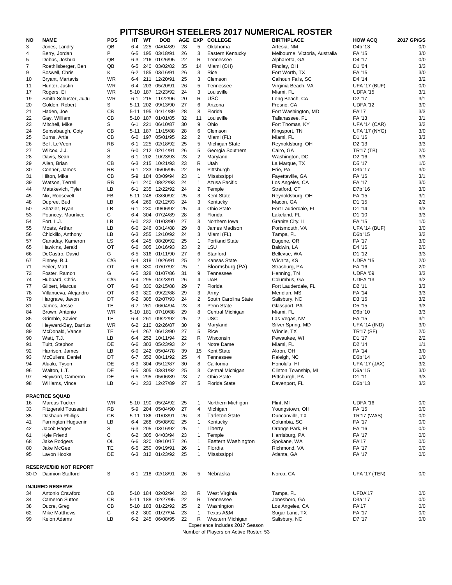# **PITTSBURGH STEELERS 2017 NUMERICAL ROSTER**

| <b>NO</b> | <b>NAME</b>                             | <b>POS</b>             | HT               | <b>WT</b>  | <b>DOB</b>               | AGE EXP  |                     | .<br><b>COLLEGE</b>             | <b>BIRTHPLACE</b>                       | <b>HOW ACQ</b>                   | 2017 GP/GS |
|-----------|-----------------------------------------|------------------------|------------------|------------|--------------------------|----------|---------------------|---------------------------------|-----------------------------------------|----------------------------------|------------|
| 3         | Jones, Landry                           | QB                     | $6-4$            | 225        | 04/04/89                 | 28       | 5                   | Oklahoma                        | Artesia, NM                             | D4b '13                          | 0/0        |
| 4         | Berry, Jordan                           | P                      | $6-5$            |            | 195 03/18/91             | 26       | 3                   | Eastern Kentucky                | Melbourne, Victoria, Australia          | FA '15                           | 3/0        |
| 5         | Dobbs, Joshua                           | QB                     | $6 - 3$          |            | 216 01/26/95             | 22       | R                   | Tennessee                       | Alpharetta, GA                          | D4 '17                           | 0/0        |
| 7         | Roethlisberger, Ben                     | QB                     | $6-5$            | 240        | 03/02/82                 | 35       | 14                  | Miami (OH)                      | Findlay, OH                             | D1 '04                           | 3/3        |
| 9         | Boswell, Chris                          | Κ                      | $6-2$            | 185        | 03/16/91                 | 26       | 3                   | Rice                            | Fort Worth, TX                          | FA '15                           | 3/0        |
| 10        | Bryant, Martavis<br>Hunter, Justin      | <b>WR</b><br><b>WR</b> | $6-4$<br>$6 - 4$ | 203        | 211 12/20/91<br>05/20/91 | 25<br>26 | 3<br>5              | Clemson<br>Tennessee            | Calhoun Falls, SC<br>Virginia Beach, VA | D4 '14<br><b>UFA '17 (BUF)</b>   | 3/2<br>0/0 |
| 11<br>17  | Rogers, Eli                             | <b>WR</b>              |                  | 5-10 187   | 12/23/92                 | 24       | 3                   | Louisville                      | Miami, FL                               | UDFA '15                         | 3/1        |
| 19        | Smith-Schuster, JuJu                    | <b>WR</b>              | $6 - 1$          | 215        | 11/22/96                 | 20       | R                   | <b>USC</b>                      | Long Beach, CA                          | D <sub>2</sub> '17               | 3/1        |
| 20        | Golden, Robert                          | S                      | $5 - 11$         | 202        | 09/13/90                 | 27       | 6                   | Arizona                         | Fresno, CA                              | UDFA '12                         | 3/0        |
| 21        | Haden, Joe                              | CB                     | $5 - 11$         | 195        | 04/14/89                 | 28       | 8                   | Florida                         | Fort Washington, MD                     | <b>FA'17</b>                     | 3/3        |
| 22        | Gay, William                            | CB                     | 5-10 187         |            | 01/01/85                 | 32       | 11                  | Louisville                      | Tallahassee, FL                         | FA '13                           | 3/1        |
| 23        | Mitchell, Mike                          | S                      | $6 - 1$          | 221        | 06/10/87                 | 30       | $\boldsymbol{9}$    | Ohio                            | Fort Thomas, KY                         | <b>UFA '14 (CAR)</b>             | 3/2        |
| 24        | Sensabaugh, Coty                        | CB                     | 5-11 187         |            | 11/15/88                 | 28       | 6                   | Clemson                         | Kingsport, TN                           | <b>UFA '17 (NYG)</b>             | 3/0        |
| 25        | Burns, Artie                            | CB                     | $6-0$            | 197        | 05/01/95                 | 22       | 2                   | Miami (FL)                      | Miami, FL                               | D1 '16                           | 3/3        |
| 26        | Bell, Le'Veon                           | <b>RB</b>              | $6 - 1$          | 225        | 02/18/92                 | 25       | 5                   | Michigan State                  | Reynoldsburg, OH                        | D <sub>2</sub> '13               | 3/3        |
| 27        | Wilcox, J.J.                            | $\mathsf S$<br>S       | $6-0$            | 202        | 212 02/14/91<br>10/23/93 | 26       | 5                   | Georgia Southern                | Cairo, GA                               | TR'17 (TB)<br>D <sub>2</sub> '16 | 2/0<br>3/3 |
| 28<br>29  | Davis, Sean<br>Allen, Brian             | CB                     | $6 - 1$<br>$6-3$ | 215        | 10/21/93                 | 23<br>23 | $\overline{2}$<br>R | Maryland<br>Utah                | Washington, DC<br>La Marque, TX         | D5 '17                           | 1/0        |
| 30        | Conner, James                           | <b>RB</b>              | $6 - 1$          |            | 233 05/05/95             | 22       | R                   | Pittsburgh                      | Erie, PA                                | D3b '17                          | 3/0        |
| 31        | Hilton, Mike                            | CB                     | $5-9$            |            | 184 03/09/94             | 23       | 1                   | Mississippi                     | Fayetteville, GA                        | FA '16                           | 3/1        |
| 39        | Watson, Terrell                         | <b>RB</b>              | $6 - 1$          | 240        | 08/22/93                 | 24       | $\mathbf 1$         | Azusa Pacific                   | Los Angeles, CA                         | <b>FA '17</b>                    | 3/0        |
| 44        | Matakevich, Tyler                       | LB                     | $6 - 1$          | 235        | 12/22/92                 | 24       | $\overline{2}$      | Temple                          | Stratford, CT                           | D7b '16                          | 3/0        |
| 45        | Nix, Roosevelt                          | <b>FB</b>              | $5 - 11$         | 248        | 03/30/92                 | 25       | 3                   | Kent State                      | Reynoldsburg, OH                        | FA '15                           | 3/1        |
| 48        | Dupree, Bud                             | LB                     | $6-4$            |            | 269 02/12/93             | 24       | 3                   | Kentucky                        | Macon, GA                               | D1 '15                           | 2/2        |
| 50        | Shazier, Ryan                           | LB                     | $6 - 1$          | 230        | 09/06/92                 | 25       | 4                   | <b>Ohio State</b>               | Fort Lauderdale, FL                     | D1 '14                           | 3/3        |
| 53        | Pouncey, Maurkice                       | C                      | $6 - 4$          |            | 304 07/24/89             | 28       | 8                   | Florida                         | Lakeland, FL                            | D1 '10                           | 3/3        |
| 54        | Fort, L.J.                              | LB                     | $6-0$            |            | 232 01/03/90             | 27       | 3                   | Northern Iowa                   | Granite City, IL                        | FA '15                           | 1/0        |
| 55        | Moats, Arthur                           | LB                     | $6-0$            |            | 246 03/14/88             | 29       | 8                   | James Madison                   | Portsmouth, VA                          | <b>UFA '14 (BUF)</b>             | 3/0        |
| 56        | Chickillo, Anthony                      | LB                     | $6 - 3$          | 255        | 12/10/92                 | 24       | 3                   | Miami (FL)                      | Tampa, FL                               | D6b '15                          | 3/2        |
| 57<br>65  | Canaday, Kameron<br>Hawkins, Jerald     | LS<br><b>OT</b>        | $6-4$<br>$6-6$   | 245<br>305 | 08/20/92<br>10/16/93     | 25<br>23 | 1<br>$\overline{c}$ | <b>Portland State</b><br>LSU    | Eugene, OR<br>Baldwin, LA               | <b>FA '17</b><br>D4 '16          | 3/0<br>2/0 |
| 66        | DeCastro, David                         | G                      | $6-5$            |            | 316 01/11/90             | 27       | 6                   | Stanford                        | Bellevue, WA                            | D1 '12                           | 3/3        |
| 67        | Finney, B.J.                            | C/G                    | $6 - 4$          | 318        | 10/26/91                 | 25       | 2                   | <b>Kansas State</b>             | Wichita, KS                             | UDFA '15                         | 2/0        |
| 71        | Feiler, Matt                            | <b>OT</b>              | $6-6$            | 330        | 07/07/92                 | 25       |                     | Bloomsburg (PA)                 | Strasburg, PA                           | FA '16                           | 2/0        |
| 73        | Foster, Ramon                           | G                      | $6 - 5$          | 328        | 01/07/86                 | 31       | 9                   | Tennessee                       | Henning, TN                             | UDFA '09                         | 3/3        |
| 74        | Hubbard, Chris                          | C/G                    | 6-4              |            | 295 04/23/91             | 26       | 4                   | <b>UAB</b>                      | Columbus, GA                            | UDFA '13                         | 3/2        |
| 77        | Gilbert, Marcus                         | OT                     | $6-6$            |            | 330 02/15/88             | 29       | 7                   | Florida                         | Fort Lauderdale, FL                     | D <sub>2</sub> '11               | 3/3        |
| 78        | Villanueva, Alejandro                   | OT                     | $6-9$            | 320        | 09/22/88                 | 29       | 3                   | Army                            | Meridian, MS                            | FA '14                           | 3/3        |
| 79        | Hargrave, Javon                         | DT                     |                  |            | 6-2 305 02/07/93         | 24       | 2                   | South Carolina State            | Salisbury, NC                           | D3 '16                           | $3/2$      |
| 81        | James, Jesse                            | TE                     | $6 - 7$          | 261        | 06/04/94                 | 23       | 3                   | Penn State                      | Glassport, PA                           | D5 '15                           | 3/3        |
| 84        | Brown, Antonio                          | <b>WR</b>              | 5-10 181         |            | 07/10/88                 | 29       | 8                   | Central Michigan<br><b>USC</b>  | Miami, FL                               | D6b '10                          | 3/3        |
| 85<br>88  | Grimble, Xavier<br>Heyward-Bey, Darrius | TE<br>WR               | $6-4$<br>$6-2$   | 261        | 09/22/92<br>210 02/26/87 | 25<br>30 | 2<br>9              | Maryland                        | Las Vegas, NV<br>Silver Spring, MD      | FA '15<br><b>UFA '14 (IND)</b>   | 3/1<br>3/0 |
| 89        | McDonald, Vance                         | TE                     | 6-4              | 267        | 06/13/90                 | 27       | 5                   | Rice                            | Winnie, TX                              | TR'17 (SF)                       | 2/0        |
| 90        | Watt, T.J.                              | LB                     | 6-4              |            | 252 10/11/94             | 22       | R                   | Wisconsin                       | Pewaukee, WI                            | D1 '17                           | 2/2        |
| 91        | Tuitt, Stephon                          | DE                     | $6-6$            |            | 303 05/23/93             | 24       | 4                   | Notre Dame                      | Miami, FL                               | D <sub>2</sub> '14               | 1/1        |
| 92        | Harrison, James                         | LB                     | $6-0$            |            | 242 05/04/78             | 39       | 15                  | Kent State                      | Akron, OH                               | FA '14                           | 3/0        |
| 93        | McCullers, Daniel                       | DT                     | $6 - 7$          | 352        | 08/11/92                 | 25       | 4                   | Tennessee                       | Raleigh, NC                             | D6b '14                          | 1/0        |
| 94        | Alualu, Tyson                           | DE                     | $6 - 3$          |            | 304 05/12/87             | 30       | 8                   | California                      | Honolulu, HI                            | <b>UFA '17 (JAX)</b>             | 3/2        |
| 96        | Walton, L.T.                            | DE                     | $6-5$            |            | 305 03/31/92             | 25       | 3                   | Central Michigan                | Clinton Township, MI                    | D6a '15                          | 3/0        |
| 97        | Heyward, Cameron                        | DE                     | $6-5$            | 295        | 05/06/89                 | 28       | $\overline{7}$      | <b>Ohio State</b>               | Pittsburgh, PA                          | D1 '11                           | 3/3        |
| 98        | Williams, Vince                         | LB                     | $6 - 1$          |            | 233 12/27/89             | 27       | 5                   | <b>Florida State</b>            | Davenport, FL                           | D6b '13                          | 3/3        |
|           | <b>PRACTICE SQUAD</b>                   |                        |                  |            |                          |          |                     |                                 |                                         |                                  |            |
| 16        | <b>Marcus Tucker</b>                    | <b>WR</b>              |                  |            | 5-10 190 05/24/92        | 25       | 1                   | Northern Michigan               | Flint, MI                               | UDFA '16                         | 0/0        |
| 33        | <b>Fitzgerald Toussaint</b>             | <b>RB</b>              | $5-9$            |            | 204 05/04/90             | 27       | 4                   | Michigan                        | Youngstown, OH                          | FA '15                           | 0/0        |
| 35        | Dashaun Phillips                        | CB                     |                  |            | 5-11 186 01/03/91        | 26       | 3                   | <b>Tarleton State</b>           | Duncanville, TX                         | <b>TR'17 (WAS)</b>               | 0/0        |
| 41        | Farrington Huguenin                     | LB                     | 6-4              |            | 268 05/08/92             | 25       | 1                   | Kentucky                        | Columbia, SC                            | FA '17                           | 0/0        |
| 42        | Jacob Hagen                             | S                      | $6-3$            |            | 205 03/16/92             | 25       | 1                   | Liberty                         | Orange Park, FL                         | FA '16                           | 0/0        |
| 61        | Kyle Friend                             | C                      | $6 - 2$          |            | 305 04/03/94             | 23       | 1                   | Temple                          | Harrisburg, PA                          | FA '17                           | 0/0        |
| 68        | Jake Rodgers                            | OL                     | $6-6$            |            | 320 09/10/17             | 26       | -1                  | Eastern Washington              | Spokane, WA                             | <b>FA'17</b>                     | 0/0        |
| 80        | Jake McGee                              | TE                     | $6-5$            | 250        | 09/19/91                 | 26       | -1                  | Flordia                         | Richmond, VA                            | FA '17                           | 0/0        |
| 95        | Lavon Hooks                             | DE                     | $6 - 3$          |            | 312 01/23/92             | 25       | 1                   | Mississippi                     | Atlanta, GA                             | FA '17                           | 0/0        |
|           | <b>RESERVE/DID NOT REPORT</b>           |                        |                  |            |                          |          |                     |                                 |                                         |                                  |            |
| 30-D      | <b>Daimion Stafford</b>                 | S                      | 6-1              |            | 218 02/18/91             | 26       | 5                   | Nebraska                        | Norco, CA                               | <b>UFA '17 (TEN)</b>             | 0/0        |
|           | <b>INJURED RESERVE</b>                  |                        |                  |            |                          |          |                     |                                 |                                         |                                  |            |
| 34        | Antonio Crawford                        | <b>CB</b>              |                  |            | 5-10 184 02/02/94        | 23       | R                   | West Virginia                   | Tampa, FL                               | UFDA'17                          | 0/0        |
| 34        | <b>Cameron Sutton</b>                   | <b>CB</b>              |                  |            | 5-11 188 02/27/95        | 22       | R.                  | Tennessee                       | Jonesboro, GA                           | D3a '17                          | 0/0        |
| 38        | Ducre, Greg                             | CB                     |                  |            | 5-10 183 01/22/92        | 25       | $\overline{a}$      | Washington                      | Los Angeles, CA                         | <b>FA'17</b>                     | $0/0$      |
| 62        | <b>Mike Matthews</b>                    | C                      |                  |            | 6-2 300 01/27/94         | 23       |                     | Texas A&M                       | Sugar Land, TX                          | FA '17                           | 0/0        |
| 99        | Keion Adams                             | LB                     |                  |            | 6-2 245 06/08/95         | 22       | R                   | Western Michigan                | Salisbury, NC                           | D7 '17                           | 0/0        |
|           |                                         |                        |                  |            |                          |          |                     | Experience Includes 2017 Season |                                         |                                  |            |

Number of Players on Active Roster: 53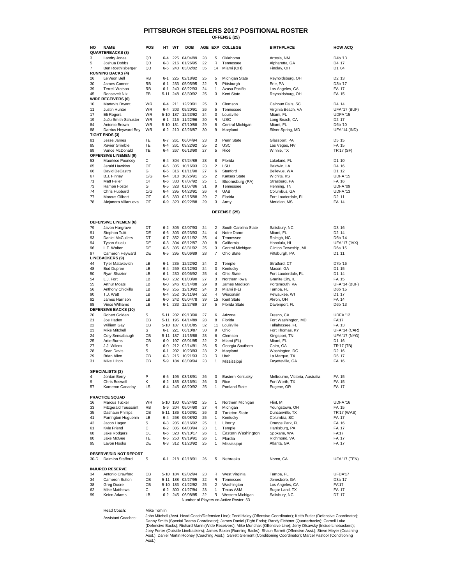| NΟ             | <b>NAME</b>                  | <b>POS</b> | HТ       | WT  | <b>DOB</b> |    | AGE EXP         | <b>COLLEGE</b>       | <b>BIRTHPLACE</b>    | <b>HOW ACQ</b>       |
|----------------|------------------------------|------------|----------|-----|------------|----|-----------------|----------------------|----------------------|----------------------|
|                | <b>QUARTERBACKS (3)</b>      |            |          |     |            |    |                 |                      |                      |                      |
| 3              | Landry Jones                 | QB         | $6 - 4$  | 225 | 04/04/89   | 28 | 5               | Oklahoma             | Artesia, NM          | D <sub>4</sub> b '13 |
| 5              | Joshua Dobbs                 | QB         | $6-3$    | 216 | 01/26/95   | 22 | R               | Tennessee            | Alpharetta, GA       | D4 '17               |
| $\overline{7}$ | Ben Roethlisberger           | QB         | $6-5$    | 240 | 03/02/82   | 35 | 14              | Miami (OH)           | Findlay, OH          | D1 '04               |
|                | <b>RUNNING BACKS (4)</b>     |            |          |     |            |    |                 |                      |                      |                      |
| 26             | Le'Veon Bell                 | <b>RB</b>  | $6 - 1$  | 225 | 02/18/92   | 25 | 5               | Michigan State       | Reynoldsburg, OH     | D <sub>2</sub> '13   |
| 30             | James Conner                 | <b>RB</b>  | $6 - 1$  | 233 | 05/05/95   | 22 | R               | Pittsburgh           | Erie, PA             | D3b '17              |
| 39             | <b>Terrell Watson</b>        | <b>RB</b>  | $6 - 1$  | 240 | 08/22/93   | 24 | $\mathbf{1}$    | Azusa Pacific        | Los Angeles, CA      | FA '17               |
| 45             | Roosevelt Nix                | <b>FB</b>  | $5 - 11$ | 248 | 03/30/92   | 25 | 3               | Kent State           | Reynoldsburg, OH     | FA '15               |
|                | <b>WIDE RECEIVERS (6)</b>    |            |          |     |            |    |                 |                      |                      |                      |
| 10             | Martavis Bryant              | WR.        | 6-4      | 211 | 12/20/91   | 25 | 3               | Clemson              | Calhoun Falls, SC    | D4 '14               |
| 11             | <b>Justin Hunter</b>         | <b>WR</b>  | $6 - 4$  | 203 | 05/20/91   | 26 | 5               | Tennessee            | Virginia Beach, VA   | <b>UFA '17 (BUF)</b> |
| 17             | Eli Rogers                   | <b>WR</b>  | $5 - 10$ | 187 | 12/23/92   | 24 | 3               | Louisville           | Miami, FL            | UDFA '15             |
| 19             | JuJu Smith-Schuster          | <b>WR</b>  | $6 - 1$  | 215 | 11/22/96   | 20 | R               | <b>USC</b>           | Long Beach, CA       | D <sub>2</sub> '17   |
| 84             | Antonio Brown                | <b>WR</b>  | $5 - 10$ | 181 | 07/10/88   | 29 | 8               | Central Michigan     | Miami, FL            | D6b '10              |
| 88             | Darrius Heyward-Bey          | <b>WR</b>  | $6-2$    | 210 | 02/26/87   | 30 | 9               | Maryland             | Silver Spring, MD    | <b>UFA '14 (IND)</b> |
|                | <b>TIGHT ENDS (3)</b>        |            |          |     |            |    |                 |                      |                      |                      |
| 81             | Jesse James                  | <b>TE</b>  | $6 - 7$  | 261 | 06/04/94   | 23 | 3               | Penn State           | Glassport, PA        | D5 '15               |
| 85             | <b>Xavier Grimble</b>        | <b>TE</b>  | $6 - 4$  | 261 | 09/22/92   | 25 | $\overline{2}$  | <b>USC</b>           | Las Vegas, NV        | FA '15               |
| 89             | Vance McDonald               | <b>TE</b>  | $6 - 4$  | 267 | 06/13/90   | 27 | 5               | Rice                 | Winnie, TX           | <b>TR'17 (SF)</b>    |
|                | <b>OFFENSIVE LINEMEN (9)</b> |            |          |     |            |    |                 |                      |                      |                      |
| 53             | Maurkice Pouncey             | С          | $6 - 4$  | 304 | 07/24/89   | 28 | 8               | Florida              | Lakeland, FL         | D1 '10               |
| 65             | Jerald Hawkins               | OT         | $6-6$    | 305 | 10/16/93   | 23 | $\overline{2}$  | LSU                  | Baldwin, LA          | D4 '16               |
| 66             | David DeCastro               | G          | $6-5$    | 316 | 01/11/90   | 27 | $6\phantom{1}6$ | Stanford             | Bellevue, WA         | D1 '12               |
| 67             | B.J. Finney                  | C/G        | $6 - 4$  | 318 | 10/26/91   | 25 | 2               | <b>Kansas State</b>  | Wichita, KS          | UDFA '15             |
| 71             | <b>Matt Feiler</b>           | OT         | $6-6$    | 330 | 07/07/92   | 25 | $\mathbf{1}$    | Bloomsburg (PA)      | Strasburg, PA        | FA '16               |
| 73             | Ramon Foster                 | G          | $6-5$    | 328 | 01/07/86   | 31 | 9               | Tennessee            | Henning, TN          | UDFA '09             |
| 74             | Chris Hubbard                | C/G        | $6 - 4$  | 295 | 04/23/91   | 26 | $\overline{4}$  | <b>UAB</b>           | Columbus, GA         | UDFA '13             |
| 77             | <b>Marcus Gilbert</b>        | OT         | $6-6$    | 330 | 02/15/88   | 29 | $\overline{7}$  | Florida              | Fort Lauderdale, FL  | D <sub>2</sub> '11   |
| 78             | Alejandro Villanueva         | OT         | $6-9$    | 320 | 09/22/88   | 29 | 3               | Army                 | Meridian, MS         | <b>FA '14</b>        |
|                |                              |            |          |     |            |    |                 | DEFENSE (25)         |                      |                      |
|                | <b>DEFENSIVE LINEMEN (6)</b> |            |          |     |            |    |                 |                      |                      |                      |
| 79             | Javon Hargrave               | DT         | $6 - 2$  | 305 | 02/07/93   | 24 | $\overline{2}$  | South Carolina State | Salisbury, NC        | D3 '16               |
| 91             | <b>Stephon Tuitt</b>         | DE         | $6 - 6$  | 303 | 05/23/93   | 24 | $\overline{4}$  | Notre Dame           | Miami, FL            | D <sub>2</sub> '14   |
| 93             | <b>Daniel McCullers</b>      | DT         | $6 - 7$  | 352 | 08/11/92   | 25 | $\overline{4}$  | Tennessee            | Raleigh, NC          | D6b '14              |
| 94             | <b>Tyson Alualu</b>          | DE         | $6 - 3$  | 304 | 05/12/87   | 30 | 8               | California           | Honolulu, HI         | <b>UFA '17 (JAX)</b> |
| 96             | L.T. Walton                  | DE         | $6-5$    | 305 | 03/31/92   | 25 | 3               | Central Michigan     | Clinton Township, MI | D6a '15              |
| 97             | Cameron Heyward              | DE         | $6-5$    | 295 | 05/06/89   | 28 | $\overline{7}$  | Ohio State           | Pittsburgh, PA       | D1 '11               |

Mike Hilton CB 5-9 184 03/09/94 23 1 Mississippi Fayetteville, GA FA '16

 Cameron Heyward DE 6-5 295 05/06/89 28 7 Ohio State Pittsburgh, PA D1 '11 Tyler Matakevich LB 6-1 235 12/22/92 24 2 Temple Stratford, CT D7b '16 Bud Dupree LB 6-4 269 02/12/93 24 3 Kentucky Macon, GA D1 '15 Ryan Shazier LB 6-1 230 09/06/92 25 4 Ohio State Fort Lauderdale, FL D1 '14 L.J. Fort LB 6-0 232 01/03/90 27 3 Northern Iowa Granite City, IL FA '15 Arthur Moats LB 6-0 246 03/14/88 29 8 James Madison Portsmouth, VA UFA '14 (BUF) Anthony Chickillo LB 6-3 255 12/10/92 24 3 Miami (FL) Tampa, FL D6b '15 T.J. Watt LB 6-4 252 10/11/94 22 R Wisconsin Pewaukee, WI D1 '17 James Harrison LB 6-0 242 05/04/78 39 15 Kent State Akron, OH FA '14 98 Vince Williams LB 6-1 233 12/27/89 27 5 Florida State Davenport, FL Chronicle M6b '13 20 Robert Golden S 5-11 202 09/13/90 27 6 Arizona S Fresno, CA 7 UDFA '12 21 Joe Haden CB 5-11 195 04/14/89 28 8 Florida Fort Washington, MD FA'17 22 William Gay CB 5-10 187 01/01/85 32 11 Louisville Tallahassee, FL FA '13 23 Mike Mitchell S 6-1 221 06/10/87 30 9 Ohio Fort Thomas, KY UFA '14 (CAR)<br>24 Coty Sensabaugh CB 5-11 187 11/15/88 28 6 Clemson Kingsport, TN UFA '17 (NYG) 24 Coty Sensabaugh CB 5-11 187 11/15/88 28 6 Clemson Kingsport, TN UFA '17 (NYG) 25 Artie Burns CB 6-0 197 05/01/95 22 2 Miami (FL) Miami, FL 61 16 D1 '16 J.J. Wilcox S 6-0 212 02/14/91 26 5 Georgia Southern Cairo, GA TR'17 (TB) Sean Davis S 6-1 202 10/23/93 23 2 Maryland Washington, DC D2 '16 Brian Allen CB 6-3 215 10/21/93 23 R Utah La Marque, TX D5 '17 **LINEBACKERS (9) DEFENSIVE BACKS (10)**

|        | <b>SPECIALISTS (3)</b>                                           |              |          |          |              |    |    |                                        |                                |                      |
|--------|------------------------------------------------------------------|--------------|----------|----------|--------------|----|----|----------------------------------------|--------------------------------|----------------------|
| 4      | Jordan Berry                                                     | P            | $6 - 5$  | 195      | 03/18/91     | 26 | 3  | Eastern Kentucky                       | Melbourne, Victoria, Australia | FA '15               |
| 9      | <b>Chris Boswell</b>                                             | K            | $6 - 2$  | 185      | 03/16/91     | 26 | 3  | Rice                                   | Fort Worth, TX                 | FA '15               |
| 57     | Kameron Canaday                                                  | LS           | $6 - 4$  |          | 245 08/20/92 | 25 |    | <b>Portland State</b>                  | Eugene, OR                     | FA '17               |
|        | <b>PRACTICE SQUAD</b>                                            |              |          |          |              |    |    |                                        |                                |                      |
| 16     | Marcus Tucker                                                    | <b>WR</b>    |          | 5-10 190 | 05/24/92     | 25 | 1  | Northern Michigan                      | Flint, MI                      | UDFA '16             |
| 33     | <b>Fitzgerald Toussaint</b>                                      | <b>RB</b>    | $5-9$    | 204      | 05/04/90     | 27 | 4  | Michigan                               | Youngstown, OH                 | FA '15               |
| 35     | Dashaun Phillips                                                 | CB           | $5 - 11$ | 186      | 01/03/91     | 26 | 3  | <b>Tarleton State</b>                  | Duncanville, TX                | <b>TR'17 (WAS)</b>   |
| 41     | Farrington Huguenin                                              | LB           | $6 - 4$  | 268      | 05/08/92     | 25 |    | Kentucky                               | Columbia, SC                   | FA '17               |
| 42     | Jacob Hagen                                                      | S            | $6 - 3$  | 205      | 03/16/92     | 25 |    | Liberty                                | Orange Park, FL                | FA '16               |
| 61     | Kyle Friend                                                      | С            | $6 - 2$  | 305      | 04/03/94     | 23 |    | Temple                                 | Harrisburg, PA                 | FA '17               |
| 68     | Jake Rodgers                                                     | OL           | $6 - 6$  | 320      | 09/10/17     | 26 | 1  | Eastern Washington                     | Spokane, WA                    | <b>FA'17</b>         |
| 80     | Jake McGee                                                       | <b>TE</b>    | $6 - 5$  | 250      | 09/19/91     | 26 | 1  | Flordia                                | Richmond, VA                   | FA '17               |
| 95     | Lavon Hooks                                                      | DE           | $6 - 3$  |          | 312 01/23/92 | 25 |    | Mississippi                            | Atlanta, GA                    | FA '17               |
|        | <b>RESERVE/DID NOT REPORT</b>                                    |              |          |          |              |    |    |                                        |                                |                      |
| $30-D$ | Daimion Stafford                                                 | S            | $6 - 1$  |          | 218 02/18/91 | 26 | 5  | Nebraska                               | Norco, CA                      | <b>UFA '17 (TEN)</b> |
|        | <b>INJURED RESERVE</b>                                           |              |          |          |              |    |    |                                        |                                |                      |
| 34     | Antonio Crawford                                                 | CB           | $5 - 10$ |          | 184 02/02/94 | 23 | R  | West Virginia                          | Tampa, FL                      | UFDA'17              |
| 34     | <b>Cameron Sutton</b>                                            | CB           | $5 - 11$ | 188      | 02/27/95     | 22 | R  | Tennessee                              | Jonesboro, GA                  | D <sub>3</sub> a '17 |
| 38     | <b>Greg Ducre</b>                                                | CB           | $5 - 10$ | 183      | 01/22/92     | 25 | 2  | Washington                             | Los Angeles, CA                | <b>FA'17</b>         |
| 62     | Mike Matthews                                                    | C            | $6 - 2$  | 300      | 01/27/94     | 23 | 1  | Texas A&M                              | Sugar Land, TX                 | FA '17               |
| 99     | Keion Adams                                                      | LB           | $6 - 2$  | 245      | 06/08/95     | 22 | R. | Western Michigan                       | Salisbury, NC                  | D7 '17               |
|        |                                                                  |              |          |          |              |    |    | Number of Players on Active Roster: 53 |                                |                      |
|        | $\mathbf{1}$ $\mathbf{1}$ $\mathbf{2}$ $\mathbf{3}$ $\mathbf{4}$ | $\mathbf{r}$ |          |          |              |    |    |                                        |                                |                      |

Head Coach: Mike Tomlin

Assistant Coaches:

# **PITTSBURGH STEELERS 2017 POSITIONAL ROSTER OFFENSE (25)**

John Mitchell (Asst. Head Coach/Defensive Line); Todd Haley (Offensive Coordinator); Keith Butler (Defensive Coordinator); Danny Smith (Special Teams Coordinator); James Daniel (Tight Ends); Randy Fichtner (Quarterbacks); Carnell Lake (Defensive Backs); Richard Mann (Wide Receivers); Mike Munchak (Offensive Line); Jerry Olsavsky (Inside Linebackers); Joey Porter (Outside Linebackers); James Saxon (Running Backs); Shaun Sarrett (Offensive Asst.); Steve Meyer (Coaching Asst.); Daniel Martin Rooney (Coaching Asst.); Garrett Giemont (Conditioning Coordinator); Marcel Pastoor (Conditioning Asst.)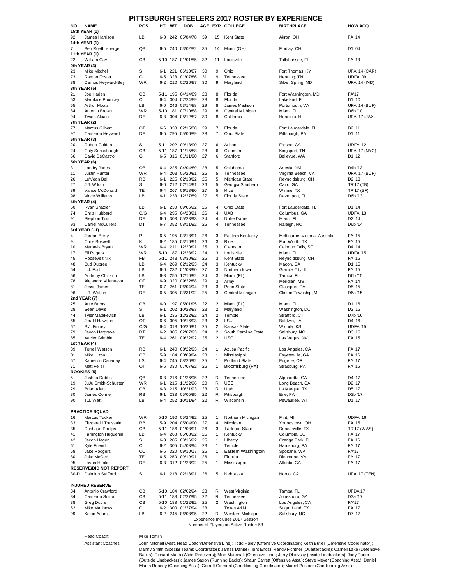| <b>NO</b>      | <b>NAME</b>                                              | <b>POS</b>      | HT                 | <b>WT</b> | <b>DOB</b>                   |          |                | .<br>AGE EXP COLLEGE                   | 679 61961<br><b>BIRTHPLACE</b>         | <b>HOW ACQ</b>                             |
|----------------|----------------------------------------------------------|-----------------|--------------------|-----------|------------------------------|----------|----------------|----------------------------------------|----------------------------------------|--------------------------------------------|
|                | 15th YEAR (1)                                            |                 |                    |           |                              |          |                |                                        |                                        |                                            |
| 92             | James Harrison                                           | LB              | $6-0$              |           | 242 05/04/78                 | 39       | 15             | <b>Kent State</b>                      | Akron, OH                              | FA '14                                     |
|                | 14th YEAR (1)                                            |                 |                    |           |                              |          |                |                                        |                                        |                                            |
| $\overline{7}$ | Ben Roethlisberger                                       | QB              | $6 - 5$            |           | 240 03/02/82                 | 35       | 14             | Miami (OH)                             | Findlay, OH                            | D1 '04                                     |
|                | 11th YEAR (1)                                            |                 |                    |           |                              |          |                |                                        |                                        |                                            |
| 22             | William Gay                                              | CB              |                    |           | 5-10 187 01/01/85            | 32       | 11             | Louisville                             | Tallahassee, FL                        | FA '13                                     |
|                | 9th YEAR (3)                                             |                 |                    |           |                              |          |                |                                        |                                        |                                            |
| 23             | <b>Mike Mitchell</b>                                     | S               | $6 - 1$            | 221       | 06/10/87<br>328 01/07/86     | 30       | 9              | Ohio                                   | Fort Thomas, KY                        | <b>UFA '14 (CAR)</b>                       |
| 73<br>88       | <b>Ramon Foster</b><br>Darrius Heyward-Bey               | G<br><b>WR</b>  | $6 - 5$<br>$6 - 2$ |           | 210 02/26/87                 | 31<br>30 | 9<br>9         | Tennessee<br>Maryland                  | Henning, TN<br>Silver Spring, MD       | UDFA '09<br><b>UFA '14 (IND)</b>           |
|                | 8th YEAR (5)                                             |                 |                    |           |                              |          |                |                                        |                                        |                                            |
| 21             | Joe Haden                                                | CB              | 5-11               |           | 195 04/14/89                 | 28       | 8              | Florida                                | Fort Washington, MD                    | <b>FA'17</b>                               |
| 53             | Maurkice Pouncey                                         | С               | $6 - 4$            | 304       | 07/24/89                     | 28       | 8              | Florida                                | Lakeland, FL                           | D1 '10                                     |
| 55             | <b>Arthur Moats</b>                                      | LB              | $6-0$              |           | 246 03/14/88                 | 29       | 8              | James Madison                          | Portsmouth, VA                         | <b>UFA '14 (BUF)</b>                       |
| 84             | Antonio Brown                                            | <b>WR</b>       | $5 - 10$           | 181       | 07/10/88                     | 29       | 8              | Central Michigan                       | Miami, FL                              | D6b '10                                    |
| 94             | <b>Tyson Alualu</b>                                      | DE              | $6 - 3$            |           | 304 05/12/87                 | 30       | 8              | California                             | Honolulu, HI                           | <b>UFA '17 (JAX)</b>                       |
|                | 7th YEAR (2)                                             |                 |                    |           |                              |          |                |                                        |                                        |                                            |
| 77             | <b>Marcus Gilbert</b>                                    | OT              | $6-6$              |           | 330 02/15/88                 | 29       | 7              | Florida                                | Fort Lauderdale, FL                    | D <sub>2</sub> '11                         |
| 97             | Cameron Heyward                                          | DE              | $6-5$              |           | 295 05/06/89                 | 28       | $\overline{7}$ | <b>Ohio State</b>                      | Pittsburgh, PA                         | D1 '11                                     |
|                | 6th YEAR (3)                                             |                 |                    |           |                              |          |                |                                        |                                        |                                            |
| 20             | Robert Golden                                            | S               | 5-11               |           | 202 09/13/90                 | 27       | 6              | Arizona                                | Fresno, CA                             | <b>UDFA '12</b>                            |
| 24             | Coty Sensabaugh                                          | CB              | $5 - 11$           |           | 187 11/15/88                 | 28       | 6              | Clemson                                | Kingsport, TN                          | <b>UFA '17 (NYG)</b>                       |
| 66             | David DeCastro                                           | G               | $6-5$              |           | 316 01/11/90                 | 27       | 6              | Stanford                               | Bellevue, WA                           | D1 '12                                     |
|                | 5th YEAR (6)                                             |                 |                    |           |                              |          |                |                                        |                                        |                                            |
| 3<br>11        | Landry Jones<br><b>Justin Hunter</b>                     | QB<br><b>WR</b> | 6-4<br>$6 - 4$     | 203       | 225 04/04/89<br>05/20/91     | 28<br>26 | 5<br>5         | Oklahoma<br>Tennessee                  | Artesia, NM                            | D4b '13                                    |
| 26             | Le'Veon Bell                                             | <b>RB</b>       | $6 - 1$            | 225       | 02/18/92                     | 25       | 5              | Michigan State                         | Virginia Beach, VA<br>Reynoldsburg, OH | <b>UFA '17 (BUF)</b><br>D <sub>2</sub> '13 |
| 27             | J.J. Wilcox                                              | S               | $6-0$              |           | 212 02/14/91                 | 26       | 5              | Georgia Southern                       | Cairo, GA                              | TR'17 (TB)                                 |
| 89             | Vance McDonald                                           | <b>TE</b>       | $6 - 4$            |           | 267 06/13/90                 | 27       | 5              | Rice                                   | Winnie, TX                             | TR'17 (SF)                                 |
| 98             | Vince Williams                                           | LB              | $6 - 1$            |           | 233 12/27/89                 | 27       | 5              | <b>Florida State</b>                   | Davenport, FL                          | D6b '13                                    |
|                | 4th YEAR (4)                                             |                 |                    |           |                              |          |                |                                        |                                        |                                            |
| 50             | Ryan Shazier                                             | LB              | 6-1                |           | 230 09/06/92                 | 25       | 4              | <b>Ohio State</b>                      | Fort Lauderdale, FL                    | D1 '14                                     |
| 74             | Chris Hubbard                                            | C/G             | $6 - 4$            |           | 295 04/23/91                 | 26       | 4              | <b>UAB</b>                             | Columbus, GA                           | UDFA '13                                   |
| 91             | <b>Stephon Tuitt</b>                                     | DE              | $6-6$              |           | 303 05/23/93                 | 24       | 4              | Notre Dame                             | Miami, FL                              | D <sub>2</sub> '14                         |
| 93             | <b>Daniel McCullers</b>                                  | DT              | 6-7                |           | 352 08/11/92                 | 25       | 4              | Tennessee                              | Raleigh, NC                            | D6b '14                                    |
|                | 3rd YEAR (11)                                            |                 |                    |           |                              |          |                |                                        |                                        |                                            |
| 4              | Jordan Berry                                             | P               | $6-5$              |           | 195 03/18/91                 | 26       | 3              | Eastern Kentucky                       | Melbourne, Victoria, Australia         | FA '15                                     |
| 9              | <b>Chris Boswell</b>                                     | Κ               | $6 - 2$            |           | 185 03/16/91                 | 26       | 3              | Rice                                   | Fort Worth, TX                         | FA '15                                     |
| 10             | Martavis Bryant                                          | <b>WR</b>       | 6-4                |           | 211 12/20/91                 | 25       | 3              | Clemson                                | Calhoun Falls, SC                      | D4 '14                                     |
| 17             | Eli Rogers                                               | <b>WR</b>       |                    |           | 5-10 187 12/23/92            | 24       | 3              | Louisville                             | Miami, FL                              | <b>UDFA '15</b>                            |
| 45             | Roosevelt Nix                                            | <b>FB</b>       | $5 - 11$           |           | 248 03/30/92                 | 25       | 3              | <b>Kent State</b>                      | Reynoldsburg, OH                       | FA '15                                     |
| 48             | <b>Bud Dupree</b>                                        | LB              | $6-4$              |           | 269 02/12/93                 | 24       | 3              | Kentucky                               | Macon, GA                              | D1 '15                                     |
| 54             | L.J. Fort                                                | LB              | $6-0$              |           | 232 01/03/90                 | 27       | 3              | Northern Iowa                          | Granite City, IL                       | FA '15                                     |
| 56             | Anthony Chickillo                                        | LB              | $6-3$              |           | 255 12/10/92                 | 24       | 3              | Miami (FL)                             | Tampa, FL                              | D6b '15                                    |
| 78             | Alejandro Villanueva                                     | OT              | $6-9$              | 320       | 09/22/88                     | 29       | 3              | Army                                   | Meridian, MS                           | FA '14                                     |
| 81<br>96       | Jesse James<br>L.T. Walton                               | <b>TE</b><br>DE | $6 - 7$<br>$6-5$   |           | 261 06/04/94<br>305 03/31/92 | 23<br>25 | 3              | Penn State                             | Glassport, PA                          | D5 '15<br>D6a '15                          |
|                | 2nd YEAR (7)                                             |                 |                    |           |                              |          | 3              | Central Michigan                       | Clinton Township, MI                   |                                            |
| 25             | <b>Artie Burns</b>                                       | CB              | $6-0$              |           | 197 05/01/95                 | 22       | 2              | Miami (FL)                             | Miami, FL                              | D1 '16                                     |
| 28             | Sean Davis                                               | S               | $6 - 1$            |           | 202 10/23/93                 | 23       | $\overline{c}$ | Maryland                               | Washington, DC                         | D <sub>2</sub> '16                         |
| 44             | <b>Tyler Matakevich</b>                                  | LB              | $6 - 1$            |           | 235 12/22/92                 | 24       | $\overline{c}$ | Temple                                 | Stratford, CT                          | D7b '16                                    |
| 65             | Jerald Hawkins                                           | OT              | $6-6$              |           | 305 10/16/93                 | 23       | $\overline{c}$ | LSU                                    | Baldwin, LA                            | D4 '16                                     |
| 67             | B.J. Finney                                              | C/G             | $6-4$              |           | 318 10/26/91                 | 25       | $\overline{c}$ | <b>Kansas State</b>                    | Wichita, KS                            | <b>UDFA '15</b>                            |
| 79             | Javon Hargrave                                           | DT              | $6-2$              |           | 305 02/07/93                 | 24       | $\overline{2}$ | South Carolina State                   | Salisbury, NC                          | D3 '16                                     |
| 85             | Xavier Grimble                                           | <b>TE</b>       | $6 - 4$            |           | 261 09/22/92                 | 25       | $\overline{2}$ | <b>USC</b>                             | Las Vegas, NV                          | FA '15                                     |
|                | 1st YEAR (4)                                             |                 |                    |           |                              |          |                |                                        |                                        |                                            |
| 39             | <b>Terrell Watson</b>                                    | <b>RB</b>       | $6 - 1$            |           | 240 08/22/93                 | 24       | 1              | Azusa Pacific                          | Los Angeles, CA                        | FA '17                                     |
| 31             | Mike Hilton                                              | CB              | $5-9$              |           | 184 03/09/94                 | 23       | $\mathbf{1}$   | Mississippi                            | Fayetteville, GA                       | FA '16                                     |
| 57             | Kameron Canaday                                          | LS              | $6 - 4$            |           | 245 08/20/92                 | 25       | $\mathbf{1}$   | <b>Portland State</b>                  | Eugene, OR                             | FA '17                                     |
| 71             | <b>Matt Feiler</b>                                       | OT              | $6-6$              |           | 330 07/07/92                 | 25       | $\mathbf{1}$   | Bloomsburg (PA)                        | Strasburg, PA                          | FA '16                                     |
|                | <b>ROOKIES (5)</b>                                       |                 |                    |           |                              |          |                |                                        |                                        |                                            |
| 5              | Joshua Dobbs                                             | QB              |                    |           | 6-3 216 01/26/95             | 22       | R              | Tennessee                              | Alpharetta, GA                         | D4 '17                                     |
| 19             | JuJu Smith-Schuster<br><b>Brian Allen</b>                | <b>WR</b>       | $6 - 1$<br>$6 - 3$ |           | 215 11/22/96<br>215 10/21/93 | 20<br>23 | R              | <b>USC</b><br>Utah                     | Long Beach, CA                         | D <sub>2</sub> '17<br>D <sub>5</sub> '17   |
| 29<br>30       | James Conner                                             | CB<br><b>RB</b> | $6 - 1$            |           | 233 05/05/95                 | 22       | R<br>R         | Pittsburgh                             | La Marque, TX<br>Erie, PA              | D3b '17                                    |
| 90             | T.J. Watt                                                | LB              | $6 - 4$            |           | 252 10/11/94                 | 22       | R              | Wisconsin                              | Pewaukee, WI                           | D1 '17                                     |
|                |                                                          |                 |                    |           |                              |          |                |                                        |                                        |                                            |
|                | <b>PRACTICE SQUAD</b>                                    |                 |                    |           |                              |          |                |                                        |                                        |                                            |
| 16             | Marcus Tucker                                            | WR              |                    |           | 5-10 190 05/24/92            | 25       | 1              | Northern Michigan                      | Flint, MI                              | UDFA '16                                   |
| 33             | <b>Fitzgerald Toussaint</b>                              | <b>RB</b>       | $5-9$              |           | 204 05/04/90                 | 27       | 4              | Michigan                               | Youngstown, OH                         | FA '15                                     |
| 35             | Dashaun Phillips                                         | CB              | $5 - 11$           |           | 186 01/03/91                 | 26       | 3              | <b>Tarleton State</b>                  | Duncanville, TX                        | <b>TR'17 (WAS)</b>                         |
| 41             | Farrington Huguenin                                      | LB              | 6-4                |           | 268 05/08/92                 | 25       | 1              | Kentucky                               | Columbia, SC                           | FA '17                                     |
| 42             | Jacob Hagen                                              | S               | $6-3$              |           | 205 03/16/92                 | 25       | 1              | Liberty                                | Orange Park, FL                        | FA '16                                     |
| 61             | Kyle Friend                                              | C               | $6 - 2$            |           | 305 04/03/94                 | 23       | 1              | Temple                                 | Harrisburg, PA                         | FA '17                                     |
| 68             | Jake Rodgers                                             | OL              | $6-6$              |           | 320 09/10/17                 | 26       | 1              | Eastern Washington                     | Spokane, WA                            | <b>FA'17</b>                               |
| 80             | Jake McGee                                               | <b>TE</b>       | $6-5$              |           | 250 09/19/91                 | 26       | 1              | Flordia                                | Richmond, VA                           | FA '17                                     |
| 95             | Lavon Hooks                                              | DE              | $6 - 3$            |           | 312 01/23/92                 | 25       | 1              | Mississippi                            | Atlanta, GA                            | FA '17                                     |
| $30-D$         | <b>RESERVE/DID NOT REPORT</b><br><b>Daimion Stafford</b> | S               | 6-1                |           | 218 02/18/91                 | 26       | 5              | Nebraska                               | Norco, CA                              | <b>UFA '17 (TEN)</b>                       |
|                | <b>INJURED RESERVE</b>                                   |                 |                    |           |                              |          |                |                                        |                                        |                                            |
| 34             | Antonio Crawford                                         | CB              |                    |           | 5-10 184 02/02/94            | 23       | R              | West Virginia                          | Tampa, FL                              | UFDA'17                                    |
| 34             | <b>Cameron Sutton</b>                                    | CB              |                    |           | 5-11 188 02/27/95            | 22       | R              | Tennessee                              | Jonesboro, GA                          | D3a '17                                    |
| 38             | <b>Greg Ducre</b>                                        | CB              |                    |           | 5-10 183 01/22/92            | 25       | 2              | Washington                             | Los Angeles, CA                        | <b>FA'17</b>                               |
| 62             | <b>Mike Matthews</b>                                     | C               | $6-2$              |           | 300 01/27/94                 | 23       | $\mathbf 1$    | Texas A&M                              | Sugar Land, TX                         | FA '17                                     |
| 99             | Keion Adams                                              | LB              | $6 - 2$            |           | 245 06/08/95                 | 22       | R              | Western Michigan                       | Salisbury, NC                          | D7 '17                                     |
|                |                                                          |                 |                    |           |                              |          |                | Experience Includes 2017 Season        |                                        |                                            |
|                |                                                          |                 |                    |           |                              |          |                | Number of Players on Active Roster: 53 |                                        |                                            |
|                |                                                          |                 |                    |           |                              |          |                |                                        |                                        |                                            |
|                | Head Coach:                                              | Mike Tomlin     |                    |           |                              |          |                |                                        |                                        |                                            |

Assistant Coaches:

# **PITTSBURGH STEELERS 2017 ROSTER BY EXPERIENCE**

John Mitchell (Asst. Head Coach/Defensive Line); Todd Haley (Offensive Coordinator); Keith Butler (Defensive Coordinator); Danny Smith (Special Teams Coordinator); James Daniel (Tight Ends); Randy Fichtner (Quarterbacks); Carnell Lake (Defensive Backs); Richard Mann (Wide Receivers); Mike Munchak (Offensive Line); Jerry Olsavsky (Inside Linebackers); Joey Porter (Outside Linebackers); James Saxon (Running Backs); Shaun Sarrett (Offensive Asst.); Steve Meyer (Coaching Asst.); Daniel Martin Rooney (Coaching Asst.); Garrett Giemont (Conditioning Coordinator); Marcel Pastoor (Conditioning Asst.)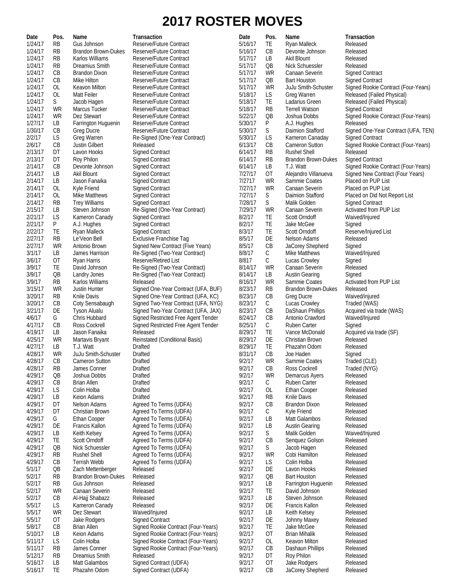# **2017 ROSTER MOVES**

| Date               | Pos.            | Name                                   | Transaction                                                                | Date               | Pos.                   | Name                                      | Transaction                                                       |
|--------------------|-----------------|----------------------------------------|----------------------------------------------------------------------------|--------------------|------------------------|-------------------------------------------|-------------------------------------------------------------------|
| 1/24/17            | <b>RB</b>       | Gus Johnson                            | Reserve/Future Contract                                                    | 5/16/17            | TE                     | Ryan Malleck                              | Released                                                          |
| 1/24/17            | <b>RB</b>       | <b>Brandon Brown-Dukes</b>             | Reserve/Future Contract                                                    | 5/16/17            | CB                     | Devonte Johnson                           | Released                                                          |
| 1/24/17            | <b>RB</b>       | Karlos Williams                        | Reserve/Future Contract                                                    | 5/17/17            | LB                     | Akil Blount                               | Released                                                          |
| 1/24/17            | <b>RB</b>       | Dreamius Smith                         | Reserve/Future Contract                                                    | 5/17/17            | $\overline{OB}$        | Nick Schuessler                           | Released                                                          |
| 1/24/17<br>1/24/17 | CB              | Brandon Dixon                          | Reserve/Future Contract                                                    | 5/17/17            | <b>WR</b>              | Canaan Severin                            | <b>Signed Contract</b>                                            |
| 1/24/17            | CB<br><b>OL</b> | Mike Hilton                            | Reserve/Future Contract                                                    | 5/17/17<br>5/17/17 | QB<br><b>WR</b>        | <b>Bart Houston</b>                       | <b>Signed Contract</b>                                            |
| 1/24/17            | <b>OL</b>       | Keavon Milton<br>Matt Feiler           | Reserve/Future Contract<br>Reserve/Future Contract                         | 5/18/17            | LS                     | <b>JuJu Smith-Schuster</b><br>Greg Warren | Signed Rookie Contract (Four-Years)<br>Released (Failed Physical) |
| 1/24/17            | S               | Jacob Hagen                            | Reserve/Future Contract                                                    | 5/18/17            | TE                     | Ladarius Green                            | Released (Failed Physical)                                        |
| 1/24/17            | WR              | Marcus Tucker                          | Reserve/Future Contract                                                    | 5/18/17            | <b>RB</b>              | <b>Terrell Watson</b>                     | <b>Signed Contract</b>                                            |
| 1/24/17            | WR              | Dez Stewart                            | Reserve/Future Contract                                                    | 5/22/17            | QB                     | Joshua Dobbs                              | Signed Rookie Contract (Four-Years)                               |
| 1/27/17            | LB              | Farrington Huguenin                    | Reserve/Future Contract                                                    | 5/30/17            | P                      | A.J. Hughes                               | Released                                                          |
| 1/30/17            | CB              | <b>Greg Ducre</b>                      | Reserve/Future Contract                                                    | 5/30/17            | S                      | Daimion Stafford                          | Signed One-Year Contract (UFA, TEN)                               |
| 2/2/17             | LS              | Greg Warren                            | Re-Signed (One-Year Contract)                                              | 5/30/17            | LS                     | Kameron Canaday                           | <b>Signed Contract</b>                                            |
| 2/6/17             | CB              | <b>Justin Gilbert</b>                  | Released                                                                   | 6/13/17            | CB                     | <b>Cameron Sutton</b>                     | Signed Rookie Contract (Four-Years)                               |
| 2/13/17            | DT              | Lavon Hooks                            | <b>Signed Contract</b>                                                     | 6/14/17            | RB                     | <b>Rushel Shell</b>                       | Released                                                          |
| 2/13/17            | DT              | Roy Philon                             | <b>Signed Contract</b>                                                     | 6/14/17            | <b>RB</b>              | <b>Brandon Brown-Dukes</b>                | <b>Signed Contract</b>                                            |
| 2/14/17            | CB              | Devonte Johnson                        | <b>Signed Contract</b>                                                     | 6/14/17            | LB                     | T.J. Watt                                 | Signed Rookie Contract (Four-Years)                               |
| 2/14/17            | LB              | Akil Blount                            | <b>Signed Contract</b>                                                     | 7/27/17            | OT                     | Alejandro Villanueva                      | Signed New Contract (Four Years)                                  |
| 2/14/17<br>2/14/17 | LB              | Jason Fanaika                          | <b>Signed Contract</b>                                                     | 7/2717             | <b>WR</b><br><b>WR</b> | Sammie Coates<br>Canaan Severin           | Placed on PUP List                                                |
| 2/14/17            | 0L<br><b>OL</b> | Kyle Friend<br>Mike Matthews           | <b>Signed Contract</b><br><b>Signed Contract</b>                           | 7/27/17<br>7/27/17 | S                      | Daimion Stafford                          | Placed on PUP List                                                |
| 2/14/17            | <b>RB</b>       | <b>Trey Williams</b>                   | <b>Signed Contract</b>                                                     | 7/28/17            | S                      | Malik Golden                              | Placed on Did Not Report List<br><b>Signed Contract</b>           |
| 2/15/17            | LB              | Steven Johnson                         | Re-Signed (One-Year Contract)                                              | 7/29/17            | <b>WR</b>              | Canaan Severin                            | <b>Activated from PUP List</b>                                    |
| 2/21/17            | LS              | Kameron Canady                         | <b>Signed Contract</b>                                                     | 8/2/17             | TE                     | Scott Orndoff                             | Waived/Injured                                                    |
| 2/21/17            | P               | A.J. Hughes                            | <b>Signed Contract</b>                                                     | 8/2/17             | TE                     | Jake McGee                                | Signed                                                            |
| 2/22/17            | TE              | Ryan Malleck                           | <b>Signed Contract</b>                                                     | 8/3/17             | TE                     | <b>Scott Orndoff</b>                      | Reserve/Injured List                                              |
| 2/27/17            | <b>RB</b>       | Le'Veon Bell                           | <b>Exclusive Franchise Tag</b>                                             | 8/5/17             | DE                     | Nelson Adams                              | Released                                                          |
| 2/27/17            | WR              | Antonio Brown                          | Signed New Contract (Five Years)                                           | 8/5/17             | CB                     | JaCorey Shepherd                          | Signed                                                            |
| 3/1/17             | LB              | James Harrison                         | Re-Signed (Two-Year Contract)                                              | 8/8/17             | С                      | Mike Matthews                             | Waived/Injured                                                    |
| 3/6/17             | 0T              | Ryan Harris                            | Reserve/Retired List                                                       | 8/817              | $\mathsf{C}$           | Lucas Crowley                             | Signed                                                            |
| 3/9/17             | TE              | David Johnson                          | Re-Signed (Two-Year Contract)                                              | 8/14/17            | WR                     | Canaan Severin                            | Released                                                          |
| 3/9/17             | QB              | Landry Jones                           | Re-Signed (Two-Year Contract)                                              | 8/14/17            | LВ                     | <b>Austin Gearing</b>                     | Signed                                                            |
| 3/9/17             | <b>RB</b>       | Karlos Williams                        | Released                                                                   | 8/16/17            | WR                     | Sammie Coates                             | Activated from PUP List                                           |
| 3/15/17            | WR              | Justin Hunter                          | Signed One-Year Contract (UFA, BUF)                                        | 8/23/17            | <b>RB</b>              | <b>Brandon Brown-Dukes</b>                | Released                                                          |
| 3/20/17            | <b>RB</b>       | Knile Davis                            | Signed One-Year Contract (UFA, KC)                                         | 8/23/17<br>8/23/17 | CB                     | Greg Ducre<br>Lucas Crowley               | Waived/injured                                                    |
| 3/20/17<br>3/21/17 | CB<br>DE        | Coty Sensabaugh<br><b>Tyson Alualu</b> | Signed Two-Year Contract (UFA, NYG)<br>Signed Two-Year Contract (UFA, JAX) | 8/23/17            | С<br>CB                | DaShaun Phillips                          | Traded (WAS)<br>Acquired via trade (WAS)                          |
| 4/6/17             | G               | Chris Hubbard                          | Signed Restricted Free Agent Tender                                        | 8/24/17            | CB                     | Antonio Crawford                          | Waived/Injured                                                    |
| 4/17/17            | CB              | Ross Cockrell                          | Signed Restricted Free Agent Tender                                        | 8/25/17            | С                      | <b>Ruben Carter</b>                       | Signed                                                            |
| 4/19/17            | LB              | Jason Fanaika                          | Released                                                                   | 8/29/17            | TE                     | Vance McDonald                            | Acquired via trade (SF)                                           |
| 4/25/17            | WR              | Martavis Bryant                        | Reinstated (Conditional Basis)                                             | 8/29/17            | DE                     | Christian Brown                           | Released                                                          |
| 4/27/17            | LB              | T.J. Watt                              | Drafted                                                                    | 8/29/17            | TE                     | Phazahn Odom                              | Released                                                          |
| 4/28/17            | WR              | JuJu Smith-Schuster                    | Drafted                                                                    | 8/31/17            | CB                     | Joe Haden                                 | Signed                                                            |
| 4/28/17            | CB              | <b>Cameron Sutton</b>                  | Drafted                                                                    | 9/2/17             | WR                     | Sammie Coates                             | Traded (CLE)                                                      |
| 4/28/17            | <b>RB</b>       | James Conner                           | <b>Drafted</b>                                                             | 9/2/17             | CB                     | Ross Cockrell                             | Traded (NYG)                                                      |
| 4/29/17            | QB              | Joshua Dobbs                           | Drafted                                                                    | 9/2/17             | WR                     | Demarcus Ayers                            | Released                                                          |
| 4/29/17            | CB              | <b>Brian Allen</b>                     | <b>Drafted</b><br>Drafted                                                  | 9/2/17             | C                      | Ruben Carter                              | Released                                                          |
| 4/29/17<br>4/29/17 | LS<br>LB        | Colin Holba<br>Keion Adams             | <b>Drafted</b>                                                             | 9/2/17<br>9/2/17   | OL<br>RB               | Ethan Cooper<br>Knile Davis               | Released<br>Released                                              |
| 4/29/17            | DT              | Nelson Adams                           | Agreed To Terms (UDFA)                                                     | 9/2/17             | CB                     | <b>Brandon Dixon</b>                      | Released                                                          |
| 4/29/17            | DT              | Christian Brown                        | Agreed To Terms (UDFA)                                                     | 9/2/17             | C                      | Kyle Friend                               | Released                                                          |
| 4/29/17            | G               | <b>Ethan Cooper</b>                    | Agreed To Terms (UDFA)                                                     | 9/2/17             | LB                     | Matt Galambos                             | Released                                                          |
| 4/29/17            | DE              | Francis Kallon                         | Agreed To Terms (UDFA)                                                     | 9/2/17             | LB                     | <b>Austin Gearing</b>                     | Released                                                          |
| 4/29/17            | LВ              | Keith Kelsey                           | Agreed To Terms (UDFA)                                                     | 9/2/17             | S                      | Malik Golden                              | Waived/Injured                                                    |
| 4/29/17            | TE              | Scott Orndoff                          | Agreed To Terms (UDFA)                                                     | 9/2/17             | CB                     | Senquez Golson                            | Released                                                          |
| 4/29/17            | QB              | Nick Schuessler                        | Agreed To Terms (UDFA)                                                     | 9/2/17             | S                      | Jacob Hagen                               | Released                                                          |
| 4/29/17            | <b>RB</b>       | <b>Rushel Shell</b>                    | Agreed To Terms (UDFA)                                                     | 9/2/17             | <b>WR</b>              | Cobi Hamilton                             | Released                                                          |
| 4/29/17            | CB              | Terrish Webb                           | Agreed To Terms (UDFA)                                                     | 9/2/17             | LS                     | Colin Holba                               | Released                                                          |
| 5/1/17             | QB              | Zach Mettenberger                      | Released                                                                   | 9/2/17             | DE                     | Lavon Hooks                               | Released                                                          |
| 5/2/17<br>5/2/17   | <b>RB</b>       | Brandon Brown-Dukes<br>Gus Johnson     | Released                                                                   | 9/2/17<br>9/2/17   | QB                     | <b>Bart Houston</b>                       | Released<br>Released                                              |
| 5/2/17             | <b>RB</b><br>WR | Canaan Severin                         | Released<br>Released                                                       | 9/2/17             | LВ<br>TE               | Farrington Huguenin<br>David Johnson      | Released                                                          |
| 5/2/17             | CB              | Al-Hajj Shabazz                        | Released                                                                   | 9/2/17             | LB                     | Steven Johnson                            | Released                                                          |
| 5/5/17             | LS              | Kameron Canady                         | Released                                                                   | 9/2/17             | DE                     | Francis Kallon                            | Released                                                          |
| 5/5/17             | WR              | Dez Stewart                            | Waived/Injured                                                             | 9/2/17             | LB                     | Keith Kelsey                              | Released                                                          |
| 5/5/17             | 0T              | Jake Rodgers                           | <b>Signed Contract</b>                                                     | 9/2/17             | DE                     | Johnny Maxey                              | Released                                                          |
| 5/8/17             | CB              | <b>Brian Allen</b>                     | Signed Rookie Contract (Four-Years)                                        | 9/2/17             | TE                     | Jake McGee                                | Released                                                          |
| 5/10/17            | LB              | Keion Adams                            | Signed Rookie Contract (Four-Years)                                        | 9/2/17             | <b>OT</b>              | <b>Brian Mihalik</b>                      | Released                                                          |
| 5/11/17            | LS              | Colin Holba                            | Signed Rookie Contract (Four-Years)                                        | 9/2/17             | 0L                     | Keavon Milton                             | Released                                                          |
| 5/11/17            | <b>RB</b>       | James Conner                           | Signed Rookie Contract (Four-Years)                                        | 9/2/17             | CB                     | Dashaun Phillips                          | Released                                                          |
| 5/12/17            | <b>RB</b>       | Dreamius Smith                         | Released                                                                   | 9/2/17             | DT                     | Roy Philon                                | Released                                                          |
| 5/16/17            | LB              | Matt Galambos                          | Signed Contract (UDFA)                                                     | 9/2/17             | <b>OT</b>              | Jake Rodgers                              | Released                                                          |
| 5/16/17            | TE              | Phazahn Odom                           | Signed Contract (UDFA)                                                     | 9/2/17             | CB                     | JaCorey Shepherd                          | Released                                                          |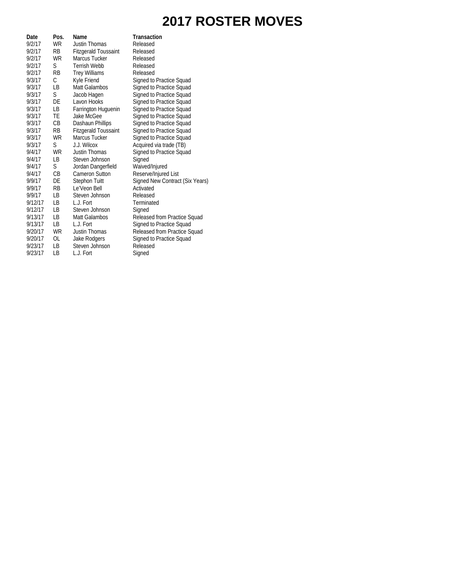# **2017 ROSTER MOVES**

| Date    | Pos.      | Name                        | <b>Transaction</b>              |
|---------|-----------|-----------------------------|---------------------------------|
| 9/2/17  | <b>WR</b> | Justin Thomas               | Released                        |
| 9/2/17  | RB        | <b>Fitzgerald Toussaint</b> | Released                        |
| 9/2/17  | <b>WR</b> | Marcus Tucker               | Released                        |
| 9/2/17  | S         | <b>Terrish Webb</b>         | Released                        |
| 9/2/17  | <b>RB</b> | <b>Trey Williams</b>        | Released                        |
| 9/3/17  | C         | Kyle Friend                 | Signed to Practice Squad        |
| 9/3/17  | LB.       | Matt Galambos               | Signed to Practice Squad        |
| 9/3/17  | S         | Jacob Hagen                 | Signed to Practice Squad        |
| 9/3/17  | DE        | Lavon Hooks                 | Signed to Practice Squad        |
| 9/3/17  | LВ        | Farrington Huguenin         | Signed to Practice Squad        |
| 9/3/17  | <b>TE</b> | Jake McGee                  | Signed to Practice Squad        |
| 9/3/17  | CВ        | Dashaun Phillips            | Signed to Practice Squad        |
| 9/3/17  | <b>RB</b> | <b>Fitzgerald Toussaint</b> | Signed to Practice Squad        |
| 9/3/17  | WR        | Marcus Tucker               | Signed to Practice Squad        |
| 9/3/17  | S         | J.J. Wilcox                 | Acquired via trade (TB)         |
| 9/4/17  | <b>WR</b> | Justin Thomas               | Signed to Practice Squad        |
| 9/4/17  | LB.       | Steven Johnson              | Signed                          |
| 9/4/17  | S         | Jordan Dangerfield          | Waived/Injured                  |
| 9/4/17  | CB        | <b>Cameron Sutton</b>       | Reserve/Injured List            |
| 9/9/17  | DE        | <b>Stephon Tuitt</b>        | Signed New Contract (Six Years) |
| 9/9/17  | <b>RB</b> | Le'Veon Bell                | Activated                       |
| 9/9/17  | LВ        | Steven Johnson              | Released                        |
| 9/12/17 | LB        | L.J. Fort                   | Terminated                      |
| 9/12/17 | LB        | Steven Johnson              | Signed                          |
| 9/13/17 | LB        | Matt Galambos               | Released from Practice Squad    |
| 9/13/17 | <b>LB</b> | L.J. Fort                   | Signed to Practice Squad        |
| 9/20/17 | <b>WR</b> | <b>Justin Thomas</b>        | Released from Practice Squad    |
| 9/20/17 | OL        | Jake Rodgers                | Signed to Practice Squad        |
| 9/23/17 | LВ        | Steven Johnson              | Released                        |
| 9/23/17 | LВ        | L.J. Fort                   | Signed                          |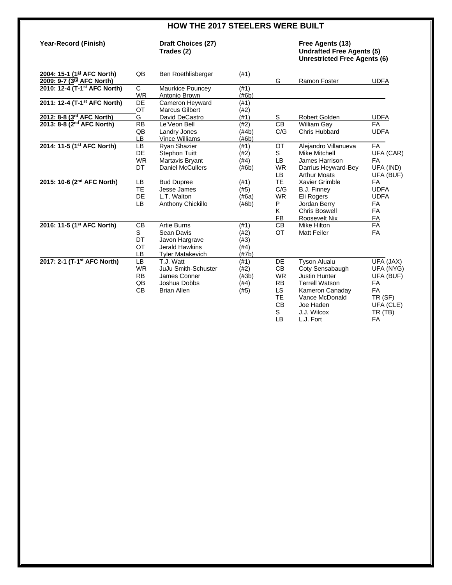### **HOW THE 2017 STEELERS WERE BUILT**

# **Year-Record (Finish) Draft Choices (27) Trades (2)**

# **Trades (2) Undrafted Free Agents (5) Unrestricted Free Agents (6)**

| 2004: 15-1 (1st AFC North)               | QB              | Ben Roethlisberger      | (#1)      |                |                       |             |
|------------------------------------------|-----------------|-------------------------|-----------|----------------|-----------------------|-------------|
| 2009: 9-7 (3 <sup>rd</sup> AFC North)    |                 |                         |           | G              | Ramon Foster          | <b>UDFA</b> |
| 2010: 12-4 (T-1 <sup>st</sup> AFC North) | С               | <b>Maurkice Pouncey</b> | (#1)      |                |                       |             |
|                                          | <b>WR</b>       | Antonio Brown           | (#6b)     |                |                       |             |
| 2011: 12-4 (T-1 <sup>st</sup> AFC North) | <b>DE</b>       | Cameron Heyward         | (#1)      |                |                       |             |
|                                          | OT              | <b>Marcus Gilbert</b>   | (#2)      |                |                       |             |
| 2012: 8-8 (3 <sup>rd</sup> AFC North)    | G               | David DeCastro          | (#1)      | S              | Robert Golden         | <b>UDFA</b> |
| 2013: 8-8 (2 <sup>nd</sup> AFC North)    | <b>RB</b>       | Le'Veon Bell            | (#2)      | C <sub>B</sub> | <b>William Gay</b>    | <b>FA</b>   |
|                                          | QB              | Landry Jones            | (#4b)     | C/G            | <b>Chris Hubbard</b>  | <b>UDFA</b> |
|                                          | LB              | <b>Vince Williams</b>   | (#6b)     |                |                       |             |
| 2014: 11-5 (1st AFC North)               | LB              | Ryan Shazier            | (#1)      | OT             | Alejandro Villanueva  | <b>FA</b>   |
|                                          | <b>DE</b>       | <b>Stephon Tuitt</b>    | (#2)      | S              | <b>Mike Mitchell</b>  | UFA (CAR)   |
|                                          | <b>WR</b>       | Martavis Bryant         | (#4)      | <b>LB</b>      | James Harrison        | FA          |
|                                          | DT              | <b>Daniel McCullers</b> | (#6b)     | <b>WR</b>      | Darrius Heyward-Bey   | UFA (IND)   |
|                                          |                 |                         |           | LB             | <b>Arthur Moats</b>   | UFA (BUF)   |
| 2015: 10-6 (2 <sup>nd</sup> AFC North)   | <b>LB</b>       | <b>Bud Dupree</b>       | (#1)      | <b>TE</b>      | Xavier Grimble        | <b>FA</b>   |
|                                          | <b>TE</b>       | Jesse James             | (#5)      | C/G            | B.J. Finney           | <b>UDFA</b> |
|                                          | <b>DE</b>       | L.T. Walton             | (#6a)     | <b>WR</b>      | Eli Rogers            | <b>UDFA</b> |
|                                          | <b>LB</b>       | Anthony Chickillo       | (#6b)     | P              | Jordan Berry          | <b>FA</b>   |
|                                          |                 |                         |           | K              | <b>Chris Boswell</b>  | <b>FA</b>   |
|                                          |                 |                         |           | FB             | Roosevelt Nix         | FA          |
| 2016: 11-5 (1 <sup>st</sup> AFC North)   | <b>CB</b>       | <b>Artie Burns</b>      | (#1)      | CB             | <b>Mike Hilton</b>    | FA          |
|                                          | S               | Sean Davis              | (#2)      | OT             | <b>Matt Feiler</b>    | <b>FA</b>   |
|                                          | DT              | Javon Hargrave          | (#3)      |                |                       |             |
|                                          | OT              | <b>Jerald Hawkins</b>   | (#4)      |                |                       |             |
|                                          | LB              | <b>Tyler Matakevich</b> | $(\# 7b)$ |                |                       |             |
| 2017: 2-1 (T-1 <sup>st</sup> AFC North)  | $\overline{LB}$ | T.J. Watt               | (#1)      | <b>DE</b>      | <b>Tyson Alualu</b>   | UFA (JAX)   |
|                                          | <b>WR</b>       | JuJu Smith-Schuster     | (#2)      | CB             | Coty Sensabaugh       | UFA (NYG)   |
|                                          | <b>RB</b>       | James Conner            | $(\#3b)$  | <b>WR</b>      | <b>Justin Hunter</b>  | UFA (BUF)   |
|                                          | QB              | Joshua Dobbs            | (#4)      | <b>RB</b>      | <b>Terrell Watson</b> | FA          |
|                                          | <b>CB</b>       | <b>Brian Allen</b>      | (#5)      | LS.            | Kameron Canaday       | <b>FA</b>   |
|                                          |                 |                         |           | <b>TE</b>      | Vance McDonald        | TR (SF)     |
|                                          |                 |                         |           | <b>CB</b>      | Joe Haden             | UFA (CLE)   |
|                                          |                 |                         |           | S              | J.J. Wilcox           | TR (TB)     |
|                                          |                 |                         |           | <b>LB</b>      | L.J. Fort             | FA          |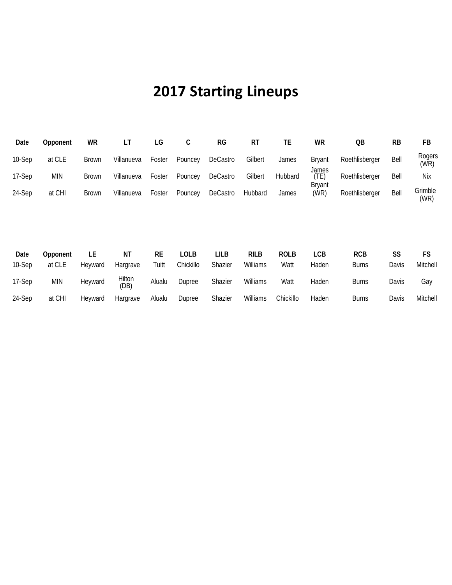# **2017 Starting Lineups**

| <u>Date</u> | Opponent | $\underline{\mathsf{WR}}$ |            | LG     | ັ       | RG       | RT      | TE      | $WR$                           | QB             | RB   | FB              |
|-------------|----------|---------------------------|------------|--------|---------|----------|---------|---------|--------------------------------|----------------|------|-----------------|
| 10-Sep      | at CLE   | <b>Brown</b>              | Villanueva | Foster | Pouncey | DeCastro | Gilbert | James   | <b>Brvant</b>                  | Roethlisberger | Bell | Rogers<br>(WR)  |
| 17-Sep      | MIN      | <b>Brown</b>              | Villanueva | Foster | Pouncey | DeCastro | Gilbert | Hubbard | James<br>(TE)<br><b>Bryant</b> | Roethlisberger | Bell | Nix             |
| 24-Sep      | at CHI   | <b>Brown</b>              | Villanueva | Foster | Pouncey | DeCastro | Hubbard | James   | (WR)                           | Roethlisberger | Bell | Grimble<br>(WR) |

| Date   | Opponent | LĿ      | <u>NT</u>      | RE     | LOLB      | LILB    | <b>RILB</b> | <b>ROLB</b> | LCB   | <b>RCB</b>   | <u>SS</u> | FS       |
|--------|----------|---------|----------------|--------|-----------|---------|-------------|-------------|-------|--------------|-----------|----------|
| 10-Sep | at CLE   | Hevward | Hargrave       | Tuitt  | Chickillo | Shazier | Williams    | Watt        | Haden | <b>Burns</b> | Davis     | Mitchell |
| 17-Sep | MIN      | Heyward | Hilton<br>(DB) | Alualu | Dupree    | Shazier | Williams    | Watt        | Haden | <b>Burns</b> | Davis     | Gay      |
| 24-Sep | at CHI   | Heyward | Hargrave       | Alualu | Dupree    | Shazier | Williams    | Chickillo   | Haden | <b>Burns</b> | Davis     | Mitchell |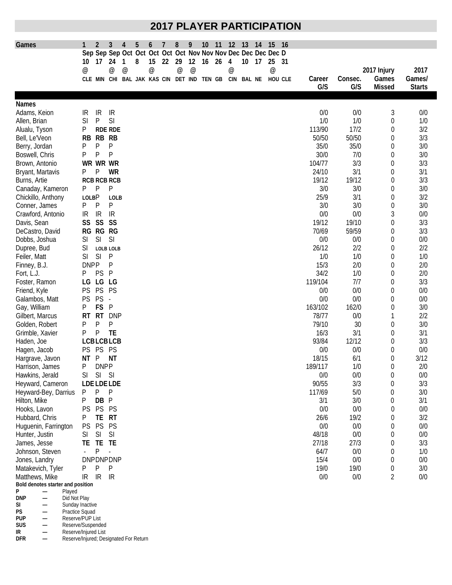# **2017 PLAYER PARTICIPATION**

| Games                                   | 1                         | $\overline{2}$                             | 3                        | 4               | 5 | 6               | 7  | 8               | 9               | 10 | 11 | 12                                                            | 13         | 14 | 15                        | - 16    |         |         |                  |               |
|-----------------------------------------|---------------------------|--------------------------------------------|--------------------------|-----------------|---|-----------------|----|-----------------|-----------------|----|----|---------------------------------------------------------------|------------|----|---------------------------|---------|---------|---------|------------------|---------------|
|                                         |                           |                                            |                          |                 |   |                 |    |                 |                 |    |    | Sep Sep Sep Oct Oct Oct Oct Oct Nov Nov Nov Dec Dec Dec Dec D |            |    |                           |         |         |         |                  |               |
|                                         | 10                        | 17                                         | 24                       | 1               | 8 | 15              | 22 | 29              | 12              | 16 | 26 | 4                                                             | 10         | 17 | 25                        | -31     |         |         |                  |               |
|                                         | $^\text{\textregistered}$ |                                            | $^{\copyright}$          | $^{\copyright}$ |   | $^{\copyright}$ |    | $^{\copyright}$ | $^{\copyright}$ |    |    | $^{\copyright}$                                               |            |    | $^\text{\textregistered}$ |         |         |         | 2017 Injury      | 2017          |
|                                         |                           | CLE MIN CHI BAL JAK KAS CIN DET IND TEN GB |                          |                 |   |                 |    |                 |                 |    |    |                                                               | CIN BAL NE |    |                           | HOU CLE | Career  | Consec. | Games            | Games/        |
|                                         |                           |                                            |                          |                 |   |                 |    |                 |                 |    |    |                                                               |            |    |                           |         | G/S     | G/S     | <b>Missed</b>    | <b>Starts</b> |
|                                         |                           |                                            |                          |                 |   |                 |    |                 |                 |    |    |                                                               |            |    |                           |         |         |         |                  |               |
| <b>Names</b>                            |                           |                                            |                          |                 |   |                 |    |                 |                 |    |    |                                                               |            |    |                           |         |         |         |                  |               |
| Adams, Keion                            | IR                        | IR                                         | IR                       |                 |   |                 |    |                 |                 |    |    |                                                               |            |    |                           |         | 0/0     | 0/0     | 3                | 0/0           |
| Allen, Brian                            | SI                        | P                                          | SI                       |                 |   |                 |    |                 |                 |    |    |                                                               |            |    |                           |         | 1/0     | 1/0     | 0                | 1/0           |
| Alualu, Tyson                           | Ρ                         |                                            | <b>RDE RDE</b>           |                 |   |                 |    |                 |                 |    |    |                                                               |            |    |                           |         | 113/90  | 17/2    | 0                | 3/2           |
| Bell, Le'Veon                           | RB                        | <b>RB</b>                                  | <b>RB</b>                |                 |   |                 |    |                 |                 |    |    |                                                               |            |    |                           |         | 50/50   | 50/50   | $\boldsymbol{0}$ | 3/3           |
| Berry, Jordan                           | P                         | P                                          | P                        |                 |   |                 |    |                 |                 |    |    |                                                               |            |    |                           |         | 35/0    | 35/0    | 0                | 3/0           |
| Boswell, Chris                          | P                         | P                                          | P                        |                 |   |                 |    |                 |                 |    |    |                                                               |            |    |                           |         | 30/0    | 7/0     | $\mathbf 0$      | 3/0           |
| Brown, Antonio                          |                           | WR WR WR                                   |                          |                 |   |                 |    |                 |                 |    |    |                                                               |            |    |                           |         | 104/77  | 3/3     | 0                | 3/3           |
| Bryant, Martavis                        | Ρ                         | P                                          | WR                       |                 |   |                 |    |                 |                 |    |    |                                                               |            |    |                           |         | 24/10   | 3/1     | $\mathbf 0$      | 3/1           |
| Burns, Artie                            |                           | <b>RCB RCB RCB</b>                         |                          |                 |   |                 |    |                 |                 |    |    |                                                               |            |    |                           |         | 19/12   | 19/12   | $\theta$         | 3/3           |
| Canaday, Kameron                        | P                         | P                                          | P                        |                 |   |                 |    |                 |                 |    |    |                                                               |            |    |                           |         | 3/0     | 3/0     | 0                | 3/0           |
| Chickillo, Anthony                      | <b>LOLBP</b>              |                                            | LOLB                     |                 |   |                 |    |                 |                 |    |    |                                                               |            |    |                           |         | 25/9    | 3/1     | 0                | 3/2           |
| Conner, James                           | P                         | P                                          | P                        |                 |   |                 |    |                 |                 |    |    |                                                               |            |    |                           |         | 3/0     | 3/0     | 0                | 3/0           |
| Crawford, Antonio                       | IR                        | IR                                         | IR                       |                 |   |                 |    |                 |                 |    |    |                                                               |            |    |                           |         | 0/0     | 0/0     | 3                | 0/0           |
| Davis, Sean                             | SS                        | SS                                         | SS                       |                 |   |                 |    |                 |                 |    |    |                                                               |            |    |                           |         | 19/12   | 19/10   | 0                | 3/3           |
| DeCastro, David                         |                           | RG RG RG                                   |                          |                 |   |                 |    |                 |                 |    |    |                                                               |            |    |                           |         | 70/69   | 59/59   | $\mathbf 0$      | 3/3           |
| Dobbs, Joshua                           | SI                        | SI                                         | SI                       |                 |   |                 |    |                 |                 |    |    |                                                               |            |    |                           |         | 0/0     | 0/0     | 0                | 0/0           |
| Dupree, Bud                             | SI                        |                                            | LOLB LOLB                |                 |   |                 |    |                 |                 |    |    |                                                               |            |    |                           |         | 26/12   | 2/2     | 0                | 2/2           |
| Feiler, Matt                            | SI                        | SI                                         | P                        |                 |   |                 |    |                 |                 |    |    |                                                               |            |    |                           |         | 1/0     | 1/0     | 0                | 1/0           |
| Finney, B.J.                            | <b>DNPP</b>               |                                            | P                        |                 |   |                 |    |                 |                 |    |    |                                                               |            |    |                           |         | 15/3    | 2/0     | 0                | 2/0           |
| Fort, L.J.                              | P                         | PS                                         | P                        |                 |   |                 |    |                 |                 |    |    |                                                               |            |    |                           |         | 34/2    | 1/0     | 0                | 2/0           |
| Foster, Ramon                           | LG                        | LG                                         | LG                       |                 |   |                 |    |                 |                 |    |    |                                                               |            |    |                           |         | 119/104 | 7/7     | 0                | 3/3           |
|                                         | <b>PS</b>                 | <b>PS</b>                                  | PS                       |                 |   |                 |    |                 |                 |    |    |                                                               |            |    |                           |         | 0/0     | 0/0     | 0                | 0/0           |
| Friend, Kyle                            |                           | PS                                         |                          |                 |   |                 |    |                 |                 |    |    |                                                               |            |    |                           |         | 0/0     | 0/0     |                  |               |
| Galambos, Matt                          | <b>PS</b>                 | FS                                         | $\overline{\phantom{a}}$ |                 |   |                 |    |                 |                 |    |    |                                                               |            |    |                           |         |         |         | 0                | 0/0           |
| Gay, William                            | Ρ                         |                                            | P                        |                 |   |                 |    |                 |                 |    |    |                                                               |            |    |                           |         | 163/102 | 162/0   | 0                | 3/0           |
| Gilbert, Marcus                         | RT                        | <b>RT</b>                                  | <b>DNP</b>               |                 |   |                 |    |                 |                 |    |    |                                                               |            |    |                           |         | 78/77   | 0/0     | 1                | 2/2           |
| Golden, Robert                          | Ρ                         | P                                          | P                        |                 |   |                 |    |                 |                 |    |    |                                                               |            |    |                           |         | 79/10   | 30      | 0                | 3/0           |
| Grimble, Xavier                         | P                         | P                                          | <b>TE</b>                |                 |   |                 |    |                 |                 |    |    |                                                               |            |    |                           |         | 16/3    | 3/1     | $\boldsymbol{0}$ | 3/1           |
| Haden, Joe                              |                           | <b>LCBLCBLCB</b>                           |                          |                 |   |                 |    |                 |                 |    |    |                                                               |            |    |                           |         | 93/84   | 12/12   | $\mathbf 0$      | 3/3           |
| Hagen, Jacob                            | PS.                       | <b>PS</b>                                  | PS                       |                 |   |                 |    |                 |                 |    |    |                                                               |            |    |                           |         | 0/0     | 0/0     | $\mathbf 0$      | 0/0           |
| Hargrave, Javon                         | ΝT                        | P                                          | <b>NT</b>                |                 |   |                 |    |                 |                 |    |    |                                                               |            |    |                           |         | 18/15   | 6/1     | 0                | 3/12          |
| Harrison, James                         | Ρ                         | <b>DNPP</b>                                |                          |                 |   |                 |    |                 |                 |    |    |                                                               |            |    |                           |         | 189/117 | 1/0     | 0                | 2/0           |
| Hawkins, Jerald                         | SI                        | SI                                         | -SI                      |                 |   |                 |    |                 |                 |    |    |                                                               |            |    |                           |         | 0/0     | 0/0     | 0                | 0/0           |
| Heyward, Cameron                        |                           | <b>LDE LDE LDE</b>                         |                          |                 |   |                 |    |                 |                 |    |    |                                                               |            |    |                           |         | 90/55   | 3/3     | 0                | 3/3           |
| Heyward-Bey, Darrius                    | P                         | P                                          | P                        |                 |   |                 |    |                 |                 |    |    |                                                               |            |    |                           |         | 117/69  | 5/0     | 0                | 3/0           |
| Hilton, Mike                            | P                         | DB                                         | P                        |                 |   |                 |    |                 |                 |    |    |                                                               |            |    |                           |         | 3/1     | 3/0     | 0                | 3/1           |
| Hooks, Lavon                            | <b>PS</b>                 | PS PS                                      |                          |                 |   |                 |    |                 |                 |    |    |                                                               |            |    |                           |         | 0/0     | 0/0     | 0                | 0/0           |
| Hubbard, Chris                          | P                         | TE RT                                      |                          |                 |   |                 |    |                 |                 |    |    |                                                               |            |    |                           |         | 26/6    | 19/2    | 0                | 3/2           |
| Huguenin, Farrington                    | PS                        | <b>PS</b>                                  | PS                       |                 |   |                 |    |                 |                 |    |    |                                                               |            |    |                           |         | 0/0     | 0/0     | 0                | 0/0           |
| Hunter, Justin                          | SI                        | SI                                         | SI                       |                 |   |                 |    |                 |                 |    |    |                                                               |            |    |                           |         | 48/18   | 0/0     | $\mathbf 0$      | 0/0           |
| James, Jesse                            | TE TE                     |                                            | TE                       |                 |   |                 |    |                 |                 |    |    |                                                               |            |    |                           |         | 27/18   | 27/3    | $\mathbf 0$      | 3/3           |
| Johnson, Steven                         |                           | P                                          |                          |                 |   |                 |    |                 |                 |    |    |                                                               |            |    |                           |         | 64/7    | 0/0     | 0                | 1/0           |
| Jones, Landry                           |                           | <b>DNPDNPDNP</b>                           |                          |                 |   |                 |    |                 |                 |    |    |                                                               |            |    |                           |         | 15/4    | 0/0     | 0                | 0/0           |
| Matakevich, Tyler                       | P                         | P                                          | P                        |                 |   |                 |    |                 |                 |    |    |                                                               |            |    |                           |         | 19/0    | 19/0    | 0                | 3/0           |
| Matthews, Mike                          | $IR$ $IR$                 |                                            | IR                       |                 |   |                 |    |                 |                 |    |    |                                                               |            |    |                           |         | 0/0     | 0/0     | $\overline{2}$   | 0/0           |
| Bold denotes starter and position       |                           |                                            |                          |                 |   |                 |    |                 |                 |    |    |                                                               |            |    |                           |         |         |         |                  |               |
| P<br>Played<br>$\qquad \qquad -$<br>DNP |                           |                                            |                          |                 |   |                 |    |                 |                 |    |    |                                                               |            |    |                           |         |         |         |                  |               |
| Did Not Play<br>SI<br>Sunday Inactive   |                           |                                            |                          |                 |   |                 |    |                 |                 |    |    |                                                               |            |    |                           |         |         |         |                  |               |
| <b>PS</b><br>Practice Squad             |                           |                                            |                          |                 |   |                 |    |                 |                 |    |    |                                                               |            |    |                           |         |         |         |                  |               |

**PUP —** Reserve/PUP List

**SUS —** Reserve/Suspended **IR —** Reserve/Injured List

**DFR —** Reserve/Injured; Designated For Return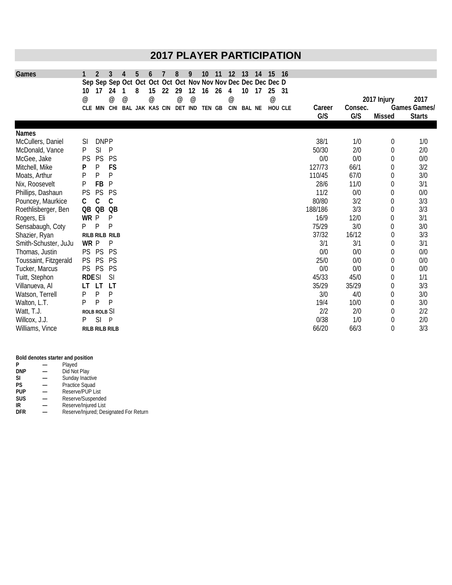# **2017 PLAYER PARTICIPATION**

| Games                 |                 | 2                     | 3                     | 4                               | 5                                                             | 6                         |    | 8                               | 9  | 10     | 11 | 12  | 13            | 14 | 15                        | 16 |         |         |               |               |
|-----------------------|-----------------|-----------------------|-----------------------|---------------------------------|---------------------------------------------------------------|---------------------------|----|---------------------------------|----|--------|----|-----|---------------|----|---------------------------|----|---------|---------|---------------|---------------|
|                       |                 |                       |                       |                                 | Sep Sep Sep Oct Oct Oct Oct Oct Nov Nov Nov Dec Dec Dec Dec D |                           |    |                                 |    |        |    |     |               |    |                           |    |         |         |               |               |
|                       | 10              | 17                    | 24                    | 1                               | 8                                                             | 15                        | 22 | 29                              | 12 | 16     | 26 | 4   | 10            | 17 | 25                        | 31 |         |         |               |               |
|                       | $^{\copyright}$ |                       | $^{\circ}$            | $^{\scriptsize\textregistered}$ |                                                               | $^\text{\textregistered}$ |    | $^{\scriptsize\textregistered}$ | @  |        |    | @   |               |    | $^\text{\textregistered}$ |    |         |         | 2017 Injury   | 2017          |
|                       |                 | CLE MIN               |                       |                                 | CHI BAL JAK KAS CIN                                           |                           |    | DET IND                         |    | TEN GB |    | CIN | <b>BAL NE</b> |    | HOU CLE                   |    | Career  | Consec. |               | Games Games/  |
|                       |                 |                       |                       |                                 |                                                               |                           |    |                                 |    |        |    |     |               |    |                           |    | G/S     | G/S     | <b>Missed</b> | <b>Starts</b> |
| <b>Names</b>          |                 |                       |                       |                                 |                                                               |                           |    |                                 |    |        |    |     |               |    |                           |    |         |         |               |               |
| McCullers, Daniel     | SI              | <b>DNPP</b>           |                       |                                 |                                                               |                           |    |                                 |    |        |    |     |               |    |                           |    | 38/1    | 1/0     | 0             | 1/0           |
| McDonald, Vance       | P               | SI                    | P                     |                                 |                                                               |                           |    |                                 |    |        |    |     |               |    |                           |    | 50/30   | 2/0     | 0             | 2/0           |
| McGee, Jake           | <b>PS</b>       | PS                    | <b>PS</b>             |                                 |                                                               |                           |    |                                 |    |        |    |     |               |    |                           |    | 0/0     | 0/0     | 0             | 0/0           |
| Mitchell, Mike        | P               | P                     | FS                    |                                 |                                                               |                           |    |                                 |    |        |    |     |               |    |                           |    | 127/73  | 66/1    | 0             | 3/2           |
| Moats, Arthur         | P               | P                     | P                     |                                 |                                                               |                           |    |                                 |    |        |    |     |               |    |                           |    | 110/45  | 67/0    | 0             | 3/0           |
| Nix, Roosevelt        | Ρ               | FB                    | P                     |                                 |                                                               |                           |    |                                 |    |        |    |     |               |    |                           |    | 28/6    | 11/0    | 0             | 3/1           |
| Phillips, Dashaun     | PS              | PS                    | PS                    |                                 |                                                               |                           |    |                                 |    |        |    |     |               |    |                           |    | 11/2    | 0/0     | 0             | 0/0           |
| Pouncey, Maurkice     | C               | С                     | C                     |                                 |                                                               |                           |    |                                 |    |        |    |     |               |    |                           |    | 80/80   | 3/2     | 0             | 3/3           |
| Roethlisberger, Ben   | QB QB           |                       | QB                    |                                 |                                                               |                           |    |                                 |    |        |    |     |               |    |                           |    | 188/186 | 3/3     | 0             | 3/3           |
| Rogers, Eli           | WR P            |                       | P                     |                                 |                                                               |                           |    |                                 |    |        |    |     |               |    |                           |    | 16/9    | 12/0    | 0             | 3/1           |
| Sensabaugh, Coty      | P               | P                     | P                     |                                 |                                                               |                           |    |                                 |    |        |    |     |               |    |                           |    | 75/29   | 3/0     | 0             | 3/0           |
| Shazier, Ryan         |                 |                       | <b>RILB RILB RILB</b> |                                 |                                                               |                           |    |                                 |    |        |    |     |               |    |                           |    | 37/32   | 16/12   | 0             | 3/3           |
| Smith-Schuster, JuJu  | WR P            |                       | P                     |                                 |                                                               |                           |    |                                 |    |        |    |     |               |    |                           |    | 3/1     | 3/1     | 0             | 3/1           |
| Thomas, Justin        | PS              | PS                    | <b>PS</b>             |                                 |                                                               |                           |    |                                 |    |        |    |     |               |    |                           |    | 0/0     | 0/0     | 0             | 0/0           |
| Toussaint, Fitzgerald | <b>PS</b>       | PS                    | <b>PS</b>             |                                 |                                                               |                           |    |                                 |    |        |    |     |               |    |                           |    | 25/0    | 0/0     | 0             | 0/0           |
| Tucker, Marcus        | PS PS           |                       | PS                    |                                 |                                                               |                           |    |                                 |    |        |    |     |               |    |                           |    | 0/0     | 0/0     | 0             | 0/0           |
| Tuitt, Stephon        | <b>RDESI</b>    |                       | SI                    |                                 |                                                               |                           |    |                                 |    |        |    |     |               |    |                           |    | 45/33   | 45/0    | 0             | 1/1           |
| Villanueva, Al        | LT              | LT.                   | LT                    |                                 |                                                               |                           |    |                                 |    |        |    |     |               |    |                           |    | 35/29   | 35/29   | 0             | 3/3           |
| Watson, Terrell       | Ρ               | $\mathsf{P}$          | P                     |                                 |                                                               |                           |    |                                 |    |        |    |     |               |    |                           |    | 3/0     | 4/0     | 0             | 3/0           |
| Walton, L.T.          | P               | P                     | P                     |                                 |                                                               |                           |    |                                 |    |        |    |     |               |    |                           |    | 19/4    | 10/0    | 0             | 3/0           |
| Watt, T.J.            |                 | ROLB ROLB SI          |                       |                                 |                                                               |                           |    |                                 |    |        |    |     |               |    |                           |    | 2/2     | 2/0     | 0             | 2/2           |
| Willcox, J.J.         | P               | SI                    | $\mathsf{P}$          |                                 |                                                               |                           |    |                                 |    |        |    |     |               |    |                           |    | 0/38    | 1/0     | 0             | 2/0           |
| Williams, Vince       |                 | <b>RILB RILB RILB</b> |                       |                                 |                                                               |                           |    |                                 |    |        |    |     |               |    |                           |    | 66/20   | 66/3    | 0             | 3/3           |

### **Bold denotes starter and position**

| P          | Played                                 |
|------------|----------------------------------------|
| <b>DNP</b> | Did Not Play                           |
| <b>SI</b>  | Sunday Inactive                        |
| <b>PS</b>  | Practice Squad                         |
| <b>PUP</b> | Reserve/PUP List                       |
| <b>SUS</b> | Reserve/Suspended                      |
| IR         | Reserve/Injured List                   |
| <b>DFR</b> | Reserve/Injured; Designated For Return |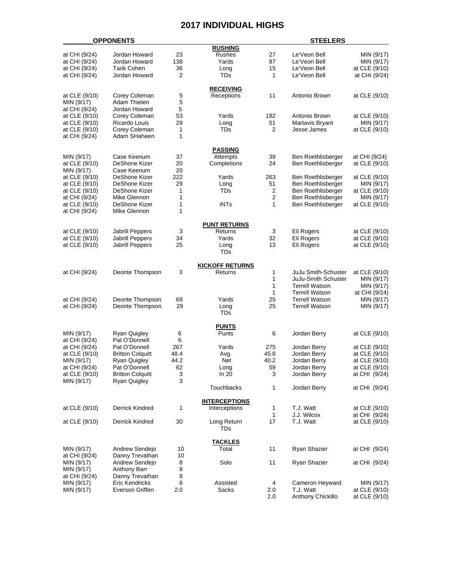### **2017 INDIVIDUAL HIGHS**

|               | <b>OPPONENTS</b>        |      |                        |                         | <b>STEELERS</b>       |               |
|---------------|-------------------------|------|------------------------|-------------------------|-----------------------|---------------|
|               |                         |      | <b>RUSHING</b>         |                         |                       |               |
| at CHI (9/24) | Jordan Howard           | 23   | Rushes                 | 27                      | Le'Veon Bell          | MIN (9/17)    |
| at CHI (9/24) | Jordan Howard           | 138  | Yards                  | 87                      | Le'Veon Bell          | MIN (9/17)    |
| at CHI (9/24) | <b>Tarik Cohen</b>      | 36   | Long                   | 15                      | Le'Veon Bell          | at CLE (9/10) |
| at CHI (9/24) | Jordan Howard           | 2    | TDs                    | 1                       | Le'Veon Bell          | at CHI (9/24) |
|               |                         |      |                        |                         |                       |               |
|               |                         |      | <b>RECEIVING</b>       |                         |                       |               |
| at CLE (9/10) | Corey Coleman           | 5    | Receptions             | 11                      | Antonio Brown         | at CLE (9/10) |
| MIN (9/17)    | Adam Thielen            | 5    |                        |                         |                       |               |
| at CHI (9/24) | Jordan Howard           | 5    |                        |                         |                       |               |
| at CLE (9/10) | Corey Coleman           | 53   | Yards                  | 182                     | Antonio Brown         | at CLE (9/10) |
| at CLE (9/10) | Ricardo Louis           | 29   | Long                   | 51                      | Martavis Bryant       | MIN (9/17)    |
| at CLE (9/10) | Corey Coleman           | 1    | TDs                    | $\overline{2}$          | Jesse James           | at CLE (9/10) |
| at CHI (9/24) | Adam SHaheen            | 1    |                        |                         |                       |               |
|               |                         |      | PASSING                |                         |                       |               |
| MIN (9/17)    | Case Keenum             | 37   | Attempts               | 39                      | Ben Roethlisberger    | at CHI (9/24) |
| at CLE (9/10) | DeShone Kizer           | 20   | Completions            | 24                      | Ben Roethlisberger    | at CLE (9/10) |
| MIN (9/17)    | Case Keenum             | 20   |                        |                         |                       |               |
| at CLE (9/10) | DeShone Kizer           | 222  | Yards                  | 263                     | Ben Roethlisberger    | at CLE (9/10) |
| at CLE (9/10) | DeShone Kizer           | 29   | Long                   | 51                      | Ben Roethlisberger    | MIN (9/17)    |
| at CLE (9/10) | DeShone Kizer           | 1    | TDs                    | $\overline{c}$          | Ben Roethlisberger    | at CLE (9/10) |
| at CHI (9/24) | Mike Glennon            | 1    |                        | $\overline{\mathbf{c}}$ | Ben Roethlisberger    | MIN (9/17)    |
| at CLE (9/10) | <b>DeShone Kizer</b>    | 1    | <b>INTs</b>            | 1                       | Ben Roethlisberger    | at CLE (9/10) |
| at CHI (9/24) | Mike Glennon            | 1    |                        |                         |                       |               |
|               |                         |      |                        |                         |                       |               |
|               |                         |      | <b>PUNT RETURNS</b>    |                         |                       |               |
| at CLE (9/10) | <b>Jabrill Peppers</b>  | 3    | Returns                | 3                       | Eli Rogers            | at CLE (9/10) |
| at CLE (9/10) | Jabrill Peppers         | 34   | Yards                  | 32                      | Eli Rogers            | at CLE (9/10) |
| at CLE (9/10) | Jabrill Peppers         | 25   | Long                   | 13                      | Eli Rogers            | at CLE (9/10) |
|               |                         |      | TDs                    |                         |                       |               |
|               |                         |      | <b>KICKOFF RETURNS</b> |                         |                       |               |
| at CHI (9/24) | Deonte Thompson         | 3    | Returns                | 1                       | JuJu Smith-Schuster   | at CLE (9/10) |
|               |                         |      |                        | 1                       | JuJu-Smith Schuster   | MIN (9/17)    |
|               |                         |      |                        | 1                       | <b>Terrell Watson</b> | MIN (9/17)    |
|               |                         |      |                        | 1                       | <b>Terrell Watson</b> | at CHI (9/24) |
| at CHI (9/24) | Deonte Thompson         | 69   | Yards                  | 25                      | <b>Terrell Watson</b> | MIN (9/17)    |
| at CHI (9/24) | Deonte Thompson         | 29   | Long                   | 25                      | <b>Terrell Watson</b> | MIN (9/17)    |
|               |                         |      | <b>TDs</b>             |                         |                       |               |
|               |                         |      | <b>PUNTS</b>           |                         |                       |               |
| MIN (9/17)    | Ryan Quigley            | 6    | Punts                  | 6                       | Jordan Berry          | at CLE (9/10) |
| at CHI (9/24) | Pat O'Donnell           | 6    |                        |                         |                       |               |
| at CHI (9/24) | Pat O'Donnell           | 267  | Yards                  | 275                     | Jordan Berry          | at CLE (9/10) |
| at CLE (9/10) | <b>Britton Colquitt</b> | 48.4 | Avg.                   | 45.8                    | Jordan Berry          | at CLE (9/10) |
| MIN (9/17)    | <b>Ryan Quigley</b>     | 44.2 | Net                    | 40.2                    | Jordan Berry          | at CLE (9/10) |
| at CHI (9/24) | Pat O'Donnell           | 62   | Long                   | 59                      | Jordan Berry          | at CLE (9/10) |
| at CLE (9/10) | <b>Britton Colquitt</b> | 3    | In 20                  | 3                       | Jordan Berry          | at CHI (9/24) |
| MIN (9/17)    | Ryan Quigley            | 3    |                        |                         |                       |               |
|               |                         |      | Touchbacks             | 1                       | Jordan Berry          | at CHI (9/24) |
|               |                         |      | <b>INTERCEPTIONS</b>   |                         |                       |               |
| at CLE (9/10) | <b>Derrick Kindred</b>  | 1    | Interceptions          | $\mathbf 1$             | T.J. Watt             | at CLE (9/10) |
|               |                         |      |                        | 1                       | J.J. Wilcox           | at CHI (9/24) |
| at CLE (9/10) | Derrick Kindred         | 30   | Long Return            | 17                      | T.J. Watt             | at CLE (9/10) |
|               |                         |      | TDs                    |                         |                       |               |
|               |                         |      | <u>TACKLES</u>         |                         |                       |               |
| MIN (9/17)    | Andrew Sendejo          | 10   | Total                  | 11                      | Ryan Shazier          | at CHI (9/24) |
| at CHI (9/24) | Danny Trevathan         | 10   |                        |                         |                       |               |
| MIN (9/17)    | Andrew Sendejo          | 8    | Solo                   | 11                      | Ryan Shazier          | at CHI (9/24) |
| MIN (9/17)    | Anthony Barr            | 8    |                        |                         |                       |               |
| at CHI (9/24) | Danny Trevathan         | 8    |                        |                         |                       |               |
| MIN (9/17)    | Eric Kendricks          | 6    | Assisted               | 4                       | Cameron Heyward       | MIN (9/17)    |
| MIN (9/17)    | Everson Griffen         | 2.0  | Sacks                  | 2.0                     | T.J. Watt             | at CLE (9/10) |
|               |                         |      |                        | 2.0                     | Anthony Chickillo     | at CLE (9/10) |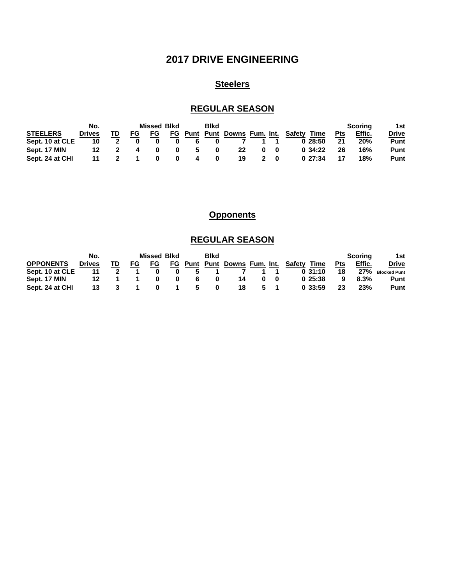# **2017 DRIVE ENGINEERING**

# **Steelers**

## **REGULAR SEASON**

|                 | No.           |  |  | <b>Missed Blkd</b> |    |   | <b>Blkd</b> |    | Scoring | 1st         |                                          |            |        |             |
|-----------------|---------------|--|--|--------------------|----|---|-------------|----|---------|-------------|------------------------------------------|------------|--------|-------------|
| <b>STEELERS</b> | <b>Drives</b> |  |  | FG.                | FG |   |             |    |         |             | Time<br>Punt Punt Downs Fum. Int. Safety | <b>Pts</b> | Effic. | Drive       |
| Sept. 10 at CLE | 10            |  |  |                    |    |   |             |    |         |             | 0.28:50                                  | 21         | 20%    | <b>Punt</b> |
| Sept. 17 MIN    | 12            |  |  |                    |    | 5 | 0           | 22 | 0       |             | 0.34:22                                  | 26         | 16%    | <b>Punt</b> |
| Sept. 24 at CHI | 11            |  |  |                    |    |   |             | 19 |         | $2 \quad 0$ | 0.27:34                                  |            | 18%    | Punt        |

## **Opponents**

## **REGULAR SEASON**

| No.              |               |  | <b>Missed Blkd</b> |     |  | <b>Blkd</b> |          |    |          |              |                                             | Scoring    | 1st     |                  |
|------------------|---------------|--|--------------------|-----|--|-------------|----------|----|----------|--------------|---------------------------------------------|------------|---------|------------------|
| <b>OPPONENTS</b> | <b>Drives</b> |  | FG                 | FG. |  |             |          |    |          |              | FG Punt Punt Downs Fum. Int. Safety<br>Time | <b>Pts</b> | Effic.  | Drive            |
| Sept. 10 at CLE  | 11            |  |                    |     |  | 5           |          |    |          |              | 0.31:10                                     | 18         |         | 27% Blocked Punt |
| Sept. 17 MIN     | 12.           |  |                    |     |  | -6          |          | 14 | $\bf{0}$ | $\mathbf{0}$ | 025:38                                      |            | $8.3\%$ | Punt             |
| Sept. 24 at CHI  | 13            |  |                    |     |  | 5           | $\bf{0}$ | 18 |          | $5 \quad 1$  | 0.33:59                                     | 23         | 23%     | Punt             |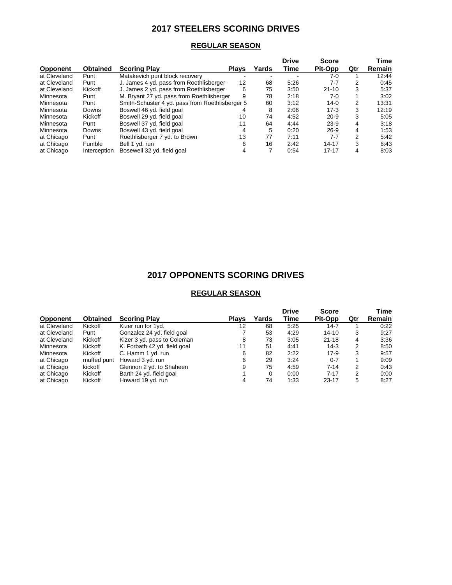## **2017 STEELERS SCORING DRIVES**

### **REGULAR SEASON**

|                 |                 |                                                 |              |       | Drive | <b>Score</b> |     | Time   |
|-----------------|-----------------|-------------------------------------------------|--------------|-------|-------|--------------|-----|--------|
| <b>Opponent</b> | <b>Obtained</b> | <b>Scoring Play</b>                             | <b>Plays</b> | Yards | Time  | Pit-Opp      | Qtr | Remain |
| at Cleveland    | Punt            | Matakevich punt block recovery                  |              |       |       | 7-0          |     | 12:44  |
| at Cleveland    | Punt            | J. James 4 yd. pass from Roethlisberger         | 12           | 68    | 5:26  | 7-7          | 2   | 0:45   |
| at Cleveland    | Kickoff         | J. James 2 yd. pass from Roethlisberger         | 6            | 75    | 3:50  | $21 - 10$    | 3   | 5:37   |
| Minnesota       | Punt            | M. Bryant 27 yd. pass from Roethlisberger       | 9            | 78    | 2:18  | 7-0          |     | 3:02   |
| Minnesota       | Punt            | Smith-Schuster 4 yd. pass from Roethlisberger 5 |              | 60    | 3:12  | $14-0$       | 2   | 13:31  |
| Minnesota       | Downs           | Boswell 46 yd. field goal                       |              | 8     | 2:06  | $17-3$       | 3   | 12:19  |
| Minnesota       | Kickoff         | Boswell 29 yd. field goal                       | 10           | 74    | 4:52  | $20 - 9$     | 3   | 5:05   |
| Minnesota       | Punt            | Boswell 37 yd. field goal                       | 11           | 64    | 4:44  | $23-9$       | 4   | 3:18   |
| Minnesota       | Downs           | Boswell 43 yd. field goal                       | 4            | 5     | 0:20  | $26 - 9$     | 4   | 1:53   |
| at Chicago      | Punt            | Roethlisberger 7 yd. to Brown                   | 13           | 77    | 7:11  | $7 - 7$      | 2   | 5:42   |
| at Chicago      | Fumble          | Bell 1 yd. run                                  | 6            | 16    | 2:42  | $14 - 17$    | 3   | 6:43   |
| at Chicago      | Interception    | Bosewell 32 yd. field goal                      | 4            |       | 0:54  | $17 - 17$    | 4   | 8:03   |

# **2017 OPPONENTS SCORING DRIVES**

### **REGULAR SEASON**

|                                                           |                              |              |          | <b>Drive</b> | <b>Score</b> |     | Time   |
|-----------------------------------------------------------|------------------------------|--------------|----------|--------------|--------------|-----|--------|
| <b>Obtained</b><br><b>Scoring Play</b><br><b>Opponent</b> |                              | <b>Plays</b> | Yards    | Time         | Pit-Opp      | Qtr | Remain |
| at Cleveland<br>Kickoff                                   | Kizer run for 1yd.           | 12           | 68       | 5:25         | $14 - 7$     |     | 0:22   |
| at Cleveland<br>Punt                                      | Gonzalez 24 yd. field goal   |              | 53       | 4:29         | $14 - 10$    | 3   | 9:27   |
| Kickoff<br>at Cleveland                                   | Kizer 3 yd. pass to Coleman  | 8            | 73       | 3:05         | $21 - 18$    | 4   | 3:36   |
| Kickoff<br>Minnesota                                      | K. Forbath 42 yd. field goal | 11           | 51       | 4:41         | $14-3$       | 2   | 8:50   |
| Kickoff<br>Minnesota                                      | C. Hamm 1 yd. run            | 6            | 82       | 2:22         | $17-9$       | 3   | 9:57   |
| at Chicago<br>muffed punt                                 | Howard 3 yd. run             | 6            | 29       | 3:24         | $0 - 7$      |     | 9:09   |
| kickoff<br>at Chicago                                     | Glennon 2 yd. to Shaheen     | 9            | 75       | 4:59         | $7 - 14$     | 2   | 0:43   |
| at Chicago<br>Kickoff                                     | Barth 24 yd. field goal      |              | $\Omega$ | 0:00         | $7 - 17$     | 2   | 0:00   |
| at Chicago<br>Kickoff                                     | Howard 19 yd. run            |              | 74       | 1:33         | $23 - 17$    | 5   | 8:27   |